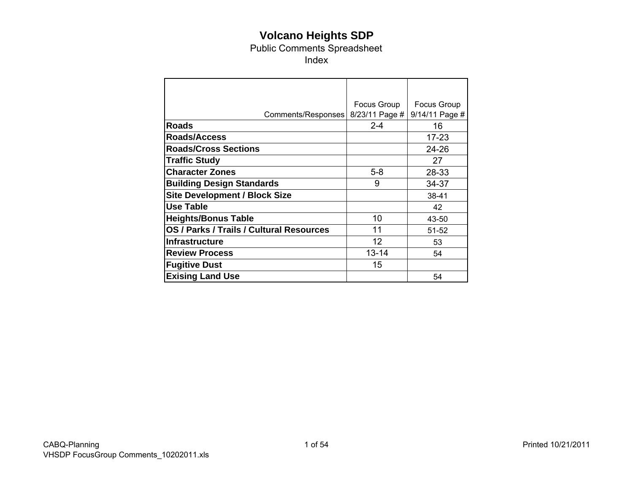# **Volcano Heights SDP**

Public Comments Spreadsheet

Index

|                                          | Focus Group    | Focus Group    |
|------------------------------------------|----------------|----------------|
| Comments/Responses                       | 8/23/11 Page # | 9/14/11 Page # |
| <b>Roads</b>                             | $2 - 4$        | 16             |
| Roads/Access                             |                | $17 - 23$      |
| <b>Roads/Cross Sections</b>              |                | 24-26          |
| <b>Traffic Study</b>                     |                | 27             |
| <b>Character Zones</b>                   | $5-8$          | 28-33          |
| <b>Building Design Standards</b>         | 9              | 34-37          |
| <b>Site Development / Block Size</b>     |                | 38-41          |
| <b>Use Table</b>                         |                | 42             |
| <b>Heights/Bonus Table</b>               | 10             | 43-50          |
| OS / Parks / Trails / Cultural Resources | 11             | 51-52          |
| <b>Infrastructure</b>                    | 12             | 53             |
| <b>Review Process</b>                    | $13 - 14$      | 54             |
| <b>Fugitive Dust</b>                     | 15             |                |
| <b>Exising Land Use</b>                  |                | 54             |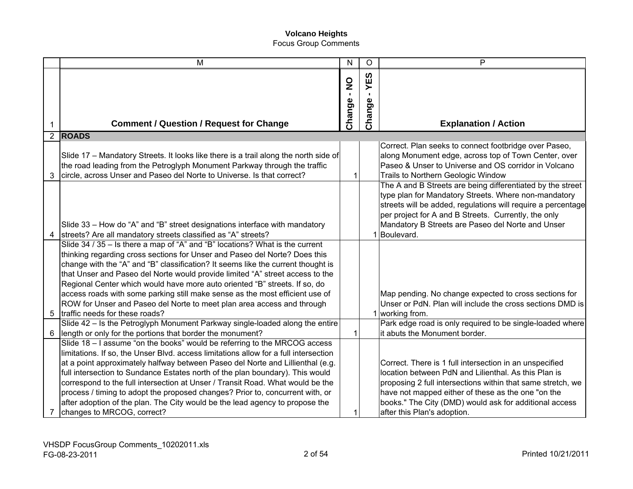|    | M                                                                                                                                                                                                                                                                                                                                                                                                                                                                                                                                                                                                                     | $\mathsf{N}$ | O                  | P                                                                                                                                                                                                                                                                                                                             |
|----|-----------------------------------------------------------------------------------------------------------------------------------------------------------------------------------------------------------------------------------------------------------------------------------------------------------------------------------------------------------------------------------------------------------------------------------------------------------------------------------------------------------------------------------------------------------------------------------------------------------------------|--------------|--------------------|-------------------------------------------------------------------------------------------------------------------------------------------------------------------------------------------------------------------------------------------------------------------------------------------------------------------------------|
|    |                                                                                                                                                                                                                                                                                                                                                                                                                                                                                                                                                                                                                       | Change - NO  | YES<br>Φ<br>Change |                                                                                                                                                                                                                                                                                                                               |
| 1  | <b>Comment / Question / Request for Change</b>                                                                                                                                                                                                                                                                                                                                                                                                                                                                                                                                                                        |              |                    | <b>Explanation / Action</b>                                                                                                                                                                                                                                                                                                   |
|    | 2 ROADS                                                                                                                                                                                                                                                                                                                                                                                                                                                                                                                                                                                                               |              |                    |                                                                                                                                                                                                                                                                                                                               |
| 3  | Slide 17 - Mandatory Streets. It looks like there is a trail along the north side of<br>the road leading from the Petroglyph Monument Parkway through the traffic<br>circle, across Unser and Paseo del Norte to Universe. Is that correct?                                                                                                                                                                                                                                                                                                                                                                           | 1            |                    | Correct. Plan seeks to connect footbridge over Paseo,<br>along Monument edge, across top of Town Center, over<br>Paseo & Unser to Universe and OS corridor in Volcano<br>Trails to Northern Geologic Window                                                                                                                   |
|    | Slide 33 - How do "A" and "B" street designations interface with mandatory<br>streets? Are all mandatory streets classified as "A" streets?                                                                                                                                                                                                                                                                                                                                                                                                                                                                           |              |                    | The A and B Streets are being differentiated by the street<br>type plan for Mandatory Streets. Where non-mandatory<br>streets will be added, regulations will require a percentage<br>per project for A and B Streets. Currently, the only<br>Mandatory B Streets are Paseo del Norte and Unser<br>1 Boulevard.               |
| 5. | Slide 34 / 35 - Is there a map of "A" and "B" locations? What is the current<br>thinking regarding cross sections for Unser and Paseo del Norte? Does this<br>change with the "A" and "B" classification? It seems like the current thought is<br>that Unser and Paseo del Norte would provide limited "A" street access to the<br>Regional Center which would have more auto oriented "B" streets. If so, do<br>access roads with some parking still make sense as the most efficient use of<br>ROW for Unser and Paseo del Norte to meet plan area access and through<br>traffic needs for these roads?             |              |                    | Map pending. No change expected to cross sections for<br>Unser or PdN. Plan will include the cross sections DMD is<br>1 working from.                                                                                                                                                                                         |
| 6  | Slide 42 - Is the Petroglyph Monument Parkway single-loaded along the entire<br>length or only for the portions that border the monument?                                                                                                                                                                                                                                                                                                                                                                                                                                                                             |              |                    | Park edge road is only required to be single-loaded where<br>it abuts the Monument border.                                                                                                                                                                                                                                    |
|    | Slide 18 - I assume "on the books" would be referring to the MRCOG access<br>limitations. If so, the Unser Blvd. access limitations allow for a full intersection<br>at a point approximately halfway between Paseo del Norte and Lillienthal (e.g.<br>full intersection to Sundance Estates north of the plan boundary). This would<br>correspond to the full intersection at Unser / Transit Road. What would be the<br>process / timing to adopt the proposed changes? Prior to, concurrent with, or<br>after adoption of the plan. The City would be the lead agency to propose the<br>changes to MRCOG, correct? |              |                    | Correct. There is 1 full intersection in an unspecified<br>location between PdN and Lilienthal. As this Plan is<br>proposing 2 full intersections within that same stretch, we<br>have not mapped either of these as the one "on the<br>books." The City (DMD) would ask for additional access<br>after this Plan's adoption. |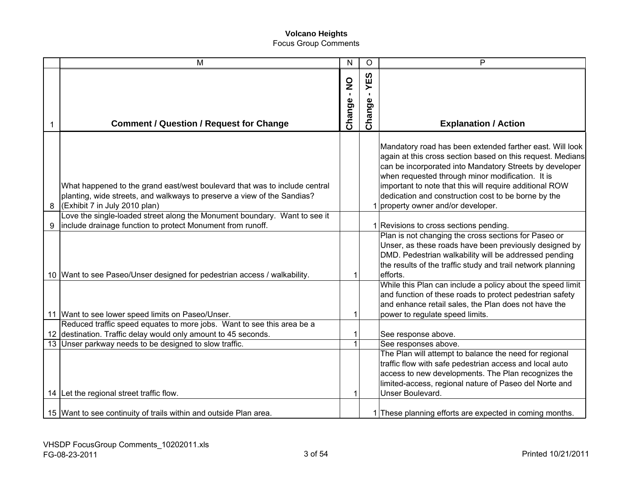|   | M                                                                                                                                                                                      | $\mathsf{N}$ | $\circ$                      | P                                                                                                                                                                                                                                                                                                                                                                                             |
|---|----------------------------------------------------------------------------------------------------------------------------------------------------------------------------------------|--------------|------------------------------|-----------------------------------------------------------------------------------------------------------------------------------------------------------------------------------------------------------------------------------------------------------------------------------------------------------------------------------------------------------------------------------------------|
|   | <b>Comment / Question / Request for Change</b>                                                                                                                                         | Change - NO  | 63<br>⋝<br>п.<br>Φ<br>Change | <b>Explanation / Action</b>                                                                                                                                                                                                                                                                                                                                                                   |
| 8 | What happened to the grand east/west boulevard that was to include central<br>planting, wide streets, and walkways to preserve a view of the Sandias?<br>(Exhibit 7 in July 2010 plan) |              |                              | Mandatory road has been extended farther east. Will look<br>again at this cross section based on this request. Medians<br>can be incorporated into Mandatory Streets by developer<br>when requested through minor modification. It is<br>important to note that this will require additional ROW<br>dedication and construction cost to be borne by the<br>1 property owner and/or developer. |
| 9 | Love the single-loaded street along the Monument boundary. Want to see it<br>include drainage function to protect Monument from runoff.                                                |              |                              | 1 Revisions to cross sections pending.                                                                                                                                                                                                                                                                                                                                                        |
|   | 10 Want to see Paseo/Unser designed for pedestrian access / walkability.                                                                                                               |              |                              | Plan is not changing the cross sections for Paseo or<br>Unser, as these roads have been previously designed by<br>DMD. Pedestrian walkability will be addressed pending<br>the results of the traffic study and trail network planning<br>efforts.                                                                                                                                            |
|   | 11 Want to see lower speed limits on Paseo/Unser.                                                                                                                                      |              |                              | While this Plan can include a policy about the speed limit<br>and function of these roads to protect pedestrian safety<br>and enhance retail sales, the Plan does not have the<br>power to regulate speed limits.                                                                                                                                                                             |
|   | Reduced traffic speed equates to more jobs. Want to see this area be a                                                                                                                 |              |                              |                                                                                                                                                                                                                                                                                                                                                                                               |
|   | 12 destination. Traffic delay would only amount to 45 seconds.                                                                                                                         | 1            |                              | See response above.                                                                                                                                                                                                                                                                                                                                                                           |
|   | 13 Unser parkway needs to be designed to slow traffic.<br>14 Let the regional street traffic flow.                                                                                     | $\mathbf{1}$ |                              | See responses above.<br>The Plan will attempt to balance the need for regional<br>traffic flow with safe pedestrian access and local auto<br>access to new developments. The Plan recognizes the<br>limited-access, regional nature of Paseo del Norte and<br>Unser Boulevard.                                                                                                                |
|   | 15 Want to see continuity of trails within and outside Plan area.                                                                                                                      |              |                              | 1 These planning efforts are expected in coming months.                                                                                                                                                                                                                                                                                                                                       |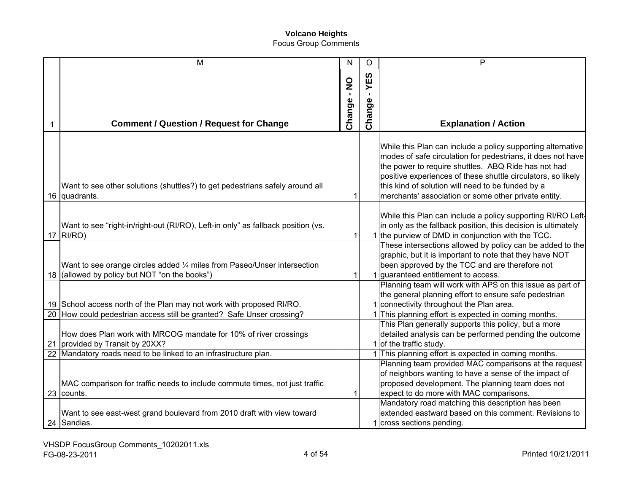| M                                                                                                                                                            | N           | $\circ$       | P                                                                                                                                                                                                                                                                                                                                                              |
|--------------------------------------------------------------------------------------------------------------------------------------------------------------|-------------|---------------|----------------------------------------------------------------------------------------------------------------------------------------------------------------------------------------------------------------------------------------------------------------------------------------------------------------------------------------------------------------|
| <b>Comment / Question / Request for Change</b>                                                                                                               | Change - NO | YES<br>Change | <b>Explanation / Action</b>                                                                                                                                                                                                                                                                                                                                    |
| Want to see other solutions (shuttles?) to get pedestrians safely around all<br>16 quadrants.                                                                | 1           |               | While this Plan can include a policy supporting alternative<br>modes of safe circulation for pedestrians, it does not have<br>the power to require shuttles. ABQ Ride has not had<br>positive experiences of these shuttle circulators, so likely<br>this kind of solution will need to be funded by a<br>merchants' association or some other private entity. |
| Want to see "right-in/right-out (RI/RO), Left-in only" as fallback position (vs.<br>$17$ RI/RO)                                                              | 1           |               | While this Plan can include a policy supporting RI/RO Left-<br>in only as the fallback position, this decision is ultimately<br>1 the purview of DMD in conjunction with the TCC.                                                                                                                                                                              |
| Want to see orange circles added 1/4 miles from Paseo/Unser intersection<br>18 (allowed by policy but NOT "on the books")                                    | 1           |               | These intersections allowed by policy can be added to the<br>graphic, but it is important to note that they have NOT<br>been approved by the TCC and are therefore not<br>1 guaranteed entitlement to access.                                                                                                                                                  |
| 19 School access north of the Plan may not work with proposed RI/RO.<br>20 How could pedestrian access still be granted? Safe Unser crossing?                |             |               | Planning team will work with APS on this issue as part of<br>the general planning effort to ensure safe pedestrian<br>1 connectivity throughout the Plan area.<br>1 This planning effort is expected in coming months.                                                                                                                                         |
| How does Plan work with MRCOG mandate for 10% of river crossings<br>21 provided by Transit by 20XX?                                                          |             |               | This Plan generally supports this policy, but a more<br>detailed analysis can be performed pending the outcome<br>1 of the traffic study.                                                                                                                                                                                                                      |
| 22 Mandatory roads need to be linked to an infrastructure plan.<br>MAC comparison for traffic needs to include commute times, not just traffic<br>23 counts. | 1           |               | 1 This planning effort is expected in coming months.<br>Planning team provided MAC comparisons at the request<br>of neighbors wanting to have a sense of the impact of<br>proposed development. The planning team does not<br>expect to do more with MAC comparisons.<br>Mandatory road matching this description has been                                     |
| Want to see east-west grand boulevard from 2010 draft with view toward<br>24 Sandias.                                                                        |             |               | extended eastward based on this comment. Revisions to<br>1 cross sections pending.                                                                                                                                                                                                                                                                             |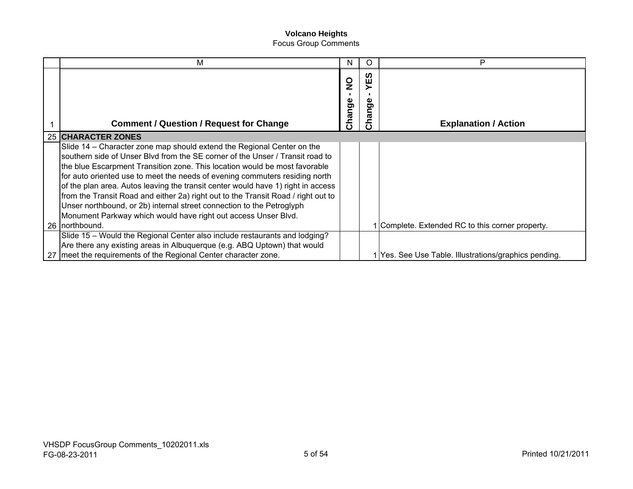| м                                                                                 | N                      |                       | P                                                     |
|-----------------------------------------------------------------------------------|------------------------|-----------------------|-------------------------------------------------------|
| <b>Comment / Question / Request for Change</b>                                    | $\frac{0}{z}$<br>hange | ທ<br>ш<br>Φ<br>ත<br>ᢐ | <b>Explanation / Action</b>                           |
| 25 CHARACTER ZONES                                                                |                        |                       |                                                       |
| Slide 14 – Character zone map should extend the Regional Center on the            |                        |                       |                                                       |
| southern side of Unser Blyd from the SE corner of the Unser / Transit road to     |                        |                       |                                                       |
| the blue Escarpment Transition zone. This location would be most favorable        |                        |                       |                                                       |
| for auto oriented use to meet the needs of evening commuters residing north       |                        |                       |                                                       |
| of the plan area. Autos leaving the transit center would have 1) right in access  |                        |                       |                                                       |
| from the Transit Road and either 2a) right out to the Transit Road / right out to |                        |                       |                                                       |
| Unser northbound, or 2b) internal street connection to the Petroglyph             |                        |                       |                                                       |
| Monument Parkway which would have right out access Unser Blvd.                    |                        |                       |                                                       |
| 26 northbound.                                                                    |                        |                       | 1 Complete. Extended RC to this corner property.      |
| Slide 15 - Would the Regional Center also include restaurants and lodging?        |                        |                       |                                                       |
| Are there any existing areas in Albuquerque (e.g. ABQ Uptown) that would          |                        |                       |                                                       |
| 27 meet the requirements of the Regional Center character zone.                   |                        |                       | 1 Yes. See Use Table. Illustrations/graphics pending. |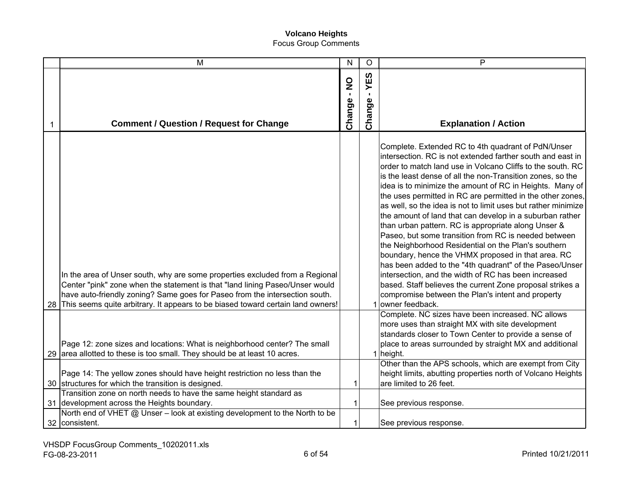|    | M                                                                                                                                                                                                                                                                                                                              | $\mathsf{N}$ | $\circ$                         | P                                                                                                                                                                                                                                                                                                                                                                                                                                                                                                                                                                                                                                                                                                                                                                                                                                                                                                                                                                                         |
|----|--------------------------------------------------------------------------------------------------------------------------------------------------------------------------------------------------------------------------------------------------------------------------------------------------------------------------------|--------------|---------------------------------|-------------------------------------------------------------------------------------------------------------------------------------------------------------------------------------------------------------------------------------------------------------------------------------------------------------------------------------------------------------------------------------------------------------------------------------------------------------------------------------------------------------------------------------------------------------------------------------------------------------------------------------------------------------------------------------------------------------------------------------------------------------------------------------------------------------------------------------------------------------------------------------------------------------------------------------------------------------------------------------------|
| 1  | <b>Comment / Question / Request for Change</b>                                                                                                                                                                                                                                                                                 | Change - NO  | YES<br>$\blacksquare$<br>Change | <b>Explanation / Action</b>                                                                                                                                                                                                                                                                                                                                                                                                                                                                                                                                                                                                                                                                                                                                                                                                                                                                                                                                                               |
| 28 | In the area of Unser south, why are some properties excluded from a Regional<br>Center "pink" zone when the statement is that "land lining Paseo/Unser would<br>have auto-friendly zoning? Same goes for Paseo from the intersection south.<br>This seems quite arbitrary. It appears to be biased toward certain land owners! |              |                                 | Complete. Extended RC to 4th quadrant of PdN/Unser<br>intersection. RC is not extended farther south and east in<br>order to match land use in Volcano Cliffs to the south. RC<br>is the least dense of all the non-Transition zones, so the<br>idea is to minimize the amount of RC in Heights. Many of<br>the uses permitted in RC are permitted in the other zones,<br>as well, so the idea is not to limit uses but rather minimize<br>the amount of land that can develop in a suburban rather<br>than urban pattern. RC is appropriate along Unser &<br>Paseo, but some transition from RC is needed between<br>the Neighborhood Residential on the Plan's southern<br>boundary, hence the VHMX proposed in that area. RC<br>has been added to the "4th quadrant" of the Paseo/Unser<br>intersection, and the width of RC has been increased<br>based. Staff believes the current Zone proposal strikes a<br>compromise between the Plan's intent and property<br>1 owner feedback. |
|    | Page 12: zone sizes and locations: What is neighborhood center? The small<br>29 area allotted to these is too small. They should be at least 10 acres.<br>Page 14: The yellow zones should have height restriction no less than the<br>30 structures for which the transition is designed.                                     | 1            |                                 | Complete. NC sizes have been increased. NC allows<br>more uses than straight MX with site development<br>standards closer to Town Center to provide a sense of<br>place to areas surrounded by straight MX and additional<br>1 height.<br>Other than the APS schools, which are exempt from City<br>height limits, abutting properties north of Volcano Heights<br>are limited to 26 feet.                                                                                                                                                                                                                                                                                                                                                                                                                                                                                                                                                                                                |
|    | Transition zone on north needs to have the same height standard as<br>31 development across the Heights boundary.<br>North end of VHET @ Unser - look at existing development to the North to be<br>32 consistent.                                                                                                             |              |                                 | See previous response.<br>See previous response.                                                                                                                                                                                                                                                                                                                                                                                                                                                                                                                                                                                                                                                                                                                                                                                                                                                                                                                                          |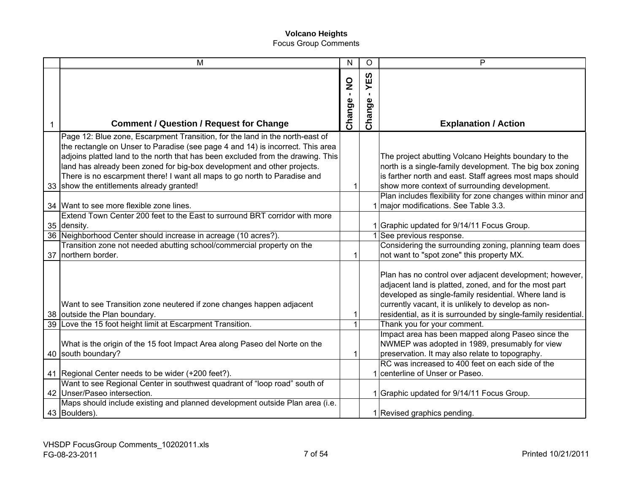|   | M                                                                                                                                                                                                                                                                                                                                                                                                                                                      | $\mathsf{N}$                             | O                           | P                                                                                                                                                                                                                                                                                                  |
|---|--------------------------------------------------------------------------------------------------------------------------------------------------------------------------------------------------------------------------------------------------------------------------------------------------------------------------------------------------------------------------------------------------------------------------------------------------------|------------------------------------------|-----------------------------|----------------------------------------------------------------------------------------------------------------------------------------------------------------------------------------------------------------------------------------------------------------------------------------------------|
| 1 | <b>Comment / Question / Request for Change</b>                                                                                                                                                                                                                                                                                                                                                                                                         | $\frac{0}{2}$<br>$\mathbf{I}$<br>Change- | ທ<br>Ш<br>≻<br>×,<br>Change | <b>Explanation / Action</b>                                                                                                                                                                                                                                                                        |
|   | Page 12: Blue zone, Escarpment Transition, for the land in the north-east of<br>the rectangle on Unser to Paradise (see page 4 and 14) is incorrect. This area<br>adjoins platted land to the north that has been excluded from the drawing. This<br>land has already been zoned for big-box development and other projects.<br>There is no escarpment there! I want all maps to go north to Paradise and<br>33 show the entitlements already granted! | 1                                        |                             | The project abutting Volcano Heights boundary to the<br>north is a single-family development. The big box zoning<br>is farther north and east. Staff agrees most maps should<br>show more context of surrounding development.                                                                      |
|   | 34 Want to see more flexible zone lines.                                                                                                                                                                                                                                                                                                                                                                                                               |                                          |                             | Plan includes flexibility for zone changes within minor and<br>1 major modifications. See Table 3.3.                                                                                                                                                                                               |
|   | Extend Town Center 200 feet to the East to surround BRT corridor with more<br>35 density.<br>36 Neighborhood Center should increase in acreage (10 acres?).<br>Transition zone not needed abutting school/commercial property on the<br>37 northern border.                                                                                                                                                                                            | 1                                        |                             | 1 Graphic updated for 9/14/11 Focus Group.<br>1 See previous response.<br>Considering the surrounding zoning, planning team does<br>not want to "spot zone" this property MX.                                                                                                                      |
|   | Want to see Transition zone neutered if zone changes happen adjacent<br>38 outside the Plan boundary.                                                                                                                                                                                                                                                                                                                                                  | 1                                        |                             | Plan has no control over adjacent development; however,<br>adjacent land is platted, zoned, and for the most part<br>developed as single-family residential. Where land is<br>currently vacant, it is unlikely to develop as non-<br>residential, as it is surrounded by single-family residential |
|   | 39 Love the 15 foot height limit at Escarpment Transition.<br>What is the origin of the 15 foot Impact Area along Paseo del Norte on the                                                                                                                                                                                                                                                                                                               | $\overline{1}$                           |                             | Thank you for your comment.<br>Impact area has been mapped along Paseo since the<br>NWMEP was adopted in 1989, presumably for view                                                                                                                                                                 |
|   | 40 south boundary?<br>41 Regional Center needs to be wider (+200 feet?).                                                                                                                                                                                                                                                                                                                                                                               | 1                                        |                             | preservation. It may also relate to topography.<br>RC was increased to 400 feet on each side of the<br>1 centerline of Unser or Paseo.                                                                                                                                                             |
|   | Want to see Regional Center in southwest quadrant of "loop road" south of<br>42 Unser/Paseo intersection.<br>Maps should include existing and planned development outside Plan area (i.e.                                                                                                                                                                                                                                                              |                                          |                             | 1 Graphic updated for 9/14/11 Focus Group.                                                                                                                                                                                                                                                         |
|   | 43 Boulders).                                                                                                                                                                                                                                                                                                                                                                                                                                          |                                          |                             | 1 Revised graphics pending.                                                                                                                                                                                                                                                                        |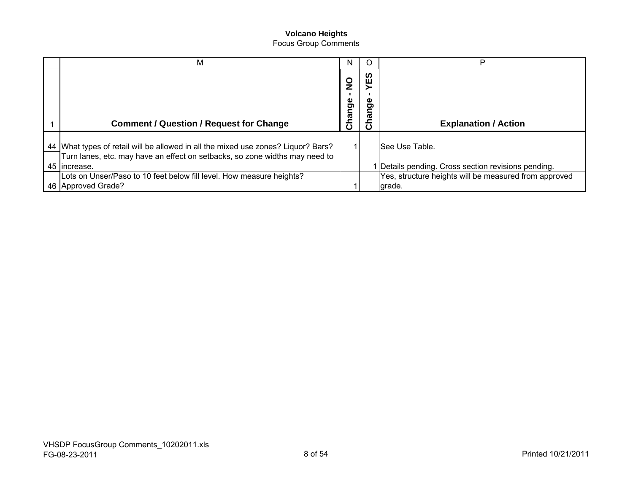| М                                                                                                                                                                | N                       |                        | D                                                                                                                    |
|------------------------------------------------------------------------------------------------------------------------------------------------------------------|-------------------------|------------------------|----------------------------------------------------------------------------------------------------------------------|
| <b>Comment / Question / Request for Change</b>                                                                                                                   | $\frac{0}{z}$<br>Change | ທ<br>ш<br>Φ<br>ರಾ<br>ω | <b>Explanation / Action</b>                                                                                          |
| 44 What types of retail will be allowed in all the mixed use zones? Liquor? Bars?<br>Turn lanes, etc. may have an effect on setbacks, so zone widths may need to |                         |                        | See Use Table.                                                                                                       |
| 45 Increase.<br>Lots on Unser/Paso to 10 feet below fill level. How measure heights?<br>46 Approved Grade?                                                       |                         |                        | Details pending. Cross section revisions pending.<br>Yes, structure heights will be measured from approved<br>grade. |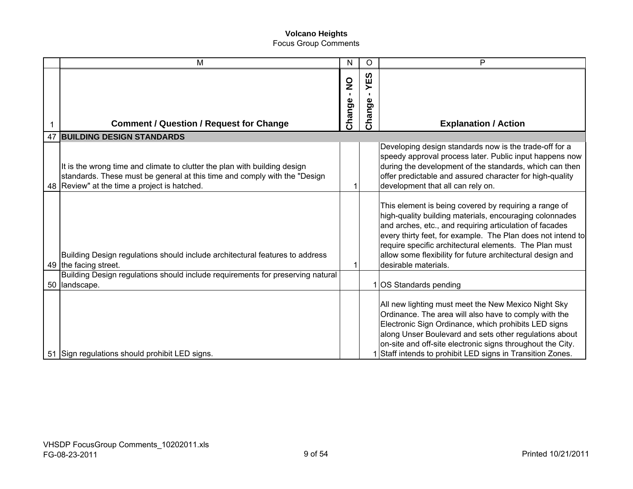| M                                                                                                                                                                                                        | N                                       | O                       | P                                                                                                                                                                                                                                                                                                                                                                                          |
|----------------------------------------------------------------------------------------------------------------------------------------------------------------------------------------------------------|-----------------------------------------|-------------------------|--------------------------------------------------------------------------------------------------------------------------------------------------------------------------------------------------------------------------------------------------------------------------------------------------------------------------------------------------------------------------------------------|
| <b>Comment / Question / Request for Change</b>                                                                                                                                                           | $\frac{0}{z}$<br>$\mathbf{L}$<br>Change | 5Ξ<br>п.<br>9e<br>Chang | <b>Explanation / Action</b>                                                                                                                                                                                                                                                                                                                                                                |
| 47 BUILDING DESIGN STANDARDS                                                                                                                                                                             |                                         |                         |                                                                                                                                                                                                                                                                                                                                                                                            |
| It is the wrong time and climate to clutter the plan with building design<br>standards. These must be general at this time and comply with the "Design<br>48   Review" at the time a project is hatched. |                                         |                         | Developing design standards now is the trade-off for a<br>speedy approval process later. Public input happens now<br>during the development of the standards, which can then<br>offer predictable and assured character for high-quality<br>development that all can rely on.                                                                                                              |
| Building Design regulations should include architectural features to address<br>49 the facing street.                                                                                                    |                                         |                         | This element is being covered by requiring a range of<br>high-quality building materials, encouraging colonnades<br>and arches, etc., and requiring articulation of facades<br>every thirty feet, for example. The Plan does not intend to<br>require specific architectural elements. The Plan must<br>allow some flexibility for future architectural design and<br>desirable materials. |
| Building Design regulations should include requirements for preserving natural<br>50 landscape.                                                                                                          |                                         |                         | 1 OS Standards pending                                                                                                                                                                                                                                                                                                                                                                     |
| 51 Sign regulations should prohibit LED signs.                                                                                                                                                           |                                         |                         | All new lighting must meet the New Mexico Night Sky<br>Ordinance. The area will also have to comply with the<br>Electronic Sign Ordinance, which prohibits LED signs<br>along Unser Boulevard and sets other regulations about<br>on-site and off-site electronic signs throughout the City.<br>1 Staff intends to prohibit LED signs in Transition Zones.                                 |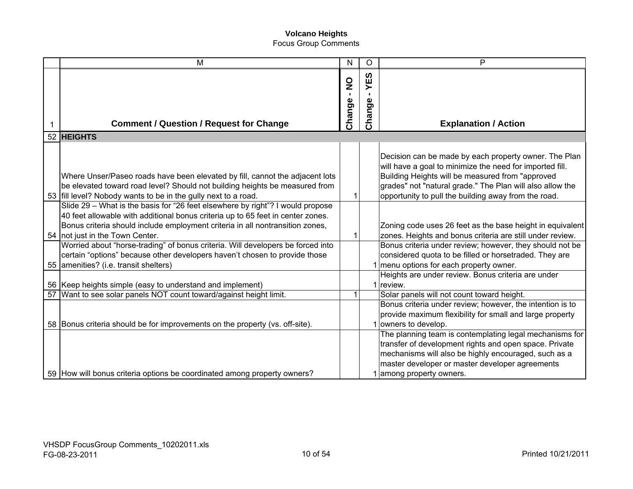| M                                                                                                                                                                                                                                                                                                                                                                                                                                                                                               | N                                       | $\circ$                       | P                                                                                                                                                                                                                                                                                          |
|-------------------------------------------------------------------------------------------------------------------------------------------------------------------------------------------------------------------------------------------------------------------------------------------------------------------------------------------------------------------------------------------------------------------------------------------------------------------------------------------------|-----------------------------------------|-------------------------------|--------------------------------------------------------------------------------------------------------------------------------------------------------------------------------------------------------------------------------------------------------------------------------------------|
| <b>Comment / Question / Request for Change</b>                                                                                                                                                                                                                                                                                                                                                                                                                                                  | $\frac{0}{2}$<br>$\mathbf{L}$<br>Change | YES<br>$\mathbf{L}$<br>Change | <b>Explanation / Action</b>                                                                                                                                                                                                                                                                |
| 52 HEIGHTS                                                                                                                                                                                                                                                                                                                                                                                                                                                                                      |                                         |                               |                                                                                                                                                                                                                                                                                            |
| Where Unser/Paseo roads have been elevated by fill, cannot the adjacent lots<br>be elevated toward road level? Should not building heights be measured from<br>53 fill level? Nobody wants to be in the gully next to a road.                                                                                                                                                                                                                                                                   |                                         |                               | Decision can be made by each property owner. The Plan<br>will have a goal to minimize the need for imported fill.<br>Building Heights will be measured from "approved<br>grades" not "natural grade." The Plan will also allow the<br>opportunity to pull the building away from the road. |
| Slide 29 - What is the basis for "26 feet elsewhere by right"? I would propose<br>40 feet allowable with additional bonus criteria up to 65 feet in center zones.<br>Bonus criteria should include employment criteria in all nontransition zones,<br>54 not just in the Town Center.<br>Worried about "horse-trading" of bonus criteria. Will developers be forced into<br>certain "options" because other developers haven't chosen to provide those<br>55 amenities? (i.e. transit shelters) |                                         |                               | Zoning code uses 26 feet as the base height in equivalent<br>zones. Heights and bonus criteria are still under review.<br>Bonus criteria under review; however, they should not be<br>considered quota to be filled or horsetraded. They are<br>1 menu options for each property owner.    |
| 56 Keep heights simple (easy to understand and implement)                                                                                                                                                                                                                                                                                                                                                                                                                                       |                                         |                               | Heights are under review. Bonus criteria are under<br>1 review.                                                                                                                                                                                                                            |
| 57   Want to see solar panels NOT count toward/against height limit.                                                                                                                                                                                                                                                                                                                                                                                                                            |                                         |                               | Solar panels will not count toward height.<br>Bonus criteria under review; however, the intention is to<br>provide maximum flexibility for small and large property                                                                                                                        |
| 58 Bonus criteria should be for improvements on the property (vs. off-site).<br>59 How will bonus criteria options be coordinated among property owners?                                                                                                                                                                                                                                                                                                                                        |                                         |                               | 1 owners to develop.<br>The planning team is contemplating legal mechanisms for<br>transfer of development rights and open space. Private<br>mechanisms will also be highly encouraged, such as a<br>master developer or master developer agreements<br>1 among property owners.           |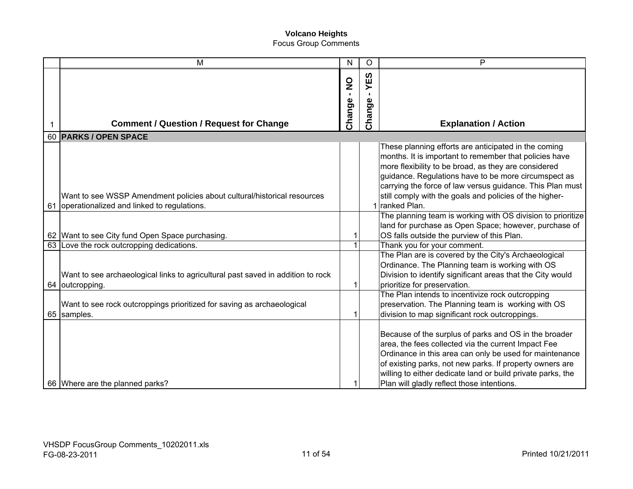| M                                                                                                                        | ${\sf N}$                               | O                   | P                                                                                                                                                                                                                                                                                                                                                                        |
|--------------------------------------------------------------------------------------------------------------------------|-----------------------------------------|---------------------|--------------------------------------------------------------------------------------------------------------------------------------------------------------------------------------------------------------------------------------------------------------------------------------------------------------------------------------------------------------------------|
| <b>Comment / Question / Request for Change</b>                                                                           | $\frac{0}{2}$<br>$\mathbf{L}$<br>Change | YES<br>п.<br>Change | <b>Explanation / Action</b>                                                                                                                                                                                                                                                                                                                                              |
| 60 PARKS / OPEN SPACE                                                                                                    |                                         |                     |                                                                                                                                                                                                                                                                                                                                                                          |
| Want to see WSSP Amendment policies about cultural/historical resources<br>61 operationalized and linked to regulations. |                                         |                     | These planning efforts are anticipated in the coming<br>months. It is important to remember that policies have<br>more flexibility to be broad, as they are considered<br>guidance. Regulations have to be more circumspect as<br>carrying the force of law versus guidance. This Plan must<br>still comply with the goals and policies of the higher-<br>1 ranked Plan. |
|                                                                                                                          |                                         |                     | The planning team is working with OS division to prioritize                                                                                                                                                                                                                                                                                                              |
| 62 Want to see City fund Open Space purchasing.                                                                          | 1                                       |                     | land for purchase as Open Space; however, purchase of<br>OS falls outside the purview of this Plan.                                                                                                                                                                                                                                                                      |
| 63 Love the rock outcropping dedications.                                                                                | 1                                       |                     | Thank you for your comment.                                                                                                                                                                                                                                                                                                                                              |
| Want to see archaeological links to agricultural past saved in addition to rock<br>64 outcropping.                       |                                         |                     | The Plan are is covered by the City's Archaeological<br>Ordinance. The Planning team is working with OS<br>Division to identify significant areas that the City would<br>prioritize for preservation.                                                                                                                                                                    |
| Want to see rock outcroppings prioritized for saving as archaeological<br>65 samples.                                    |                                         |                     | The Plan intends to incentivize rock outcropping<br>preservation. The Planning team is working with OS<br>division to map significant rock outcroppings.                                                                                                                                                                                                                 |
| 66 Where are the planned parks?                                                                                          |                                         |                     | Because of the surplus of parks and OS in the broader<br>area, the fees collected via the current Impact Fee<br>Ordinance in this area can only be used for maintenance<br>of existing parks, not new parks. If property owners are<br>willing to either dedicate land or build private parks, the<br>Plan will gladly reflect those intentions.                         |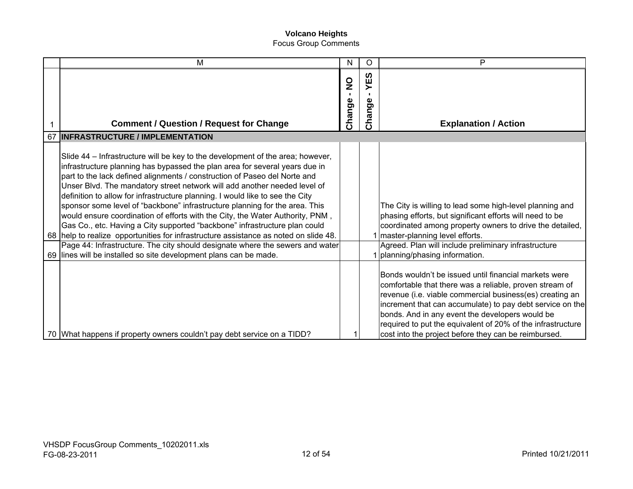|    | M                                                                                                                                                                                                                                                                                                                                                                                                                                                                                                                                                                                                                                                                                                                                                                                                                                 | N                                       | O                          | P                                                                                                                                                                                                                                                                                                                                                                                                                   |
|----|-----------------------------------------------------------------------------------------------------------------------------------------------------------------------------------------------------------------------------------------------------------------------------------------------------------------------------------------------------------------------------------------------------------------------------------------------------------------------------------------------------------------------------------------------------------------------------------------------------------------------------------------------------------------------------------------------------------------------------------------------------------------------------------------------------------------------------------|-----------------------------------------|----------------------------|---------------------------------------------------------------------------------------------------------------------------------------------------------------------------------------------------------------------------------------------------------------------------------------------------------------------------------------------------------------------------------------------------------------------|
|    | <b>Comment / Question / Request for Change</b>                                                                                                                                                                                                                                                                                                                                                                                                                                                                                                                                                                                                                                                                                                                                                                                    | $\frac{0}{2}$<br>$\mathbf{L}$<br>Change | ທ<br>٣Ë<br>შ<br>მ<br>Chang | <b>Explanation / Action</b>                                                                                                                                                                                                                                                                                                                                                                                         |
| 67 | <b>INFRASTRUCTURE / IMPLEMENTATION</b>                                                                                                                                                                                                                                                                                                                                                                                                                                                                                                                                                                                                                                                                                                                                                                                            |                                         |                            |                                                                                                                                                                                                                                                                                                                                                                                                                     |
|    | Slide 44 – Infrastructure will be key to the development of the area; however,<br>infrastructure planning has bypassed the plan area for several years due in<br>part to the lack defined alignments / construction of Paseo del Norte and<br>Unser Blvd. The mandatory street network will add another needed level of<br>definition to allow for infrastructure planning. I would like to see the City<br>sponsor some level of "backbone" infrastructure planning for the area. This<br>would ensure coordination of efforts with the City, the Water Authority, PNM,<br>Gas Co., etc. Having a City supported "backbone" infrastructure plan could<br>68   help to realize opportunities for infrastructure assistance as noted on slide 48.<br>Page 44: Infrastructure. The city should designate where the sewers and water |                                         |                            | The City is willing to lead some high-level planning and<br>phasing efforts, but significant efforts will need to be<br>coordinated among property owners to drive the detailed,<br>1 master-planning level efforts.<br>Agreed. Plan will include preliminary infrastructure                                                                                                                                        |
|    | 69 lines will be installed so site development plans can be made.                                                                                                                                                                                                                                                                                                                                                                                                                                                                                                                                                                                                                                                                                                                                                                 |                                         |                            | 1 planning/phasing information.                                                                                                                                                                                                                                                                                                                                                                                     |
|    | 70 What happens if property owners couldn't pay debt service on a TIDD?                                                                                                                                                                                                                                                                                                                                                                                                                                                                                                                                                                                                                                                                                                                                                           |                                         |                            | Bonds wouldn't be issued until financial markets were<br>comfortable that there was a reliable, proven stream of<br>revenue (i.e. viable commercial business(es) creating an<br>increment that can accumulate) to pay debt service on the<br>bonds. And in any event the developers would be<br>required to put the equivalent of 20% of the infrastructure<br>cost into the project before they can be reimbursed. |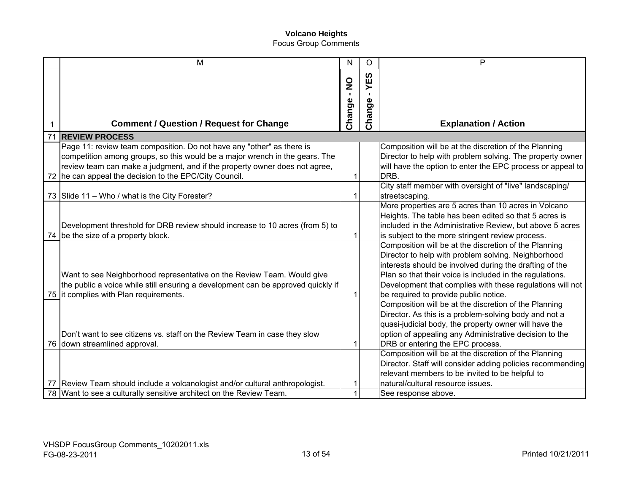|    | M                                                                                                                                                          | N                                        | O                                  | P                                                                                                                                                                                                                                                                                                |
|----|------------------------------------------------------------------------------------------------------------------------------------------------------------|------------------------------------------|------------------------------------|--------------------------------------------------------------------------------------------------------------------------------------------------------------------------------------------------------------------------------------------------------------------------------------------------|
| 1  | <b>Comment / Question / Request for Change</b>                                                                                                             | $\frac{0}{2}$<br>$\mathbf{L}$<br>Change- | YES<br>$\mathbf{I}$<br>Φ<br>Change | <b>Explanation / Action</b>                                                                                                                                                                                                                                                                      |
| 71 | <b>REVIEW PROCESS</b>                                                                                                                                      |                                          |                                    |                                                                                                                                                                                                                                                                                                  |
|    | Page 11: review team composition. Do not have any "other" as there is                                                                                      |                                          |                                    | Composition will be at the discretion of the Planning                                                                                                                                                                                                                                            |
|    | competition among groups, so this would be a major wrench in the gears. The                                                                                |                                          |                                    | Director to help with problem solving. The property owner                                                                                                                                                                                                                                        |
| 72 | review team can make a judgment, and if the property owner does not agree,<br>he can appeal the decision to the EPC/City Council.                          |                                          |                                    | will have the option to enter the EPC process or appeal to<br>DRB.                                                                                                                                                                                                                               |
|    |                                                                                                                                                            |                                          |                                    | City staff member with oversight of "live" landscaping/                                                                                                                                                                                                                                          |
|    | 73 Slide 11 - Who / what is the City Forester?                                                                                                             | 1                                        |                                    | streetscaping.                                                                                                                                                                                                                                                                                   |
|    | Development threshold for DRB review should increase to 10 acres (from 5) to<br>74 be the size of a property block.                                        |                                          |                                    | More properties are 5 acres than 10 acres in Volcano<br>Heights. The table has been edited so that 5 acres is<br>included in the Administrative Review, but above 5 acres<br>is subject to the more stringent review process.                                                                    |
|    | Want to see Neighborhood representative on the Review Team. Would give<br>the public a voice while still ensuring a development can be approved quickly if |                                          |                                    | Composition will be at the discretion of the Planning<br>Director to help with problem solving. Neighborhood<br>interests should be involved during the drafting of the<br>Plan so that their voice is included in the regulations.<br>Development that complies with these regulations will not |
|    | 75 it complies with Plan requirements.                                                                                                                     |                                          |                                    | be required to provide public notice.<br>Composition will be at the discretion of the Planning                                                                                                                                                                                                   |
|    | Don't want to see citizens vs. staff on the Review Team in case they slow<br>76 down streamlined approval.                                                 | 1                                        |                                    | Director. As this is a problem-solving body and not a<br>quasi-judicial body, the property owner will have the<br>option of appealing any Administrative decision to the<br>DRB or entering the EPC process.                                                                                     |
|    |                                                                                                                                                            |                                          |                                    | Composition will be at the discretion of the Planning                                                                                                                                                                                                                                            |
|    |                                                                                                                                                            |                                          |                                    | Director. Staff will consider adding policies recommending                                                                                                                                                                                                                                       |
|    |                                                                                                                                                            |                                          |                                    | relevant members to be invited to be helpful to                                                                                                                                                                                                                                                  |
|    | 77 Review Team should include a volcanologist and/or cultural anthropologist.                                                                              |                                          |                                    | natural/cultural resource issues.                                                                                                                                                                                                                                                                |
|    | 78 Want to see a culturally sensitive architect on the Review Team.                                                                                        | 1                                        |                                    | See response above.                                                                                                                                                                                                                                                                              |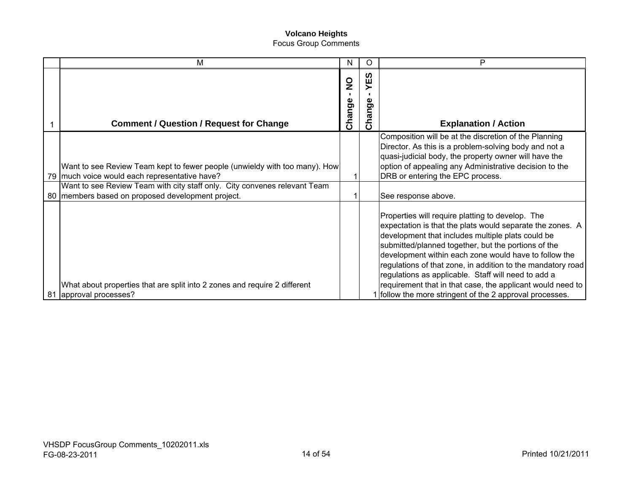| М                                                                                                                              | N                             | O                               | P                                                                                                                                                                                                                                                                                                                                                                                                                                                                                                                                  |
|--------------------------------------------------------------------------------------------------------------------------------|-------------------------------|---------------------------------|------------------------------------------------------------------------------------------------------------------------------------------------------------------------------------------------------------------------------------------------------------------------------------------------------------------------------------------------------------------------------------------------------------------------------------------------------------------------------------------------------------------------------------|
| <b>Comment / Question / Request for Change</b>                                                                                 | $\frac{0}{2}$<br>п.<br>Change | ທ<br>ш<br>შ<br>მ<br>Ē<br>m<br>S | <b>Explanation / Action</b>                                                                                                                                                                                                                                                                                                                                                                                                                                                                                                        |
| Want to see Review Team kept to fewer people (unwieldy with too many). How<br>79 much voice would each representative have?    |                               |                                 | Composition will be at the discretion of the Planning<br>Director. As this is a problem-solving body and not a<br>quasi-judicial body, the property owner will have the<br>option of appealing any Administrative decision to the<br>DRB or entering the EPC process.                                                                                                                                                                                                                                                              |
| Want to see Review Team with city staff only. City convenes relevant Team<br>80 members based on proposed development project. |                               |                                 | See response above.                                                                                                                                                                                                                                                                                                                                                                                                                                                                                                                |
| What about properties that are split into 2 zones and require 2 different<br>81 approval processes?                            |                               |                                 | Properties will require platting to develop. The<br>expectation is that the plats would separate the zones. A<br>development that includes multiple plats could be<br>submitted/planned together, but the portions of the<br>development within each zone would have to follow the<br>regulations of that zone, in addition to the mandatory road<br>regulations as applicable. Staff will need to add a<br>requirement that in that case, the applicant would need to<br>1 follow the more stringent of the 2 approval processes. |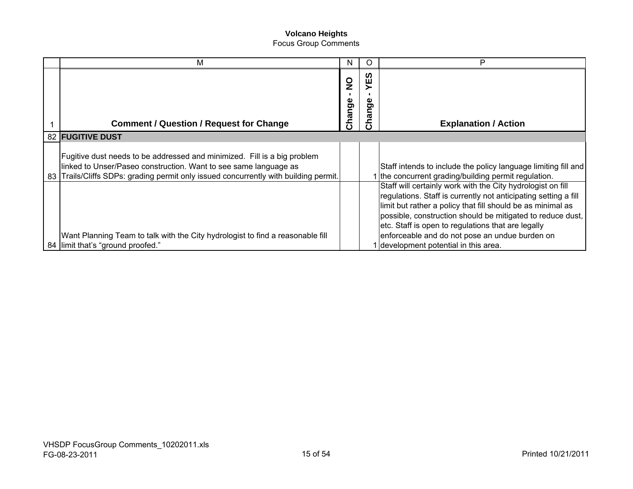|    | м                                                                                                                                                                                                                                 | N                       |                       | P                                                                                                                                                                                                                                                                                                                                                                                                          |
|----|-----------------------------------------------------------------------------------------------------------------------------------------------------------------------------------------------------------------------------------|-------------------------|-----------------------|------------------------------------------------------------------------------------------------------------------------------------------------------------------------------------------------------------------------------------------------------------------------------------------------------------------------------------------------------------------------------------------------------------|
|    | <b>Comment / Question / Request for Change</b>                                                                                                                                                                                    | $\frac{0}{2}$<br>Change | ທ<br>ш<br>ω<br>Ō<br>ᢐ | <b>Explanation / Action</b>                                                                                                                                                                                                                                                                                                                                                                                |
|    | 82 FUGITIVE DUST                                                                                                                                                                                                                  |                         |                       |                                                                                                                                                                                                                                                                                                                                                                                                            |
| 83 | Fugitive dust needs to be addressed and minimized. Fill is a big problem<br>linked to Unser/Paseo construction. Want to see same language as<br>Trails/Cliffs SDPs: grading permit only issued concurrently with building permit. |                         |                       | Staff intends to include the policy language limiting fill and<br>1 the concurrent grading/building permit regulation.                                                                                                                                                                                                                                                                                     |
|    | Want Planning Team to talk with the City hydrologist to find a reasonable fill<br>84 limit that's "ground proofed."                                                                                                               |                         |                       | Staff will certainly work with the City hydrologist on fill<br>regulations. Staff is currently not anticipating setting a fill<br>limit but rather a policy that fill should be as minimal as<br>possible, construction should be mitigated to reduce dust,<br>etc. Staff is open to regulations that are legally<br>enforceable and do not pose an undue burden on<br>development potential in this area. |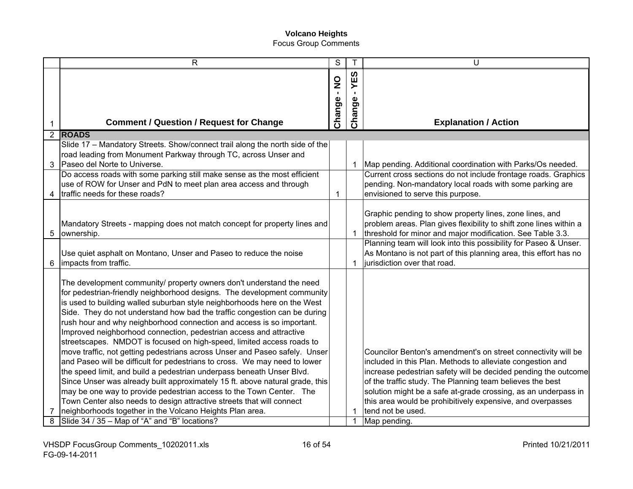|   | R                                                                                                                                                                                                                                                                                                                                                                                                                                                                                                                                                                                                                                                                                                                                                                                                                                                                                                                                                                                                                                                                 | S                |              | U                                                                                                                                                                                                                                                                                                                                                                                                               |
|---|-------------------------------------------------------------------------------------------------------------------------------------------------------------------------------------------------------------------------------------------------------------------------------------------------------------------------------------------------------------------------------------------------------------------------------------------------------------------------------------------------------------------------------------------------------------------------------------------------------------------------------------------------------------------------------------------------------------------------------------------------------------------------------------------------------------------------------------------------------------------------------------------------------------------------------------------------------------------------------------------------------------------------------------------------------------------|------------------|--------------|-----------------------------------------------------------------------------------------------------------------------------------------------------------------------------------------------------------------------------------------------------------------------------------------------------------------------------------------------------------------------------------------------------------------|
|   |                                                                                                                                                                                                                                                                                                                                                                                                                                                                                                                                                                                                                                                                                                                                                                                                                                                                                                                                                                                                                                                                   | $\sum_{i=1}^{n}$ | YES          |                                                                                                                                                                                                                                                                                                                                                                                                                 |
|   |                                                                                                                                                                                                                                                                                                                                                                                                                                                                                                                                                                                                                                                                                                                                                                                                                                                                                                                                                                                                                                                                   | Change-          | Change       |                                                                                                                                                                                                                                                                                                                                                                                                                 |
|   | <b>Comment / Question / Request for Change</b>                                                                                                                                                                                                                                                                                                                                                                                                                                                                                                                                                                                                                                                                                                                                                                                                                                                                                                                                                                                                                    |                  |              | <b>Explanation / Action</b>                                                                                                                                                                                                                                                                                                                                                                                     |
|   | 2 ROADS                                                                                                                                                                                                                                                                                                                                                                                                                                                                                                                                                                                                                                                                                                                                                                                                                                                                                                                                                                                                                                                           |                  |              |                                                                                                                                                                                                                                                                                                                                                                                                                 |
|   | Slide 17 - Mandatory Streets. Show/connect trail along the north side of the                                                                                                                                                                                                                                                                                                                                                                                                                                                                                                                                                                                                                                                                                                                                                                                                                                                                                                                                                                                      |                  |              |                                                                                                                                                                                                                                                                                                                                                                                                                 |
|   | road leading from Monument Parkway through TC, across Unser and                                                                                                                                                                                                                                                                                                                                                                                                                                                                                                                                                                                                                                                                                                                                                                                                                                                                                                                                                                                                   |                  |              |                                                                                                                                                                                                                                                                                                                                                                                                                 |
| 3 | Paseo del Norte to Universe.                                                                                                                                                                                                                                                                                                                                                                                                                                                                                                                                                                                                                                                                                                                                                                                                                                                                                                                                                                                                                                      |                  | 1            | Map pending. Additional coordination with Parks/Os needed.                                                                                                                                                                                                                                                                                                                                                      |
|   | Do access roads with some parking still make sense as the most efficient                                                                                                                                                                                                                                                                                                                                                                                                                                                                                                                                                                                                                                                                                                                                                                                                                                                                                                                                                                                          |                  |              | Current cross sections do not include frontage roads. Graphics                                                                                                                                                                                                                                                                                                                                                  |
|   | use of ROW for Unser and PdN to meet plan area access and through                                                                                                                                                                                                                                                                                                                                                                                                                                                                                                                                                                                                                                                                                                                                                                                                                                                                                                                                                                                                 |                  |              | pending. Non-mandatory local roads with some parking are                                                                                                                                                                                                                                                                                                                                                        |
|   | traffic needs for these roads?                                                                                                                                                                                                                                                                                                                                                                                                                                                                                                                                                                                                                                                                                                                                                                                                                                                                                                                                                                                                                                    | $\mathbf 1$      |              | envisioned to serve this purpose.                                                                                                                                                                                                                                                                                                                                                                               |
| 5 | Mandatory Streets - mapping does not match concept for property lines and<br>ownership.                                                                                                                                                                                                                                                                                                                                                                                                                                                                                                                                                                                                                                                                                                                                                                                                                                                                                                                                                                           |                  |              | Graphic pending to show property lines, zone lines, and<br>problem areas. Plan gives flexibility to shift zone lines within a<br>threshold for minor and major modification. See Table 3.3.                                                                                                                                                                                                                     |
| 6 | Use quiet asphalt on Montano, Unser and Paseo to reduce the noise<br>impacts from traffic.                                                                                                                                                                                                                                                                                                                                                                                                                                                                                                                                                                                                                                                                                                                                                                                                                                                                                                                                                                        |                  | 1            | Planning team will look into this possibility for Paseo & Unser.<br>As Montano is not part of this planning area, this effort has no<br>jurisdiction over that road.                                                                                                                                                                                                                                            |
|   | The development community/ property owners don't understand the need<br>for pedestrian-friendly neighborhood designs. The development community<br>is used to building walled suburban style neighborhoods here on the West<br>Side. They do not understand how bad the traffic congestion can be during<br>rush hour and why neighborhood connection and access is so important.<br>Improved neighborhood connection, pedestrian access and attractive<br>streetscapes. NMDOT is focused on high-speed, limited access roads to<br>move traffic, not getting pedestrians across Unser and Paseo safely. Unser<br>and Paseo will be difficult for pedestrians to cross. We may need to lower<br>the speed limit, and build a pedestrian underpass beneath Unser Blvd.<br>Since Unser was already built approximately 15 ft. above natural grade, this<br>may be one way to provide pedestrian access to the Town Center. The<br>Town Center also needs to design attractive streets that will connect<br>neighborhoods together in the Volcano Heights Plan area. |                  | $\mathbf 1$  | Councilor Benton's amendment's on street connectivity will be<br>included in this Plan. Methods to alleviate congestion and<br>increase pedestrian safety will be decided pending the outcome<br>of the traffic study. The Planning team believes the best<br>solution might be a safe at-grade crossing, as an underpass in<br>this area would be prohibitively expensive, and overpasses<br>tend not be used. |
| 8 | Slide 34 / 35 - Map of "A" and "B" locations?                                                                                                                                                                                                                                                                                                                                                                                                                                                                                                                                                                                                                                                                                                                                                                                                                                                                                                                                                                                                                     |                  | $\mathbf{1}$ | Map pending.                                                                                                                                                                                                                                                                                                                                                                                                    |
|   |                                                                                                                                                                                                                                                                                                                                                                                                                                                                                                                                                                                                                                                                                                                                                                                                                                                                                                                                                                                                                                                                   |                  |              |                                                                                                                                                                                                                                                                                                                                                                                                                 |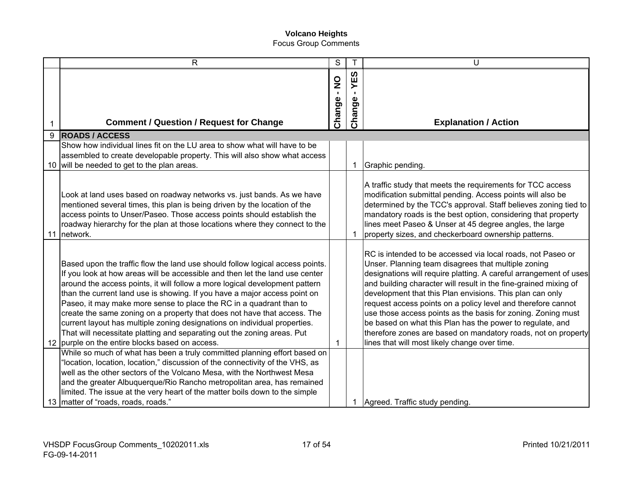|    | $\mathsf{R}$                                                                                                                                                                                                                                                                                                                                                                                                                                                                                                                                                                                                                                                                                                                                                         | S                       |               | U                                                                                                                                                                                                                                                                                                                                                                                                                                                                                                                                                                                                                                      |
|----|----------------------------------------------------------------------------------------------------------------------------------------------------------------------------------------------------------------------------------------------------------------------------------------------------------------------------------------------------------------------------------------------------------------------------------------------------------------------------------------------------------------------------------------------------------------------------------------------------------------------------------------------------------------------------------------------------------------------------------------------------------------------|-------------------------|---------------|----------------------------------------------------------------------------------------------------------------------------------------------------------------------------------------------------------------------------------------------------------------------------------------------------------------------------------------------------------------------------------------------------------------------------------------------------------------------------------------------------------------------------------------------------------------------------------------------------------------------------------------|
|    |                                                                                                                                                                                                                                                                                                                                                                                                                                                                                                                                                                                                                                                                                                                                                                      | $\frac{1}{2}$<br>Change | YES<br>Change |                                                                                                                                                                                                                                                                                                                                                                                                                                                                                                                                                                                                                                        |
|    | <b>Comment / Question / Request for Change</b>                                                                                                                                                                                                                                                                                                                                                                                                                                                                                                                                                                                                                                                                                                                       |                         |               | <b>Explanation / Action</b>                                                                                                                                                                                                                                                                                                                                                                                                                                                                                                                                                                                                            |
| 9  | <b>ROADS / ACCESS</b>                                                                                                                                                                                                                                                                                                                                                                                                                                                                                                                                                                                                                                                                                                                                                |                         |               |                                                                                                                                                                                                                                                                                                                                                                                                                                                                                                                                                                                                                                        |
|    | Show how individual lines fit on the LU area to show what will have to be<br>assembled to create developable property. This will also show what access<br>10 will be needed to get to the plan areas.                                                                                                                                                                                                                                                                                                                                                                                                                                                                                                                                                                |                         | -1            | Graphic pending.                                                                                                                                                                                                                                                                                                                                                                                                                                                                                                                                                                                                                       |
| 11 | Look at land uses based on roadway networks vs. just bands. As we have<br>mentioned several times, this plan is being driven by the location of the<br>access points to Unser/Paseo. Those access points should establish the<br>roadway hierarchy for the plan at those locations where they connect to the<br>network.                                                                                                                                                                                                                                                                                                                                                                                                                                             |                         |               | A traffic study that meets the requirements for TCC access<br>modification submittal pending. Access points will also be<br>determined by the TCC's approval. Staff believes zoning tied to<br>mandatory roads is the best option, considering that property<br>lines meet Paseo & Unser at 45 degree angles, the large<br>property sizes, and checkerboard ownership patterns.                                                                                                                                                                                                                                                        |
|    | Based upon the traffic flow the land use should follow logical access points.<br>If you look at how areas will be accessible and then let the land use center<br>around the access points, it will follow a more logical development pattern<br>than the current land use is showing. If you have a major access point on<br>Paseo, it may make more sense to place the RC in a quadrant than to<br>create the same zoning on a property that does not have that access. The<br>current layout has multiple zoning designations on individual properties.<br>That will necessitate platting and separating out the zoning areas. Put<br>12 purple on the entire blocks based on access.<br>While so much of what has been a truly committed planning effort based on | 1                       |               | RC is intended to be accessed via local roads, not Paseo or<br>Unser. Planning team disagrees that multiple zoning<br>designations will require platting. A careful arrangement of uses<br>and building character will result in the fine-grained mixing of<br>development that this Plan envisions. This plan can only<br>request access points on a policy level and therefore cannot<br>use those access points as the basis for zoning. Zoning must<br>be based on what this Plan has the power to regulate, and<br>therefore zones are based on mandatory roads, not on property<br>lines that will most likely change over time. |
|    | "location, location, location," discussion of the connectivity of the VHS, as<br>well as the other sectors of the Volcano Mesa, with the Northwest Mesa<br>and the greater Albuquerque/Rio Rancho metropolitan area, has remained<br>limited. The issue at the very heart of the matter boils down to the simple<br>13 matter of "roads, roads, roads."                                                                                                                                                                                                                                                                                                                                                                                                              |                         |               | Agreed. Traffic study pending.                                                                                                                                                                                                                                                                                                                                                                                                                                                                                                                                                                                                         |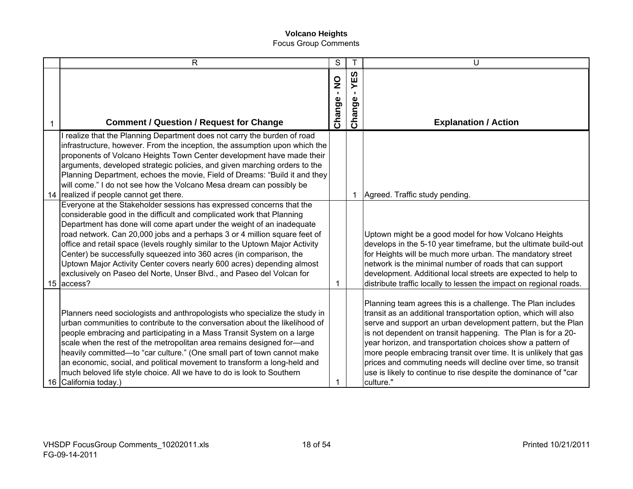| $\mathsf{R}$                                                                                                                                                                                                                                                                                                                                                                                                                                                                                                                                                                                                                | S                 |                       | U                                                                                                                                                                                                                                                                                                                                                                                                                                                                                                                                                 |
|-----------------------------------------------------------------------------------------------------------------------------------------------------------------------------------------------------------------------------------------------------------------------------------------------------------------------------------------------------------------------------------------------------------------------------------------------------------------------------------------------------------------------------------------------------------------------------------------------------------------------------|-------------------|-----------------------|---------------------------------------------------------------------------------------------------------------------------------------------------------------------------------------------------------------------------------------------------------------------------------------------------------------------------------------------------------------------------------------------------------------------------------------------------------------------------------------------------------------------------------------------------|
| <b>Comment / Question / Request for Change</b>                                                                                                                                                                                                                                                                                                                                                                                                                                                                                                                                                                              | oz<br>.<br>Change | ທ<br>Ш<br>≻<br>Change | <b>Explanation / Action</b>                                                                                                                                                                                                                                                                                                                                                                                                                                                                                                                       |
| realize that the Planning Department does not carry the burden of road<br>infrastructure, however. From the inception, the assumption upon which the<br>proponents of Volcano Heights Town Center development have made their<br>arguments, developed strategic policies, and given marching orders to the<br>Planning Department, echoes the movie, Field of Dreams: "Build it and they<br>will come." I do not see how the Volcano Mesa dream can possibly be<br>14 realized if people cannot get there.                                                                                                                  |                   | -1                    | Agreed. Traffic study pending.                                                                                                                                                                                                                                                                                                                                                                                                                                                                                                                    |
| Everyone at the Stakeholder sessions has expressed concerns that the<br>considerable good in the difficult and complicated work that Planning<br>Department has done will come apart under the weight of an inadequate<br>road network. Can 20,000 jobs and a perhaps 3 or 4 million square feet of<br>office and retail space (levels roughly similar to the Uptown Major Activity<br>Center) be successfully squeezed into 360 acres (in comparison, the<br>Uptown Major Activity Center covers nearly 600 acres) depending almost<br>exclusively on Paseo del Norte, Unser Blvd., and Paseo del Volcan for<br>15 access? |                   |                       | Uptown might be a good model for how Volcano Heights<br>develops in the 5-10 year timeframe, but the ultimate build-out<br>for Heights will be much more urban. The mandatory street<br>network is the minimal number of roads that can support<br>development. Additional local streets are expected to help to<br>distribute traffic locally to lessen the impact on regional roads.                                                                                                                                                            |
| Planners need sociologists and anthropologists who specialize the study in<br>urban communities to contribute to the conversation about the likelihood of<br>people embracing and participating in a Mass Transit System on a large<br>scale when the rest of the metropolitan area remains designed for-and<br>heavily committed-to "car culture." (One small part of town cannot make<br>an economic, social, and political movement to transform a long-held and<br>much beloved life style choice. All we have to do is look to Southern<br>16 California today.)                                                       |                   |                       | Planning team agrees this is a challenge. The Plan includes<br>transit as an additional transportation option, which will also<br>serve and support an urban development pattern, but the Plan<br>is not dependent on transit happening. The Plan is for a 20-<br>year horizon, and transportation choices show a pattern of<br>more people embracing transit over time. It is unlikely that gas<br>prices and commuting needs will decline over time, so transit<br>use is likely to continue to rise despite the dominance of "car<br>culture." |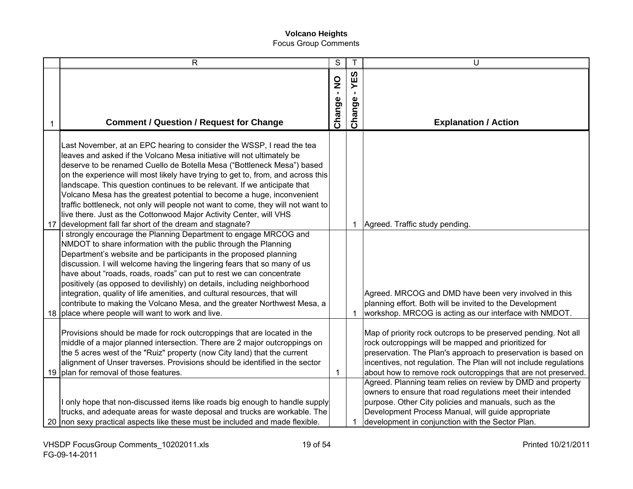|    | R                                                                                                                                                                                                                                                                                                                                                                                                                                                                                                                                                                                                                                                                                                                                                                                                                                                                                                                                                                                                                                                                                                                              | S                         | $\mathsf{T}$           | U                                                                                                                                                                                                                                                                                                                             |
|----|--------------------------------------------------------------------------------------------------------------------------------------------------------------------------------------------------------------------------------------------------------------------------------------------------------------------------------------------------------------------------------------------------------------------------------------------------------------------------------------------------------------------------------------------------------------------------------------------------------------------------------------------------------------------------------------------------------------------------------------------------------------------------------------------------------------------------------------------------------------------------------------------------------------------------------------------------------------------------------------------------------------------------------------------------------------------------------------------------------------------------------|---------------------------|------------------------|-------------------------------------------------------------------------------------------------------------------------------------------------------------------------------------------------------------------------------------------------------------------------------------------------------------------------------|
|    | <b>Comment / Question / Request for Change</b>                                                                                                                                                                                                                                                                                                                                                                                                                                                                                                                                                                                                                                                                                                                                                                                                                                                                                                                                                                                                                                                                                 | $\frac{0}{1}$<br>Change - | 63<br>日<br>≻<br>Change | <b>Explanation / Action</b>                                                                                                                                                                                                                                                                                                   |
| 17 | Last November, at an EPC hearing to consider the WSSP, I read the tea<br>leaves and asked if the Volcano Mesa initiative will not ultimately be<br>deserve to be renamed Cuello de Botella Mesa ("Bottleneck Mesa") based<br>on the experience will most likely have trying to get to, from, and across this<br>landscape. This question continues to be relevant. If we anticipate that<br>Volcano Mesa has the greatest potential to become a huge, inconvenient<br>traffic bottleneck, not only will people not want to come, they will not want to<br>live there. Just as the Cottonwood Major Activity Center, will VHS<br>development fall far short of the dream and stagnate?<br>strongly encourage the Planning Department to engage MRCOG and<br>NMDOT to share information with the public through the Planning<br>Department's website and be participants in the proposed planning<br>discussion. I will welcome having the lingering fears that so many of us<br>have about "roads, roads, roads" can put to rest we can concentrate<br>positively (as opposed to devilishly) on details, including neighborhood |                           | 1                      | Agreed. Traffic study pending.                                                                                                                                                                                                                                                                                                |
|    | integration, quality of life amenities, and cultural resources, that will<br>contribute to making the Volcano Mesa, and the greater Northwest Mesa, a<br>18 place where people will want to work and live.                                                                                                                                                                                                                                                                                                                                                                                                                                                                                                                                                                                                                                                                                                                                                                                                                                                                                                                     |                           |                        | Agreed. MRCOG and DMD have been very involved in this<br>planning effort. Both will be invited to the Development<br>workshop. MRCOG is acting as our interface with NMDOT.                                                                                                                                                   |
|    | Provisions should be made for rock outcroppings that are located in the<br>middle of a major planned intersection. There are 2 major outcroppings on<br>the 5 acres west of the "Ruiz" property (now City land) that the current<br>alignment of Unser traverses. Provisions should be identified in the sector<br>19 plan for removal of those features.                                                                                                                                                                                                                                                                                                                                                                                                                                                                                                                                                                                                                                                                                                                                                                      | 1                         |                        | Map of priority rock outcrops to be preserved pending. Not all<br>rock outcroppings will be mapped and prioritized for<br>preservation. The Plan's approach to preservation is based on<br>incentives, not regulation. The Plan will not include regulations<br>about how to remove rock outcroppings that are not preserved. |
|    | only hope that non-discussed items like roads big enough to handle supply<br>trucks, and adequate areas for waste deposal and trucks are workable. The<br>20 non sexy practical aspects like these must be included and made flexible.                                                                                                                                                                                                                                                                                                                                                                                                                                                                                                                                                                                                                                                                                                                                                                                                                                                                                         |                           | 1                      | Agreed. Planning team relies on review by DMD and property<br>owners to ensure that road regulations meet their intended<br>purpose. Other City policies and manuals, such as the<br>Development Process Manual, will guide appropriate<br>development in conjunction with the Sector Plan.                                   |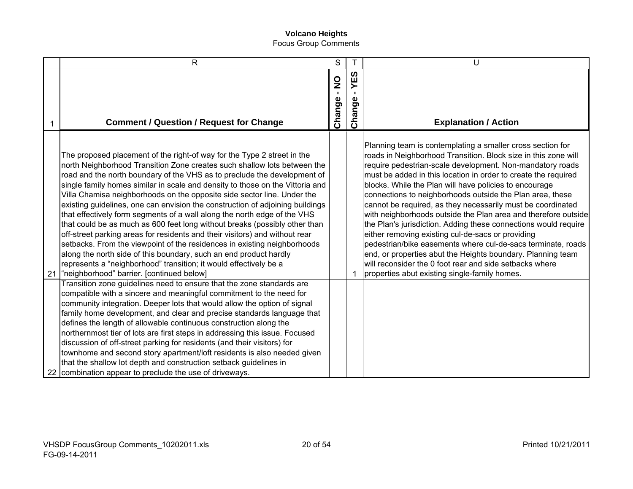|    | $\mathsf{R}$                                                                                                                                                                                                                                                                                                                                                                                                                                                                                                                                                                                                                                                                                                                                                                                                                                                                                                                                                                             | S                                       |                  | U                                                                                                                                                                                                                                                                                                                                                                                                                                                                                                                                                                                                                                                                                                                                                                                                                                                                                      |
|----|------------------------------------------------------------------------------------------------------------------------------------------------------------------------------------------------------------------------------------------------------------------------------------------------------------------------------------------------------------------------------------------------------------------------------------------------------------------------------------------------------------------------------------------------------------------------------------------------------------------------------------------------------------------------------------------------------------------------------------------------------------------------------------------------------------------------------------------------------------------------------------------------------------------------------------------------------------------------------------------|-----------------------------------------|------------------|----------------------------------------------------------------------------------------------------------------------------------------------------------------------------------------------------------------------------------------------------------------------------------------------------------------------------------------------------------------------------------------------------------------------------------------------------------------------------------------------------------------------------------------------------------------------------------------------------------------------------------------------------------------------------------------------------------------------------------------------------------------------------------------------------------------------------------------------------------------------------------------|
| 1  | <b>Comment / Question / Request for Change</b>                                                                                                                                                                                                                                                                                                                                                                                                                                                                                                                                                                                                                                                                                                                                                                                                                                                                                                                                           | $\frac{1}{2}$<br>$\mathbf{r}$<br>Change | ທ<br>Ш<br>Change | <b>Explanation / Action</b>                                                                                                                                                                                                                                                                                                                                                                                                                                                                                                                                                                                                                                                                                                                                                                                                                                                            |
| 21 | The proposed placement of the right-of way for the Type 2 street in the<br>north Neighborhood Transition Zone creates such shallow lots between the<br>road and the north boundary of the VHS as to preclude the development of<br>single family homes similar in scale and density to those on the Vittoria and<br>Villa Chamisa neighborhoods on the opposite side sector line. Under the<br>existing guidelines, one can envision the construction of adjoining buildings<br>that effectively form segments of a wall along the north edge of the VHS<br>that could be as much as 600 feet long without breaks (possibly other than<br>off-street parking areas for residents and their visitors) and without rear<br>setbacks. From the viewpoint of the residences in existing neighborhoods<br>along the north side of this boundary, such an end product hardly<br>represents a "neighborhood" transition; it would effectively be a<br>"neighborhood" barrier. [continued below] |                                         | 1                | Planning team is contemplating a smaller cross section for<br>roads in Neighborhood Transition. Block size in this zone will<br>require pedestrian-scale development. Non-mandatory roads<br>must be added in this location in order to create the required<br>blocks. While the Plan will have policies to encourage<br>connections to neighborhoods outside the Plan area, these<br>cannot be required, as they necessarily must be coordinated<br>with neighborhoods outside the Plan area and therefore outside<br>the Plan's jurisdiction. Adding these connections would require<br>either removing existing cul-de-sacs or providing<br>pedestrian/bike easements where cul-de-sacs terminate, roads<br>end, or properties abut the Heights boundary. Planning team<br>will reconsider the 0 foot rear and side setbacks where<br>properties abut existing single-family homes. |
|    | Transition zone guidelines need to ensure that the zone standards are<br>compatible with a sincere and meaningful commitment to the need for<br>community integration. Deeper lots that would allow the option of signal<br>family home development, and clear and precise standards language that<br>defines the length of allowable continuous construction along the<br>northernmost tier of lots are first steps in addressing this issue. Focused<br>discussion of off-street parking for residents (and their visitors) for<br>townhome and second story apartment/loft residents is also needed given<br>that the shallow lot depth and construction setback guidelines in<br>22 combination appear to preclude the use of driveways.                                                                                                                                                                                                                                             |                                         |                  |                                                                                                                                                                                                                                                                                                                                                                                                                                                                                                                                                                                                                                                                                                                                                                                                                                                                                        |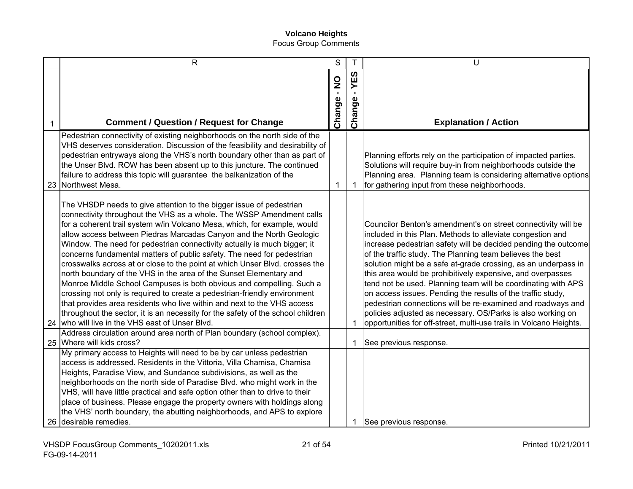|   | $\mathsf{R}$                                                                                                                                                                                                                                                                                                                                                                                                                                                                                                                                                                                                                                                                                                                                                                                                                                                                                                                                                                    | S                          | $\mathsf{T}$  | U                                                                                                                                                                                                                                                                                                                                                                                                                                                                                                                                                                                                                                                                                                                              |
|---|---------------------------------------------------------------------------------------------------------------------------------------------------------------------------------------------------------------------------------------------------------------------------------------------------------------------------------------------------------------------------------------------------------------------------------------------------------------------------------------------------------------------------------------------------------------------------------------------------------------------------------------------------------------------------------------------------------------------------------------------------------------------------------------------------------------------------------------------------------------------------------------------------------------------------------------------------------------------------------|----------------------------|---------------|--------------------------------------------------------------------------------------------------------------------------------------------------------------------------------------------------------------------------------------------------------------------------------------------------------------------------------------------------------------------------------------------------------------------------------------------------------------------------------------------------------------------------------------------------------------------------------------------------------------------------------------------------------------------------------------------------------------------------------|
| 1 | <b>Comment / Question / Request for Change</b>                                                                                                                                                                                                                                                                                                                                                                                                                                                                                                                                                                                                                                                                                                                                                                                                                                                                                                                                  | $\sum_{i=1}^{n}$<br>Change | YES<br>Change | <b>Explanation / Action</b>                                                                                                                                                                                                                                                                                                                                                                                                                                                                                                                                                                                                                                                                                                    |
|   | Pedestrian connectivity of existing neighborhoods on the north side of the<br>VHS deserves consideration. Discussion of the feasibility and desirability of<br>pedestrian entryways along the VHS's north boundary other than as part of<br>the Unser Blvd. ROW has been absent up to this juncture. The continued<br>failure to address this topic will guarantee the balkanization of the<br>23 Northwest Mesa.                                                                                                                                                                                                                                                                                                                                                                                                                                                                                                                                                               | 1                          | $\mathbf 1$   | Planning efforts rely on the participation of impacted parties.<br>Solutions will require buy-in from neighborhoods outside the<br>Planning area. Planning team is considering alternative options<br>for gathering input from these neighborhoods.                                                                                                                                                                                                                                                                                                                                                                                                                                                                            |
|   | The VHSDP needs to give attention to the bigger issue of pedestrian<br>connectivity throughout the VHS as a whole. The WSSP Amendment calls<br>for a coherent trail system w/in Volcano Mesa, which, for example, would<br>allow access between Piedras Marcadas Canyon and the North Geologic<br>Window. The need for pedestrian connectivity actually is much bigger; it<br>concerns fundamental matters of public safety. The need for pedestrian<br>crosswalks across at or close to the point at which Unser Blvd. crosses the<br>north boundary of the VHS in the area of the Sunset Elementary and<br>Monroe Middle School Campuses is both obvious and compelling. Such a<br>crossing not only is required to create a pedestrian-friendly environment<br>that provides area residents who live within and next to the VHS access<br>throughout the sector, it is an necessity for the safety of the school children<br>24 who will live in the VHS east of Unser Blvd. |                            | 1             | Councilor Benton's amendment's on street connectivity will be<br>included in this Plan. Methods to alleviate congestion and<br>increase pedestrian safety will be decided pending the outcome<br>of the traffic study. The Planning team believes the best<br>solution might be a safe at-grade crossing, as an underpass in<br>this area would be prohibitively expensive, and overpasses<br>tend not be used. Planning team will be coordinating with APS<br>on access issues. Pending the results of the traffic study,<br>pedestrian connections will be re-examined and roadways and<br>policies adjusted as necessary. OS/Parks is also working on<br>opportunities for off-street, multi-use trails in Volcano Heights. |
|   | Address circulation around area north of Plan boundary (school complex).<br>25 Where will kids cross?                                                                                                                                                                                                                                                                                                                                                                                                                                                                                                                                                                                                                                                                                                                                                                                                                                                                           |                            | 1             | See previous response.                                                                                                                                                                                                                                                                                                                                                                                                                                                                                                                                                                                                                                                                                                         |
|   | My primary access to Heights will need to be by car unless pedestrian<br>access is addressed. Residents in the Vittoria, Villa Chamisa, Chamisa<br>Heights, Paradise View, and Sundance subdivisions, as well as the<br>neighborhoods on the north side of Paradise Blvd. who might work in the<br>VHS, will have little practical and safe option other than to drive to their<br>place of business. Please engage the property owners with holdings along<br>the VHS' north boundary, the abutting neighborhoods, and APS to explore<br>26 desirable remedies.                                                                                                                                                                                                                                                                                                                                                                                                                |                            | 1             | See previous response.                                                                                                                                                                                                                                                                                                                                                                                                                                                                                                                                                                                                                                                                                                         |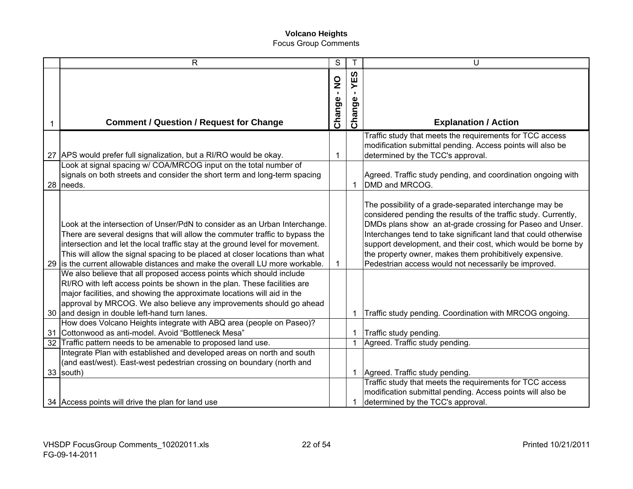|    | $\mathsf{R}$                                                                                                                                                                                                                                                                                                                                                                                                               | $\mathbf S$                               |                           | U                                                                                                                                                                                                                                                                                                                                                                                                                                             |
|----|----------------------------------------------------------------------------------------------------------------------------------------------------------------------------------------------------------------------------------------------------------------------------------------------------------------------------------------------------------------------------------------------------------------------------|-------------------------------------------|---------------------------|-----------------------------------------------------------------------------------------------------------------------------------------------------------------------------------------------------------------------------------------------------------------------------------------------------------------------------------------------------------------------------------------------------------------------------------------------|
| 1  | <b>Comment / Question / Request for Change</b>                                                                                                                                                                                                                                                                                                                                                                             | $\frac{1}{2}$<br>$\blacksquare$<br>Change | <u>က</u> ိ<br>≻<br>Change | <b>Explanation / Action</b>                                                                                                                                                                                                                                                                                                                                                                                                                   |
|    | 27 APS would prefer full signalization, but a RI/RO would be okay.<br>Look at signal spacing w/ COA/MRCOG input on the total number of                                                                                                                                                                                                                                                                                     | 1                                         |                           | Traffic study that meets the requirements for TCC access<br>modification submittal pending. Access points will also be<br>determined by the TCC's approval.                                                                                                                                                                                                                                                                                   |
|    | signals on both streets and consider the short term and long-term spacing<br>28 needs.                                                                                                                                                                                                                                                                                                                                     |                                           | $\mathbf{1}$              | Agreed. Traffic study pending, and coordination ongoing with<br>DMD and MRCOG.                                                                                                                                                                                                                                                                                                                                                                |
|    | Look at the intersection of Unser/PdN to consider as an Urban Interchange.<br>There are several designs that will allow the commuter traffic to bypass the<br>intersection and let the local traffic stay at the ground level for movement.<br>This will allow the signal spacing to be placed at closer locations than what<br>29 is the current allowable distances and make the overall LU more workable.               | 1                                         |                           | The possibility of a grade-separated interchange may be<br>considered pending the results of the traffic study. Currently,<br>DMDs plans show an at-grade crossing for Paseo and Unser.<br>Interchanges tend to take significant land that could otherwise<br>support development, and their cost, which would be borne by<br>the property owner, makes them prohibitively expensive.<br>Pedestrian access would not necessarily be improved. |
|    | We also believe that all proposed access points which should include<br>RI/RO with left access points be shown in the plan. These facilities are<br>major facilities, and showing the approximate locations will aid in the<br>approval by MRCOG. We also believe any improvements should go ahead<br>30 and design in double left-hand turn lanes.<br>How does Volcano Heights integrate with ABQ area (people on Paseo)? |                                           | 1                         | Traffic study pending. Coordination with MRCOG ongoing.                                                                                                                                                                                                                                                                                                                                                                                       |
|    | 31 Cottonwood as anti-model. Avoid "Bottleneck Mesa"                                                                                                                                                                                                                                                                                                                                                                       |                                           | 1                         | Traffic study pending.                                                                                                                                                                                                                                                                                                                                                                                                                        |
| 32 | Traffic pattern needs to be amenable to proposed land use.                                                                                                                                                                                                                                                                                                                                                                 |                                           | $\mathbf{1}$              | Agreed. Traffic study pending.                                                                                                                                                                                                                                                                                                                                                                                                                |
|    | Integrate Plan with established and developed areas on north and south<br>(and east/west). East-west pedestrian crossing on boundary (north and<br>33 south)<br>34 Access points will drive the plan for land use                                                                                                                                                                                                          |                                           | $\mathbf{1}$<br>1         | Agreed. Traffic study pending.<br>Traffic study that meets the requirements for TCC access<br>modification submittal pending. Access points will also be<br>determined by the TCC's approval.                                                                                                                                                                                                                                                 |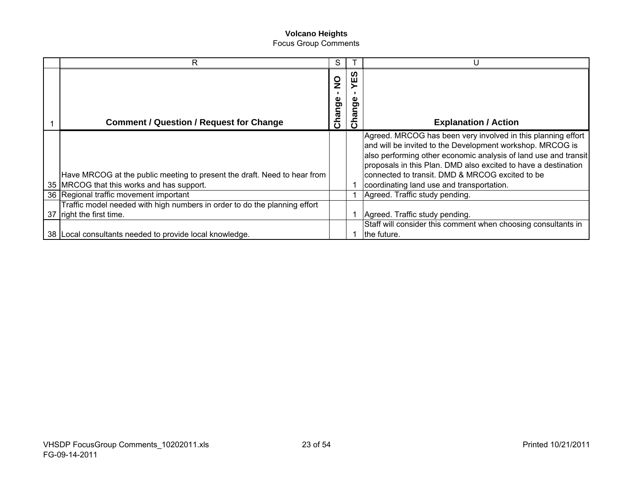| R                                                                         | S                       |                               |                                                                                                                                                                                                                                                                                                                   |
|---------------------------------------------------------------------------|-------------------------|-------------------------------|-------------------------------------------------------------------------------------------------------------------------------------------------------------------------------------------------------------------------------------------------------------------------------------------------------------------|
| <b>Comment / Question / Request for Change</b>                            | $\frac{0}{2}$<br>Change | ທ<br>ш<br>္တိ<br>$\mathbf{C}$ | <b>Explanation / Action</b>                                                                                                                                                                                                                                                                                       |
| Have MRCOG at the public meeting to present the draft. Need to hear from  |                         |                               | Agreed. MRCOG has been very involved in this planning effort<br>and will be invited to the Development workshop. MRCOG is<br>also performing other economic analysis of land use and transit<br>proposals in this Plan. DMD also excited to have a destination<br>connected to transit. DMD & MRCOG excited to be |
| 35 MRCOG that this works and has support.                                 |                         |                               | coordinating land use and transportation.                                                                                                                                                                                                                                                                         |
| 36 Regional traffic movement important                                    |                         |                               | Agreed. Traffic study pending.                                                                                                                                                                                                                                                                                    |
| Traffic model needed with high numbers in order to do the planning effort |                         |                               |                                                                                                                                                                                                                                                                                                                   |
| 37 right the first time.                                                  |                         |                               | Agreed. Traffic study pending.                                                                                                                                                                                                                                                                                    |
| 38   Local consultants needed to provide local knowledge.                 |                         |                               | Staff will consider this comment when choosing consultants in<br>the future.                                                                                                                                                                                                                                      |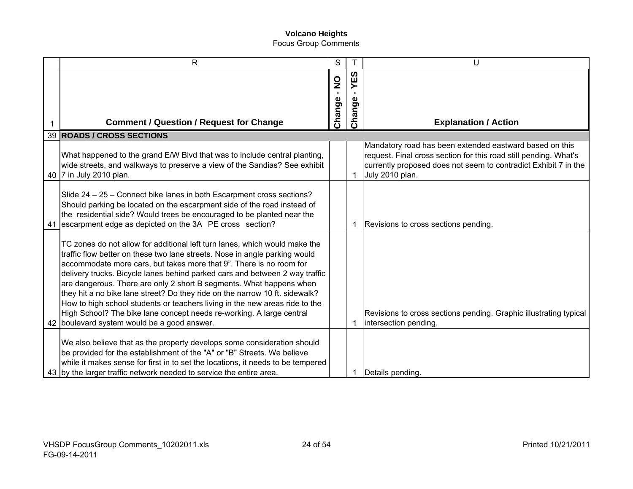| $\mathsf{R}$                                                                                                                                                                                                                                                                                                                                                                                                                                                                                                                                                                                                                                                               | S                             |             | U                                                                                                                                                                                                                 |
|----------------------------------------------------------------------------------------------------------------------------------------------------------------------------------------------------------------------------------------------------------------------------------------------------------------------------------------------------------------------------------------------------------------------------------------------------------------------------------------------------------------------------------------------------------------------------------------------------------------------------------------------------------------------------|-------------------------------|-------------|-------------------------------------------------------------------------------------------------------------------------------------------------------------------------------------------------------------------|
|                                                                                                                                                                                                                                                                                                                                                                                                                                                                                                                                                                                                                                                                            | $\frac{0}{2}$<br>$\mathbf{L}$ | ທ<br>Ш<br>≻ |                                                                                                                                                                                                                   |
|                                                                                                                                                                                                                                                                                                                                                                                                                                                                                                                                                                                                                                                                            | Change -                      | ange        |                                                                                                                                                                                                                   |
| <b>Comment / Question / Request for Change</b>                                                                                                                                                                                                                                                                                                                                                                                                                                                                                                                                                                                                                             |                               | $\tilde{5}$ | <b>Explanation / Action</b>                                                                                                                                                                                       |
| <b>39 ROADS / CROSS SECTIONS</b>                                                                                                                                                                                                                                                                                                                                                                                                                                                                                                                                                                                                                                           |                               |             |                                                                                                                                                                                                                   |
| What happened to the grand E/W Blvd that was to include central planting,<br>wide streets, and walkways to preserve a view of the Sandias? See exhibit<br>40 7 in July 2010 plan.                                                                                                                                                                                                                                                                                                                                                                                                                                                                                          |                               | 1           | Mandatory road has been extended eastward based on this<br>request. Final cross section for this road still pending. What's<br>currently proposed does not seem to contradict Exhibit 7 in the<br>July 2010 plan. |
| Slide 24 - 25 - Connect bike lanes in both Escarpment cross sections?<br>Should parking be located on the escarpment side of the road instead of<br>the residential side? Would trees be encouraged to be planted near the<br>41 escarpment edge as depicted on the 3A PE cross section?                                                                                                                                                                                                                                                                                                                                                                                   |                               | 1           | Revisions to cross sections pending.                                                                                                                                                                              |
| TC zones do not allow for additional left turn lanes, which would make the<br>traffic flow better on these two lane streets. Nose in angle parking would<br>accommodate more cars, but takes more that 9". There is no room for<br>delivery trucks. Bicycle lanes behind parked cars and between 2 way traffic<br>are dangerous. There are only 2 short B segments. What happens when<br>they hit a no bike lane street? Do they ride on the narrow 10 ft. sidewalk?<br>How to high school students or teachers living in the new areas ride to the<br>High School? The bike lane concept needs re-working. A large central<br>42 boulevard system would be a good answer. |                               | 1           | Revisions to cross sections pending. Graphic illustrating typical<br>intersection pending.                                                                                                                        |
| We also believe that as the property develops some consideration should<br>be provided for the establishment of the "A" or "B" Streets. We believe<br>while it makes sense for first in to set the locations, it needs to be tempered<br>43 by the larger traffic network needed to service the entire area.                                                                                                                                                                                                                                                                                                                                                               |                               |             | Details pending.                                                                                                                                                                                                  |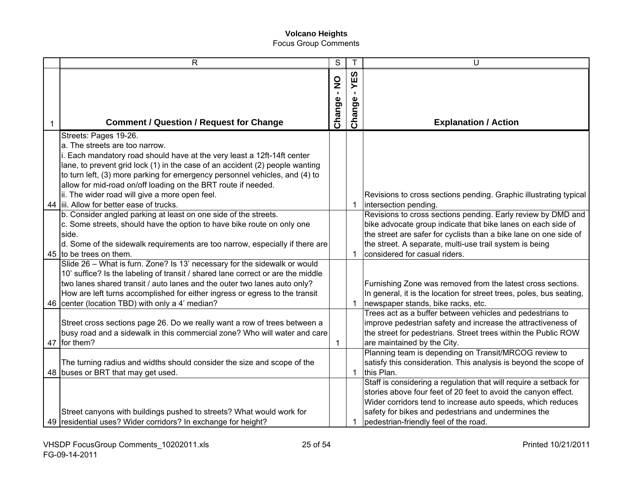| $\mathsf{R}$                                                                                                                                                                                                                                                                                                                                                               | S                                                 |               | U                                                                                                                                                                                                                                                                                                  |
|----------------------------------------------------------------------------------------------------------------------------------------------------------------------------------------------------------------------------------------------------------------------------------------------------------------------------------------------------------------------------|---------------------------------------------------|---------------|----------------------------------------------------------------------------------------------------------------------------------------------------------------------------------------------------------------------------------------------------------------------------------------------------|
| <b>Comment / Question / Request for Change</b>                                                                                                                                                                                                                                                                                                                             | $\begin{array}{c}\n0 \\ 2\n\end{array}$<br>Change | YES<br>Change | <b>Explanation / Action</b>                                                                                                                                                                                                                                                                        |
| Streets: Pages 19-26.<br>a. The streets are too narrow.<br>i. Each mandatory road should have at the very least a 12ft-14ft center<br>lane, to prevent grid lock (1) in the case of an accident (2) people wanting<br>to turn left, (3) more parking for emergency personnel vehicles, and (4) to<br>allow for mid-road on/off loading on the BRT route if needed.         |                                                   |               |                                                                                                                                                                                                                                                                                                    |
| ii. The wider road will give a more open feel.<br>44 liii. Allow for better ease of trucks.                                                                                                                                                                                                                                                                                |                                                   | 1             | Revisions to cross sections pending. Graphic illustrating typical<br>intersection pending.                                                                                                                                                                                                         |
| b. Consider angled parking at least on one side of the streets.<br>c. Some streets, should have the option to have bike route on only one<br>side.<br>d. Some of the sidewalk requirements are too narrow, especially if there are<br>45 to be trees on them.                                                                                                              |                                                   | -1            | Revisions to cross sections pending. Early review by DMD and<br>bike advocate group indicate that bike lanes on each side of<br>the street are safer for cyclists than a bike lane on one side of<br>the street. A separate, multi-use trail system is being<br>considered for casual riders.      |
| Slide 26 - What is furn. Zone? Is 13' necessary for the sidewalk or would<br>10' suffice? Is the labeling of transit / shared lane correct or are the middle<br>two lanes shared transit / auto lanes and the outer two lanes auto only?<br>How are left turns accomplished for either ingress or egress to the transit<br>46 center (location TBD) with only a 4' median? |                                                   | $\mathbf 1$   | Furnishing Zone was removed from the latest cross sections.<br>In general, it is the location for street trees, poles, bus seating,<br>newspaper stands, bike racks, etc.                                                                                                                          |
| Street cross sections page 26. Do we really want a row of trees between a<br>busy road and a sidewalk in this commercial zone? Who will water and care<br>47 for them?                                                                                                                                                                                                     | $\mathbf{1}$                                      |               | Trees act as a buffer between vehicles and pedestrians to<br>improve pedestrian safety and increase the attractiveness of<br>the street for pedestrians. Street trees within the Public ROW<br>are maintained by the City.                                                                         |
| The turning radius and widths should consider the size and scope of the<br>48 buses or BRT that may get used.                                                                                                                                                                                                                                                              |                                                   | $\mathbf{1}$  | Planning team is depending on Transit/MRCOG review to<br>satisfy this consideration. This analysis is beyond the scope of<br>this Plan.                                                                                                                                                            |
| Street canyons with buildings pushed to streets? What would work for<br>49   residential uses? Wider corridors? In exchange for height?                                                                                                                                                                                                                                    |                                                   |               | Staff is considering a regulation that will require a setback for<br>stories above four feet of 20 feet to avoid the canyon effect.<br>Wider corridors tend to increase auto speeds, which reduces<br>safety for bikes and pedestrians and undermines the<br>pedestrian-friendly feel of the road. |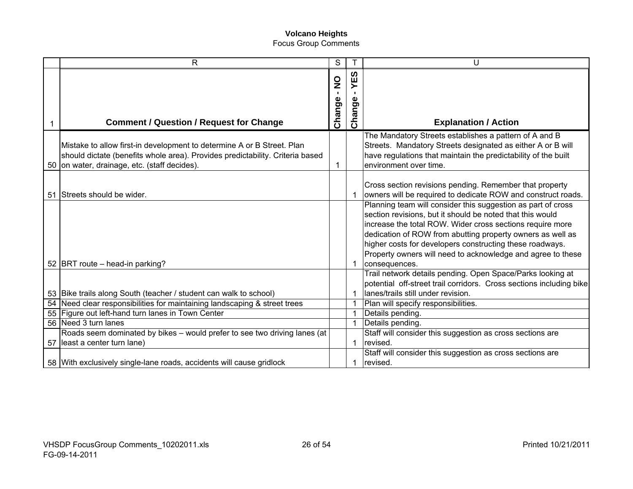| R                                                                                                                                                                                                       | S                                         |                  | U                                                                                                                                                                                                                                                                                                                                                                                                |
|---------------------------------------------------------------------------------------------------------------------------------------------------------------------------------------------------------|-------------------------------------------|------------------|--------------------------------------------------------------------------------------------------------------------------------------------------------------------------------------------------------------------------------------------------------------------------------------------------------------------------------------------------------------------------------------------------|
| <b>Comment / Question / Request for Change</b>                                                                                                                                                          | $\frac{0}{2}$<br>$\blacksquare$<br>Change | ທ<br>Ψ<br>Change | <b>Explanation / Action</b>                                                                                                                                                                                                                                                                                                                                                                      |
| Mistake to allow first-in development to determine A or B Street. Plan<br>should dictate (benefits whole area). Provides predictability. Criteria based<br>50 on water, drainage, etc. (staff decides). |                                           |                  | The Mandatory Streets establishes a pattern of A and B<br>Streets. Mandatory Streets designated as either A or B will<br>have regulations that maintain the predictability of the built<br>environment over time.                                                                                                                                                                                |
| 51 Streets should be wider.                                                                                                                                                                             |                                           |                  | Cross section revisions pending. Remember that property<br>owners will be required to dedicate ROW and construct roads.                                                                                                                                                                                                                                                                          |
| 52 BRT route – head-in parking?                                                                                                                                                                         |                                           |                  | Planning team will consider this suggestion as part of cross<br>section revisions, but it should be noted that this would<br>increase the total ROW. Wider cross sections require more<br>dedication of ROW from abutting property owners as well as<br>higher costs for developers constructing these roadways.<br>Property owners will need to acknowledge and agree to these<br>consequences. |
|                                                                                                                                                                                                         |                                           |                  | Trail network details pending. Open Space/Parks looking at                                                                                                                                                                                                                                                                                                                                       |
| 53 Bike trails along South (teacher / student can walk to school)                                                                                                                                       |                                           |                  | potential off-street trail corridors. Cross sections including bike<br>lanes/trails still under revision.                                                                                                                                                                                                                                                                                        |
| 54 Need clear responsibilities for maintaining landscaping & street trees                                                                                                                               |                                           | 1                | Plan will specify responsibilities.                                                                                                                                                                                                                                                                                                                                                              |
| 55 Figure out left-hand turn lanes in Town Center                                                                                                                                                       |                                           | $\mathbf{1}$     | Details pending.                                                                                                                                                                                                                                                                                                                                                                                 |
| 56 Need 3 turn lanes                                                                                                                                                                                    |                                           | -1               | Details pending.                                                                                                                                                                                                                                                                                                                                                                                 |
| Roads seem dominated by bikes - would prefer to see two driving lanes (at<br>57 least a center turn lane)                                                                                               |                                           | $\mathbf{1}$     | Staff will consider this suggestion as cross sections are<br>revised.                                                                                                                                                                                                                                                                                                                            |
|                                                                                                                                                                                                         |                                           |                  | Staff will consider this suggestion as cross sections are                                                                                                                                                                                                                                                                                                                                        |
| 58 With exclusively single-lane roads, accidents will cause gridlock                                                                                                                                    |                                           | 1                | revised.                                                                                                                                                                                                                                                                                                                                                                                         |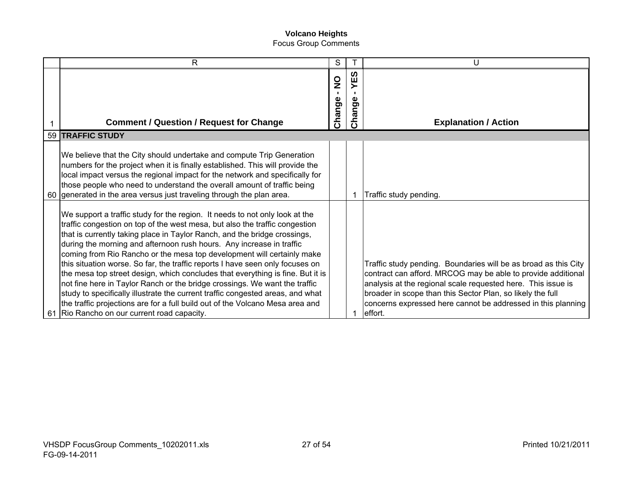| R                                                                                                                                                                                                                                                                                                                                                                                                                                                                                                                                                                                                                                                                                                                                                                                                                                                            | S                                       |                         | U                                                                                                                                                                                                                                                                                                                                        |
|--------------------------------------------------------------------------------------------------------------------------------------------------------------------------------------------------------------------------------------------------------------------------------------------------------------------------------------------------------------------------------------------------------------------------------------------------------------------------------------------------------------------------------------------------------------------------------------------------------------------------------------------------------------------------------------------------------------------------------------------------------------------------------------------------------------------------------------------------------------|-----------------------------------------|-------------------------|------------------------------------------------------------------------------------------------------------------------------------------------------------------------------------------------------------------------------------------------------------------------------------------------------------------------------------------|
| <b>Comment / Question / Request for Change</b>                                                                                                                                                                                                                                                                                                                                                                                                                                                                                                                                                                                                                                                                                                                                                                                                               | $\frac{0}{2}$<br>$\mathbf{L}$<br>Change | <u>က</u> ိ<br>ange<br>å | <b>Explanation / Action</b>                                                                                                                                                                                                                                                                                                              |
| 59 TRAFFIC STUDY                                                                                                                                                                                                                                                                                                                                                                                                                                                                                                                                                                                                                                                                                                                                                                                                                                             |                                         |                         |                                                                                                                                                                                                                                                                                                                                          |
| We believe that the City should undertake and compute Trip Generation<br>numbers for the project when it is finally established. This will provide the<br>local impact versus the regional impact for the network and specifically for<br>those people who need to understand the overall amount of traffic being<br>60 generated in the area versus just traveling through the plan area.                                                                                                                                                                                                                                                                                                                                                                                                                                                                   |                                         |                         | Traffic study pending.                                                                                                                                                                                                                                                                                                                   |
| We support a traffic study for the region. It needs to not only look at the<br>traffic congestion on top of the west mesa, but also the traffic congestion<br>that is currently taking place in Taylor Ranch, and the bridge crossings,<br>during the morning and afternoon rush hours. Any increase in traffic<br>coming from Rio Rancho or the mesa top development will certainly make<br>this situation worse. So far, the traffic reports I have seen only focuses on<br>the mesa top street design, which concludes that everything is fine. But it is<br>not fine here in Taylor Ranch or the bridge crossings. We want the traffic<br>study to specifically illustrate the current traffic congested areas, and what<br>the traffic projections are for a full build out of the Volcano Mesa area and<br>61 Rio Rancho on our current road capacity. |                                         |                         | Traffic study pending. Boundaries will be as broad as this City<br>contract can afford. MRCOG may be able to provide additional<br>analysis at the regional scale requested here. This issue is<br>broader in scope than this Sector Plan, so likely the full<br>concerns expressed here cannot be addressed in this planning<br>effort. |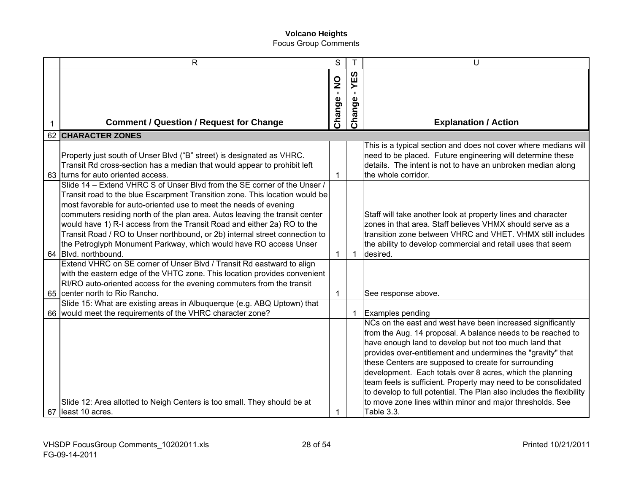| $\mathsf{R}$                                                                | S                                       | Т           | U                                                                    |
|-----------------------------------------------------------------------------|-----------------------------------------|-------------|----------------------------------------------------------------------|
|                                                                             |                                         | <b>S3</b>   |                                                                      |
|                                                                             | $\begin{array}{c}\n0 \\ 2\n\end{array}$ | ≻           |                                                                      |
|                                                                             |                                         |             |                                                                      |
|                                                                             |                                         |             |                                                                      |
| <b>Comment / Question / Request for Change</b>                              | Change -                                | Change      | <b>Explanation / Action</b>                                          |
| <b>62 CHARACTER ZONES</b>                                                   |                                         |             |                                                                      |
|                                                                             |                                         |             | This is a typical section and does not cover where medians will      |
| Property just south of Unser Blvd ("B" street) is designated as VHRC.       |                                         |             | need to be placed. Future engineering will determine these           |
| Transit Rd cross-section has a median that would appear to prohibit left    |                                         |             | details. The intent is not to have an unbroken median along          |
| 63 turns for auto oriented access.                                          | $\mathbf{1}$                            |             | the whole corridor.                                                  |
| Slide 14 - Extend VHRC S of Unser Blvd from the SE corner of the Unser /    |                                         |             |                                                                      |
| Transit road to the blue Escarpment Transition zone. This location would be |                                         |             |                                                                      |
| most favorable for auto-oriented use to meet the needs of evening           |                                         |             |                                                                      |
| commuters residing north of the plan area. Autos leaving the transit center |                                         |             | Staff will take another look at property lines and character         |
| would have 1) R-I access from the Transit Road and either 2a) RO to the     |                                         |             | zones in that area. Staff believes VHMX should serve as a            |
| Transit Road / RO to Unser northbound, or 2b) internal street connection to |                                         |             | transition zone between VHRC and VHET. VHMX still includes           |
| the Petroglyph Monument Parkway, which would have RO access Unser           |                                         |             | the ability to develop commercial and retail uses that seem          |
| 64 Blvd. northbound.                                                        | $\mathbf{1}$                            | $\mathbf 1$ | desired.                                                             |
| Extend VHRC on SE corner of Unser Blvd / Transit Rd eastward to align       |                                         |             |                                                                      |
| with the eastern edge of the VHTC zone. This location provides convenient   |                                         |             |                                                                      |
| RI/RO auto-oriented access for the evening commuters from the transit       |                                         |             |                                                                      |
| 65   center north to Rio Rancho.                                            | $\mathbf{1}$                            |             | See response above.                                                  |
| Slide 15: What are existing areas in Albuquerque (e.g. ABQ Uptown) that     |                                         |             |                                                                      |
| 66 would meet the requirements of the VHRC character zone?                  |                                         | -1          | Examples pending                                                     |
|                                                                             |                                         |             | NCs on the east and west have been increased significantly           |
|                                                                             |                                         |             | from the Aug. 14 proposal. A balance needs to be reached to          |
|                                                                             |                                         |             | have enough land to develop but not too much land that               |
|                                                                             |                                         |             | provides over-entitlement and undermines the "gravity" that          |
|                                                                             |                                         |             | these Centers are supposed to create for surrounding                 |
|                                                                             |                                         |             | development. Each totals over 8 acres, which the planning            |
|                                                                             |                                         |             | team feels is sufficient. Property may need to be consolidated       |
|                                                                             |                                         |             | to develop to full potential. The Plan also includes the flexibility |
| Slide 12: Area allotted to Neigh Centers is too small. They should be at    |                                         |             | to move zone lines within minor and major thresholds. See            |
| 67 least 10 acres.                                                          |                                         |             | Table 3.3.                                                           |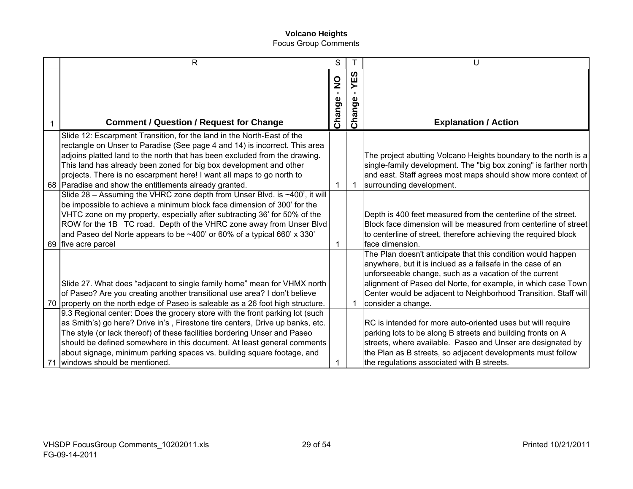| $\mathsf{R}$                                                                                                                                                                                                                                                                                                                                                                                                                                | S                                       |                  | U                                                                                                                                                                                                                                                                                                                                               |
|---------------------------------------------------------------------------------------------------------------------------------------------------------------------------------------------------------------------------------------------------------------------------------------------------------------------------------------------------------------------------------------------------------------------------------------------|-----------------------------------------|------------------|-------------------------------------------------------------------------------------------------------------------------------------------------------------------------------------------------------------------------------------------------------------------------------------------------------------------------------------------------|
| <b>Comment / Question / Request for Change</b>                                                                                                                                                                                                                                                                                                                                                                                              | $\frac{0}{2}$<br>$\mathbf{I}$<br>Change | ທ<br>Ψ<br>Change | <b>Explanation / Action</b>                                                                                                                                                                                                                                                                                                                     |
| Slide 12: Escarpment Transition, for the land in the North-East of the<br>rectangle on Unser to Paradise (See page 4 and 14) is incorrect. This area<br>adjoins platted land to the north that has been excluded from the drawing.<br>This land has already been zoned for big box development and other<br>projects. There is no escarpment here! I want all maps to go north to<br>68 Paradise and show the entitlements already granted. | 1                                       |                  | The project abutting Volcano Heights boundary to the north is a<br>single-family development. The "big box zoning" is farther north<br>and east. Staff agrees most maps should show more context of<br>surrounding development.                                                                                                                 |
| Slide 28 - Assuming the VHRC zone depth from Unser Blvd. is ~400', it will<br>be impossible to achieve a minimum block face dimension of 300' for the<br>VHTC zone on my property, especially after subtracting 36' for 50% of the<br>ROW for the 1B TC road. Depth of the VHRC zone away from Unser Blvd<br>and Paseo del Norte appears to be $~100$ or 60% of a typical 660' x 330'<br>69 five acre parcel                                | 1                                       |                  | Depth is 400 feet measured from the centerline of the street.<br>Block face dimension will be measured from centerline of street<br>to centerline of street, therefore achieving the required block<br>face dimension.                                                                                                                          |
| Slide 27. What does "adjacent to single family home" mean for VHMX north<br>of Paseo? Are you creating another transitional use area? I don't believe<br>70 property on the north edge of Paseo is saleable as a 26 foot high structure.                                                                                                                                                                                                    |                                         |                  | The Plan doesn't anticipate that this condition would happen<br>anywhere, but it is inclued as a failsafe in the case of an<br>unforseeable change, such as a vacation of the current<br>alignment of Paseo del Norte, for example, in which case Town<br>Center would be adjacent to Neighborhood Transition. Staff will<br>consider a change. |
| 9.3 Regional center: Does the grocery store with the front parking lot (such<br>as Smith's) go here? Drive in's, Firestone tire centers, Drive up banks, etc.<br>The style (or lack thereof) of these facilities bordering Unser and Paseo<br>should be defined somewhere in this document. At least general comments<br>about signage, minimum parking spaces vs. building square footage, and<br>71 windows should be mentioned.          |                                         |                  | RC is intended for more auto-oriented uses but will require<br>parking lots to be along B streets and building fronts on A<br>streets, where available. Paseo and Unser are designated by<br>the Plan as B streets, so adjacent developments must follow<br>the regulations associated with B streets.                                          |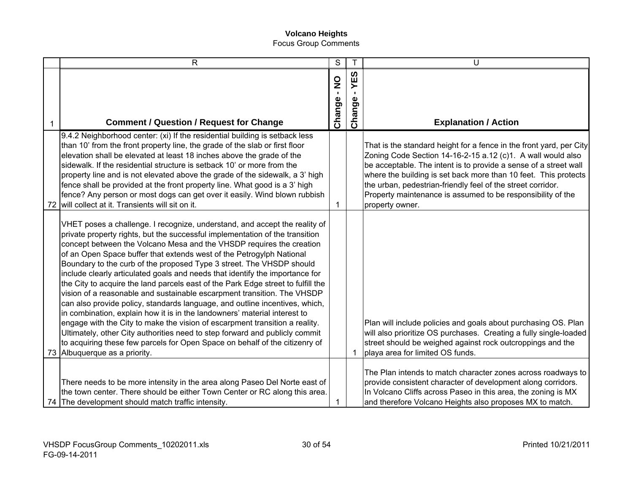|    | $\mathsf{R}$                                                                                                                                                                                                                                                                                                                                                                                                                                                                                                                                                                                                                                                                                                                                                                                                                                                                                                                                                                                                                                                                | S                                       | T                        | U                                                                                                                                                                                                                                                                                                                                                                                                                          |
|----|-----------------------------------------------------------------------------------------------------------------------------------------------------------------------------------------------------------------------------------------------------------------------------------------------------------------------------------------------------------------------------------------------------------------------------------------------------------------------------------------------------------------------------------------------------------------------------------------------------------------------------------------------------------------------------------------------------------------------------------------------------------------------------------------------------------------------------------------------------------------------------------------------------------------------------------------------------------------------------------------------------------------------------------------------------------------------------|-----------------------------------------|--------------------------|----------------------------------------------------------------------------------------------------------------------------------------------------------------------------------------------------------------------------------------------------------------------------------------------------------------------------------------------------------------------------------------------------------------------------|
|    | <b>Comment / Question / Request for Change</b>                                                                                                                                                                                                                                                                                                                                                                                                                                                                                                                                                                                                                                                                                                                                                                                                                                                                                                                                                                                                                              | $\frac{0}{2}$<br>$\mathbf{I}$<br>Change | <b>S3</b><br>≻<br>Change | <b>Explanation / Action</b>                                                                                                                                                                                                                                                                                                                                                                                                |
| 72 | 9.4.2 Neighborhood center: (xi) If the residential building is setback less<br>than 10' from the front property line, the grade of the slab or first floor<br>elevation shall be elevated at least 18 inches above the grade of the<br>sidewalk. If the residential structure is setback 10' or more from the<br>property line and is not elevated above the grade of the sidewalk, a 3' high<br>fence shall be provided at the front property line. What good is a 3' high<br>fence? Any person or most dogs can get over it easily. Wind blown rubbish<br>will collect at it. Transients will sit on it.                                                                                                                                                                                                                                                                                                                                                                                                                                                                  | 1                                       |                          | That is the standard height for a fence in the front yard, per City<br>Zoning Code Section 14-16-2-15 a.12 (c)1. A wall would also<br>be acceptable. The intent is to provide a sense of a street wall<br>where the building is set back more than 10 feet. This protects<br>the urban, pedestrian-friendly feel of the street corridor.<br>Property maintenance is assumed to be responsibility of the<br>property owner. |
|    | VHET poses a challenge. I recognize, understand, and accept the reality of<br>private property rights, but the successful implementation of the transition<br>concept between the Volcano Mesa and the VHSDP requires the creation<br>of an Open Space buffer that extends west of the Petrogylph National<br>Boundary to the curb of the proposed Type 3 street. The VHSDP should<br>include clearly articulated goals and needs that identify the importance for<br>the City to acquire the land parcels east of the Park Edge street to fulfill the<br>vision of a reasonable and sustainable escarpment transition. The VHSDP<br>can also provide policy, standards language, and outline incentives, which,<br>in combination, explain how it is in the landowners' material interest to<br>engage with the City to make the vision of escarpment transition a reality.<br>Ultimately, other City authorities need to step forward and publicly commit<br>to acquiring these few parcels for Open Space on behalf of the citizenry of<br>73 Albuquerque as a priority. |                                         |                          | Plan will include policies and goals about purchasing OS. Plan<br>will also prioritize OS purchases. Creating a fully single-loaded<br>street should be weighed against rock outcroppings and the<br>playa area for limited OS funds.                                                                                                                                                                                      |
|    | There needs to be more intensity in the area along Paseo Del Norte east of<br>the town center. There should be either Town Center or RC along this area.<br>74 The development should match traffic intensity.                                                                                                                                                                                                                                                                                                                                                                                                                                                                                                                                                                                                                                                                                                                                                                                                                                                              | 1                                       |                          | The Plan intends to match character zones across roadways to<br>provide consistent character of development along corridors.<br>In Volcano Cliffs across Paseo in this area, the zoning is MX<br>and therefore Volcano Heights also proposes MX to match.                                                                                                                                                                  |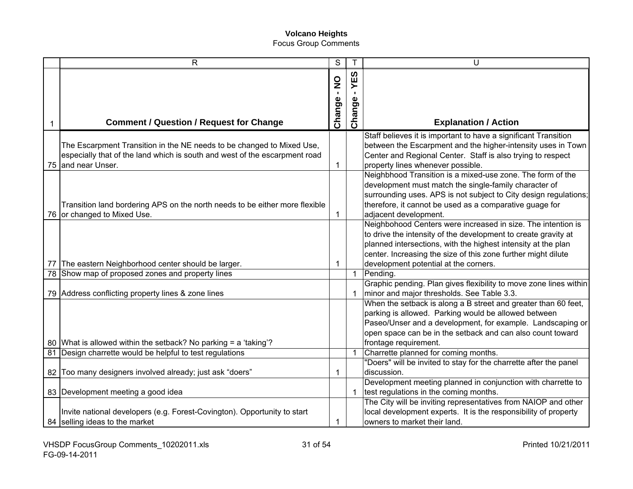|   | R                                                                                                                                                                         | S           | Τ             | U                                                                                                                                                                                                                                                                                                         |
|---|---------------------------------------------------------------------------------------------------------------------------------------------------------------------------|-------------|---------------|-----------------------------------------------------------------------------------------------------------------------------------------------------------------------------------------------------------------------------------------------------------------------------------------------------------|
|   |                                                                                                                                                                           | Change - NO | YES<br>Change |                                                                                                                                                                                                                                                                                                           |
| 1 | <b>Comment / Question / Request for Change</b>                                                                                                                            |             |               | <b>Explanation / Action</b>                                                                                                                                                                                                                                                                               |
|   | The Escarpment Transition in the NE needs to be changed to Mixed Use,<br>especially that of the land which is south and west of the escarpment road<br>75 and near Unser. | 1           |               | Staff believes it is important to have a significant Transition<br>between the Escarpment and the higher-intensity uses in Town<br>Center and Regional Center. Staff is also trying to respect<br>property lines whenever possible.                                                                       |
|   | Transition land bordering APS on the north needs to be either more flexible<br>76 or changed to Mixed Use.                                                                | 1           |               | Neighbhood Transition is a mixed-use zone. The form of the<br>development must match the single-family character of<br>surrounding uses. APS is not subject to City design regulations;<br>therefore, it cannot be used as a comparative guage for<br>adjacent development.                               |
|   | 77 The eastern Neighborhood center should be larger.                                                                                                                      | $\mathbf 1$ |               | Neighbohood Centers were increased in size. The intention is<br>to drive the intensity of the development to create gravity at<br>planned intersections, with the highest intensity at the plan<br>center. Increasing the size of this zone further might dilute<br>development potential at the corners. |
|   | 78 Show map of proposed zones and property lines                                                                                                                          |             | $\mathbf{1}$  | Pending.                                                                                                                                                                                                                                                                                                  |
|   | 79 Address conflicting property lines & zone lines                                                                                                                        |             |               | Graphic pending. Plan gives flexibility to move zone lines within<br>minor and major thresholds. See Table 3.3.                                                                                                                                                                                           |
|   |                                                                                                                                                                           |             |               | When the setback is along a B street and greater than 60 feet,<br>parking is allowed. Parking would be allowed between<br>Paseo/Unser and a development, for example. Landscaping or<br>open space can be in the setback and can also count toward                                                        |
|   | 80 What is allowed within the setback? No parking = a 'taking'?<br>81 Design charrette would be helpful to test regulations                                               |             |               | frontage requirement.<br>Charrette planned for coming months.                                                                                                                                                                                                                                             |
|   |                                                                                                                                                                           |             |               | "Doers" will be invited to stay for the charrette after the panel                                                                                                                                                                                                                                         |
|   | 82 Too many designers involved already; just ask "doers"                                                                                                                  | 1           |               | discussion.                                                                                                                                                                                                                                                                                               |
|   | 83 Development meeting a good idea                                                                                                                                        |             |               | Development meeting planned in conjunction with charrette to<br>test regulations in the coming months.                                                                                                                                                                                                    |
|   | Invite national developers (e.g. Forest-Covington). Opportunity to start<br>84 selling ideas to the market                                                                | 1           |               | The City will be inviting representatives from NAIOP and other<br>local development experts. It is the responsibility of property<br>owners to market their land.                                                                                                                                         |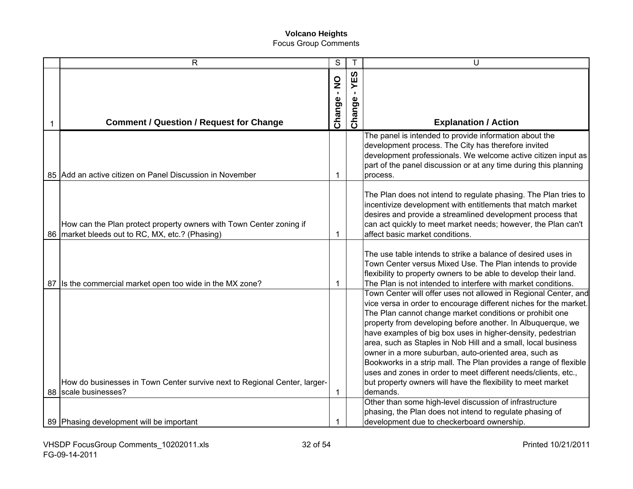| $\mathsf{R}$                                                                                                             | S           |        | U                                                                                                                                                                                                                                                                                                                                                                                                                                                                                                                                                                                                                                                                          |
|--------------------------------------------------------------------------------------------------------------------------|-------------|--------|----------------------------------------------------------------------------------------------------------------------------------------------------------------------------------------------------------------------------------------------------------------------------------------------------------------------------------------------------------------------------------------------------------------------------------------------------------------------------------------------------------------------------------------------------------------------------------------------------------------------------------------------------------------------------|
|                                                                                                                          |             | YES    |                                                                                                                                                                                                                                                                                                                                                                                                                                                                                                                                                                                                                                                                            |
|                                                                                                                          | Change - NO | Change |                                                                                                                                                                                                                                                                                                                                                                                                                                                                                                                                                                                                                                                                            |
| <b>Comment / Question / Request for Change</b>                                                                           |             |        | <b>Explanation / Action</b>                                                                                                                                                                                                                                                                                                                                                                                                                                                                                                                                                                                                                                                |
| 85 Add an active citizen on Panel Discussion in November                                                                 | 1           |        | The panel is intended to provide information about the<br>development process. The City has therefore invited<br>development professionals. We welcome active citizen input as<br>part of the panel discussion or at any time during this planning<br>process.                                                                                                                                                                                                                                                                                                                                                                                                             |
| How can the Plan protect property owners with Town Center zoning if<br>86   market bleeds out to RC, MX, etc.? (Phasing) | 1           |        | The Plan does not intend to regulate phasing. The Plan tries to<br>incentivize development with entitlements that match market<br>desires and provide a streamlined development process that<br>can act quickly to meet market needs; however, the Plan can't<br>affect basic market conditions.                                                                                                                                                                                                                                                                                                                                                                           |
| 87 Is the commercial market open too wide in the MX zone?                                                                | 1           |        | The use table intends to strike a balance of desired uses in<br>Town Center versus Mixed Use. The Plan intends to provide<br>flexibility to property owners to be able to develop their land.<br>The Plan is not intended to interfere with market conditions.                                                                                                                                                                                                                                                                                                                                                                                                             |
| How do businesses in Town Center survive next to Regional Center, larger-<br>88   scale businesses?                      | 1           |        | Town Center will offer uses not allowed in Regional Center, and<br>vice versa in order to encourage different niches for the market.<br>The Plan cannot change market conditions or prohibit one<br>property from developing before another. In Albuquerque, we<br>have examples of big box uses in higher-density, pedestrian<br>area, such as Staples in Nob Hill and a small, local business<br>owner in a more suburban, auto-oriented area, such as<br>Bookworks in a strip mall. The Plan provides a range of flexible<br>uses and zones in order to meet different needs/clients, etc.,<br>but property owners will have the flexibility to meet market<br>demands. |
| 89 Phasing development will be important                                                                                 | 1           |        | Other than some high-level discussion of infrastructure<br>phasing, the Plan does not intend to regulate phasing of<br>development due to checkerboard ownership.                                                                                                                                                                                                                                                                                                                                                                                                                                                                                                          |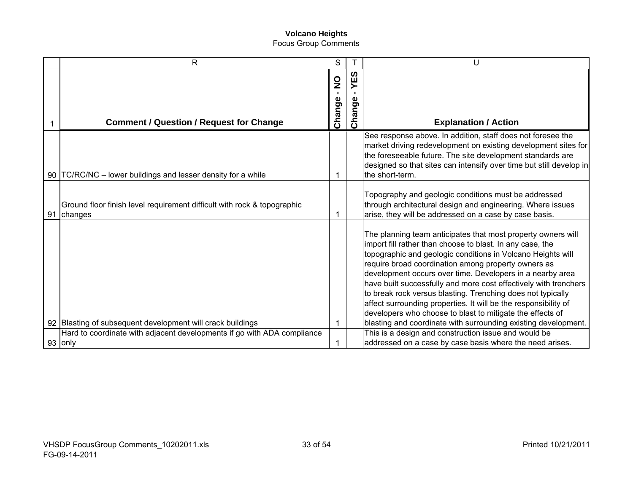|    | $\mathsf{R}$                                                                       | S                                       |                                 | U                                                                                                                                                                                                                                                                                                                                                                                                                                                                                                                                                                               |
|----|------------------------------------------------------------------------------------|-----------------------------------------|---------------------------------|---------------------------------------------------------------------------------------------------------------------------------------------------------------------------------------------------------------------------------------------------------------------------------------------------------------------------------------------------------------------------------------------------------------------------------------------------------------------------------------------------------------------------------------------------------------------------------|
|    | <b>Comment / Question / Request for Change</b>                                     | $\frac{1}{2}$<br>$\mathbf{L}$<br>Change | YES<br>$\blacksquare$<br>Change | <b>Explanation / Action</b>                                                                                                                                                                                                                                                                                                                                                                                                                                                                                                                                                     |
|    | 90   TC/RC/NC – lower buildings and lesser density for a while                     | 1                                       |                                 | See response above. In addition, staff does not foresee the<br>market driving redevelopment on existing development sites for<br>the foreseeable future. The site development standards are<br>designed so that sites can intensify over time but still develop in<br>the short-term.                                                                                                                                                                                                                                                                                           |
| 91 | Ground floor finish level requirement difficult with rock & topographic<br>changes | 1                                       |                                 | Topography and geologic conditions must be addressed<br>through architectural design and engineering. Where issues<br>arise, they will be addressed on a case by case basis.                                                                                                                                                                                                                                                                                                                                                                                                    |
|    |                                                                                    |                                         |                                 | The planning team anticipates that most property owners will<br>import fill rather than choose to blast. In any case, the<br>topographic and geologic conditions in Volcano Heights will<br>require broad coordination among property owners as<br>development occurs over time. Developers in a nearby area<br>have built successfully and more cost effectively with trenchers<br>to break rock versus blasting. Trenching does not typically<br>affect surrounding properties. It will be the responsibility of<br>developers who choose to blast to mitigate the effects of |
|    | 92 Blasting of subsequent development will crack buildings                         | 1                                       |                                 | blasting and coordinate with surrounding existing development.                                                                                                                                                                                                                                                                                                                                                                                                                                                                                                                  |
|    | Hard to coordinate with adjacent developments if go with ADA compliance<br>93 only |                                         |                                 | This is a design and construction issue and would be<br>addressed on a case by case basis where the need arises.                                                                                                                                                                                                                                                                                                                                                                                                                                                                |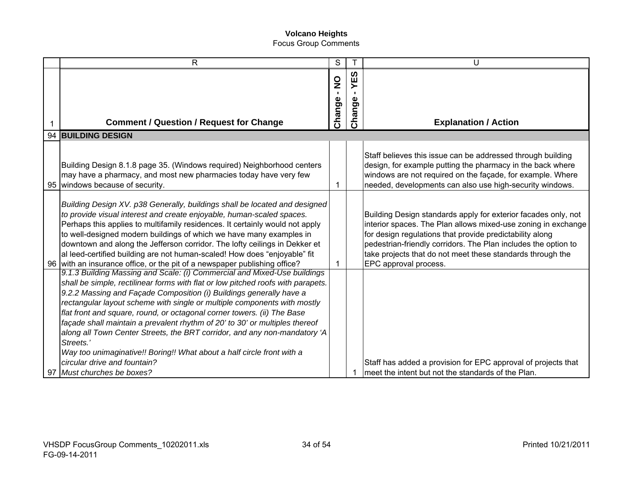|    | R                                                                                                                                                                                                                                                                                                                                                                                                                                                                                                                                                                                                                                                                                                        | S                                         |                  | U                                                                                                                                                                                                                                                                                                                                                    |
|----|----------------------------------------------------------------------------------------------------------------------------------------------------------------------------------------------------------------------------------------------------------------------------------------------------------------------------------------------------------------------------------------------------------------------------------------------------------------------------------------------------------------------------------------------------------------------------------------------------------------------------------------------------------------------------------------------------------|-------------------------------------------|------------------|------------------------------------------------------------------------------------------------------------------------------------------------------------------------------------------------------------------------------------------------------------------------------------------------------------------------------------------------------|
|    | <b>Comment / Question / Request for Change</b>                                                                                                                                                                                                                                                                                                                                                                                                                                                                                                                                                                                                                                                           | $\frac{0}{2}$<br>$\blacksquare$<br>Change | ທ<br>Ш<br>Change | <b>Explanation / Action</b>                                                                                                                                                                                                                                                                                                                          |
|    | 94 BUILDING DESIGN                                                                                                                                                                                                                                                                                                                                                                                                                                                                                                                                                                                                                                                                                       |                                           |                  |                                                                                                                                                                                                                                                                                                                                                      |
|    | Building Design 8.1.8 page 35. (Windows required) Neighborhood centers<br>may have a pharmacy, and most new pharmacies today have very few<br>95 windows because of security.                                                                                                                                                                                                                                                                                                                                                                                                                                                                                                                            | 1                                         |                  | Staff believes this issue can be addressed through building<br>design, for example putting the pharmacy in the back where<br>windows are not required on the façade, for example. Where<br>needed, developments can also use high-security windows.                                                                                                  |
|    | Building Design XV. p38 Generally, buildings shall be located and designed<br>to provide visual interest and create enjoyable, human-scaled spaces.<br>Perhaps this applies to multifamily residences. It certainly would not apply<br>to well-designed modern buildings of which we have many examples in<br>downtown and along the Jefferson corridor. The lofty ceilings in Dekker et<br>al leed-certified building are not human-scaled! How does "enjoyable" fit<br>96 with an insurance office, or the pit of a newspaper publishing office?                                                                                                                                                       | 1                                         |                  | Building Design standards apply for exterior facades only, not<br>interior spaces. The Plan allows mixed-use zoning in exchange<br>for design regulations that provide predictability along<br>pedestrian-friendly corridors. The Plan includes the option to<br>take projects that do not meet these standards through the<br>EPC approval process. |
| 97 | 9.1.3 Building Massing and Scale: (i) Commercial and Mixed-Use buildings<br>shall be simple, rectilinear forms with flat or low pitched roofs with parapets.<br>9.2.2 Massing and Façade Composition (i) Buildings generally have a<br>rectangular layout scheme with single or multiple components with mostly<br>flat front and square, round, or octagonal corner towers. (ii) The Base<br>façade shall maintain a prevalent rhythm of 20' to 30' or multiples thereof<br>along all Town Center Streets, the BRT corridor, and any non-mandatory 'A<br>Streets.'<br>Way too unimaginative!! Boring!! What about a half circle front with a<br>circular drive and fountain?<br>Must churches be boxes? |                                           | 1                | Staff has added a provision for EPC approval of projects that<br>meet the intent but not the standards of the Plan.                                                                                                                                                                                                                                  |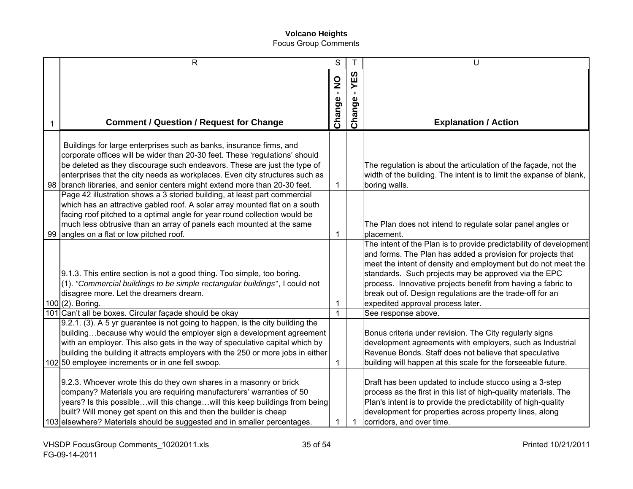| $\mathsf{R}$                                                                                                                                                                                                                                                                                                                                                                                                                         | S            | $\mathsf T$       | U                                                                                                                                                                                                                                                                                                                                                                                                                            |
|--------------------------------------------------------------------------------------------------------------------------------------------------------------------------------------------------------------------------------------------------------------------------------------------------------------------------------------------------------------------------------------------------------------------------------------|--------------|-------------------|------------------------------------------------------------------------------------------------------------------------------------------------------------------------------------------------------------------------------------------------------------------------------------------------------------------------------------------------------------------------------------------------------------------------------|
| <b>Comment / Question / Request for Change</b>                                                                                                                                                                                                                                                                                                                                                                                       | Change - NO  | 63<br>≻<br>Change | <b>Explanation / Action</b>                                                                                                                                                                                                                                                                                                                                                                                                  |
| Buildings for large enterprises such as banks, insurance firms, and<br>corporate offices will be wider than 20-30 feet. These 'regulations' should<br>be deleted as they discourage such endeavors. These are just the type of<br>enterprises that the city needs as workplaces. Even city structures such as<br>98   branch libraries, and senior centers might extend more than 20-30 feet.                                        | $\mathbf{1}$ |                   | The regulation is about the articulation of the façade, not the<br>width of the building. The intent is to limit the expanse of blank,<br>boring walls.                                                                                                                                                                                                                                                                      |
| Page 42 illustration shows a 3 storied building, at least part commercial<br>which has an attractive gabled roof. A solar array mounted flat on a south<br>facing roof pitched to a optimal angle for year round collection would be<br>much less obtrusive than an array of panels each mounted at the same<br>99 angles on a flat or low pitched roof.                                                                             | 1            |                   | The Plan does not intend to regulate solar panel angles or<br>placement.                                                                                                                                                                                                                                                                                                                                                     |
| 9.1.3. This entire section is not a good thing. Too simple, too boring.<br>(1). "Commercial buildings to be simple rectangular buildings", I could not<br>disagree more. Let the dreamers dream.<br>100 (2). Boring.                                                                                                                                                                                                                 | 1            |                   | The intent of the Plan is to provide predictability of development<br>and forms. The Plan has added a provision for projects that<br>meet the intent of density and employment but do not meet the<br>standards. Such projects may be approved via the EPC<br>process. Innovative projects benefit from having a fabric to<br>break out of. Design regulations are the trade-off for an<br>expedited approval process later. |
| 101 Can't all be boxes. Circular façade should be okay<br>9.2.1. (3). A 5 yr guarantee is not going to happen, is the city building the<br>buildingbecause why would the employer sign a development agreement<br>with an employer. This also gets in the way of speculative capital which by<br>building the building it attracts employers with the 250 or more jobs in either<br>102 50 employee increments or in one fell swoop. | 1<br>1       |                   | See response above.<br>Bonus criteria under revision. The City regularly signs<br>development agreements with employers, such as Industrial<br>Revenue Bonds. Staff does not believe that speculative<br>building will happen at this scale for the forseeable future.                                                                                                                                                       |
| 9.2.3. Whoever wrote this do they own shares in a masonry or brick<br>company? Materials you are requiring manufacturers' warranties of 50<br>years? Is this possiblewill this changewill this keep buildings from being<br>built? Will money get spent on this and then the builder is cheap<br>103 elsewhere? Materials should be suggested and in smaller percentages.                                                            | 1            |                   | Draft has been updated to include stucco using a 3-step<br>process as the first in this list of high-quality materials. The<br>Plan's intent is to provide the predictability of high-quality<br>development for properties across property lines, along<br>corridors, and over time.                                                                                                                                        |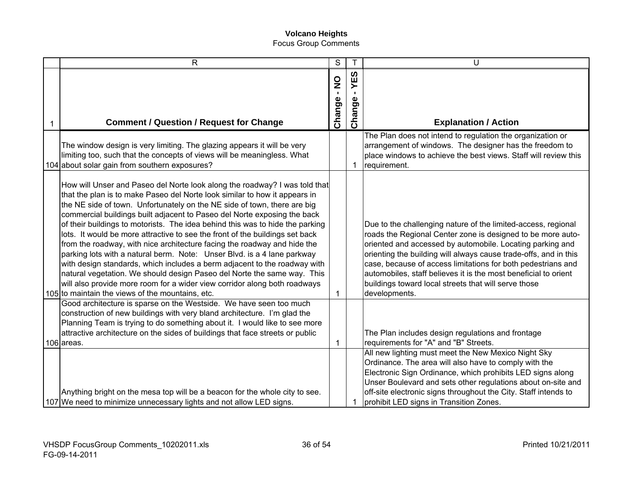|   | $\mathsf{R}$                                                                                                                                                                                                                                                                                                                                                                                                                                                                                                                                                                                                                                                                                                                                                                                                                                                                                                                      | S                                       | $\mathsf T$           | U                                                                                                                                                                                                                                                                                                                                                                                                                                                                         |
|---|-----------------------------------------------------------------------------------------------------------------------------------------------------------------------------------------------------------------------------------------------------------------------------------------------------------------------------------------------------------------------------------------------------------------------------------------------------------------------------------------------------------------------------------------------------------------------------------------------------------------------------------------------------------------------------------------------------------------------------------------------------------------------------------------------------------------------------------------------------------------------------------------------------------------------------------|-----------------------------------------|-----------------------|---------------------------------------------------------------------------------------------------------------------------------------------------------------------------------------------------------------------------------------------------------------------------------------------------------------------------------------------------------------------------------------------------------------------------------------------------------------------------|
| 1 | <b>Comment / Question / Request for Change</b>                                                                                                                                                                                                                                                                                                                                                                                                                                                                                                                                                                                                                                                                                                                                                                                                                                                                                    | $\frac{1}{2}$<br>$\mathbf{I}$<br>Change | ທ<br>ш<br>≻<br>Change | <b>Explanation / Action</b>                                                                                                                                                                                                                                                                                                                                                                                                                                               |
|   | The window design is very limiting. The glazing appears it will be very<br>limiting too, such that the concepts of views will be meaningless. What<br>104 about solar gain from southern exposures?                                                                                                                                                                                                                                                                                                                                                                                                                                                                                                                                                                                                                                                                                                                               |                                         | $\mathbf 1$           | The Plan does not intend to regulation the organization or<br>arrangement of windows. The designer has the freedom to<br>place windows to achieve the best views. Staff will review this<br>requirement.                                                                                                                                                                                                                                                                  |
|   | How will Unser and Paseo del Norte look along the roadway? I was told that<br>that the plan is to make Paseo del Norte look similar to how it appears in<br>the NE side of town. Unfortunately on the NE side of town, there are big<br>commercial buildings built adjacent to Paseo del Norte exposing the back<br>of their buildings to motorists. The idea behind this was to hide the parking<br>lots. It would be more attractive to see the front of the buildings set back<br>from the roadway, with nice architecture facing the roadway and hide the<br>parking lots with a natural berm. Note: Unser Blvd. is a 4 lane parkway<br>with design standards, which includes a berm adjacent to the roadway with<br>natural vegetation. We should design Paseo del Norte the same way. This<br>will also provide more room for a wider view corridor along both roadways<br>105 to maintain the views of the mountains, etc. | 1                                       |                       | Due to the challenging nature of the limited-access, regional<br>roads the Regional Center zone is designed to be more auto-<br>oriented and accessed by automobile. Locating parking and<br>orienting the building will always cause trade-offs, and in this<br>case, because of access limitations for both pedestrians and<br>automobiles, staff believes it is the most beneficial to orient<br>buildings toward local streets that will serve those<br>developments. |
|   | Good architecture is sparse on the Westside. We have seen too much<br>construction of new buildings with very bland architecture. I'm glad the<br>Planning Team is trying to do something about it. I would like to see more<br>attractive architecture on the sides of buildings that face streets or public<br>106 areas.                                                                                                                                                                                                                                                                                                                                                                                                                                                                                                                                                                                                       | 1                                       |                       | The Plan includes design regulations and frontage<br>requirements for "A" and "B" Streets.                                                                                                                                                                                                                                                                                                                                                                                |
|   | Anything bright on the mesa top will be a beacon for the whole city to see.<br>107 We need to minimize unnecessary lights and not allow LED signs.                                                                                                                                                                                                                                                                                                                                                                                                                                                                                                                                                                                                                                                                                                                                                                                |                                         |                       | All new lighting must meet the New Mexico Night Sky<br>Ordinance. The area will also have to comply with the<br>Electronic Sign Ordinance, which prohibits LED signs along<br>Unser Boulevard and sets other regulations about on-site and<br>off-site electronic signs throughout the City. Staff intends to<br>prohibit LED signs in Transition Zones.                                                                                                                  |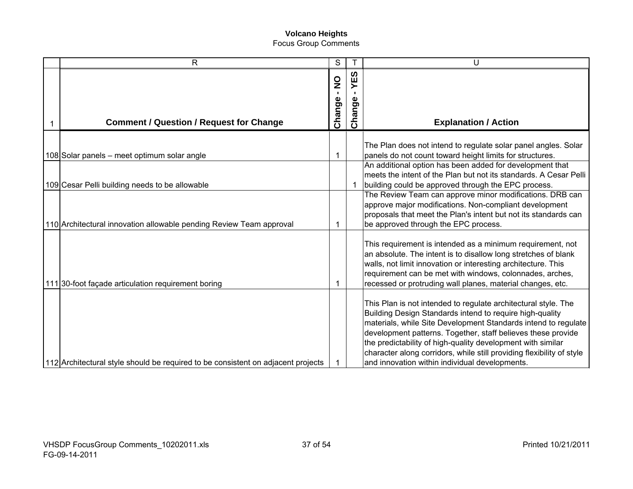| $\mathsf{R}$                                                                     | S                                         |                          | U                                                                                                                                                                                                                                                                                                                                                                                                                                                      |
|----------------------------------------------------------------------------------|-------------------------------------------|--------------------------|--------------------------------------------------------------------------------------------------------------------------------------------------------------------------------------------------------------------------------------------------------------------------------------------------------------------------------------------------------------------------------------------------------------------------------------------------------|
| <b>Comment / Question / Request for Change</b>                                   | $\frac{1}{2}$<br>$\blacksquare$<br>Change | <b>S3</b><br>≻<br>Change | <b>Explanation / Action</b>                                                                                                                                                                                                                                                                                                                                                                                                                            |
| 108 Solar panels – meet optimum solar angle                                      | 1                                         |                          | The Plan does not intend to regulate solar panel angles. Solar<br>panels do not count toward height limits for structures.<br>An additional option has been added for development that                                                                                                                                                                                                                                                                 |
| 109 Cesar Pelli building needs to be allowable                                   |                                           |                          | meets the intent of the Plan but not its standards. A Cesar Pelli<br>building could be approved through the EPC process.                                                                                                                                                                                                                                                                                                                               |
| 110 Architectural innovation allowable pending Review Team approval              | 1                                         |                          | The Review Team can approve minor modifications. DRB can<br>approve major modifications. Non-compliant development<br>proposals that meet the Plan's intent but not its standards can<br>be approved through the EPC process.                                                                                                                                                                                                                          |
| 111 30-foot façade articulation requirement boring                               | 1                                         |                          | This requirement is intended as a minimum requirement, not<br>an absolute. The intent is to disallow long stretches of blank<br>walls, not limit innovation or interesting architecture. This<br>requirement can be met with windows, colonnades, arches,<br>recessed or protruding wall planes, material changes, etc.                                                                                                                                |
| 112 Architectural style should be required to be consistent on adjacent projects |                                           |                          | This Plan is not intended to regulate architectural style. The<br>Building Design Standards intend to require high-quality<br>materials, while Site Development Standards intend to regulate<br>development patterns. Together, staff believes these provide<br>the predictability of high-quality development with similar<br>character along corridors, while still providing flexibility of style<br>and innovation within individual developments. |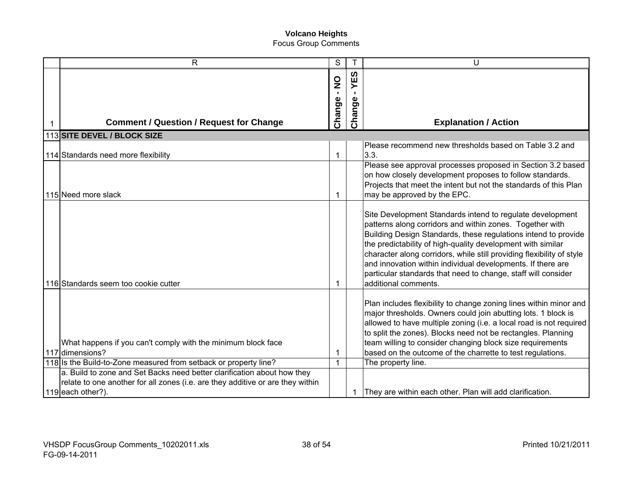| $\mathsf{R}$                                                                                                                                        | S                 |                | U                                                                                                                                                                                                                                                                                                                                                                                                                                                                                       |
|-----------------------------------------------------------------------------------------------------------------------------------------------------|-------------------|----------------|-----------------------------------------------------------------------------------------------------------------------------------------------------------------------------------------------------------------------------------------------------------------------------------------------------------------------------------------------------------------------------------------------------------------------------------------------------------------------------------------|
|                                                                                                                                                     | S<br>i            | <b>S3</b><br>≻ |                                                                                                                                                                                                                                                                                                                                                                                                                                                                                         |
| <b>Comment / Question / Request for Change</b>                                                                                                      | Change            | Change         | <b>Explanation / Action</b>                                                                                                                                                                                                                                                                                                                                                                                                                                                             |
| 113 SITE DEVEL / BLOCK SIZE                                                                                                                         |                   |                |                                                                                                                                                                                                                                                                                                                                                                                                                                                                                         |
| 114 Standards need more flexibility                                                                                                                 | $\mathbf{1}$      |                | Please recommend new thresholds based on Table 3.2 and<br>3.3.                                                                                                                                                                                                                                                                                                                                                                                                                          |
| 115 Need more slack                                                                                                                                 | $\mathbf 1$       |                | Please see approval processes proposed in Section 3.2 based<br>on how closely development proposes to follow standards.<br>Projects that meet the intent but not the standards of this Plan<br>may be approved by the EPC.                                                                                                                                                                                                                                                              |
| 116 Standards seem too cookie cutter                                                                                                                | 1                 |                | Site Development Standards intend to regulate development<br>patterns along corridors and within zones. Together with<br>Building Design Standards, these regulations intend to provide<br>the predictability of high-quality development with similar<br>character along corridors, while still providing flexibility of style<br>and innovation within individual developments. If there are<br>particular standards that need to change, staff will consider<br>additional comments. |
| What happens if you can't comply with the minimum block face<br>117 dimensions?<br>118 Is the Build-to-Zone measured from setback or property line? | 1<br>$\mathbf{1}$ |                | Plan includes flexibility to change zoning lines within minor and<br>major thresholds. Owners could join abutting lots. 1 block is<br>allowed to have multiple zoning (i.e. a local road is not required<br>to split the zones). Blocks need not be rectangles. Planning<br>team willing to consider changing block size requirements<br>based on the outcome of the charrette to test regulations.<br>The property line.                                                               |
| a. Build to zone and Set Backs need better clarification about how they                                                                             |                   |                |                                                                                                                                                                                                                                                                                                                                                                                                                                                                                         |
| relate to one another for all zones (i.e. are they additive or are they within                                                                      |                   |                |                                                                                                                                                                                                                                                                                                                                                                                                                                                                                         |
| 119 each other?).                                                                                                                                   |                   |                | They are within each other. Plan will add clarification.                                                                                                                                                                                                                                                                                                                                                                                                                                |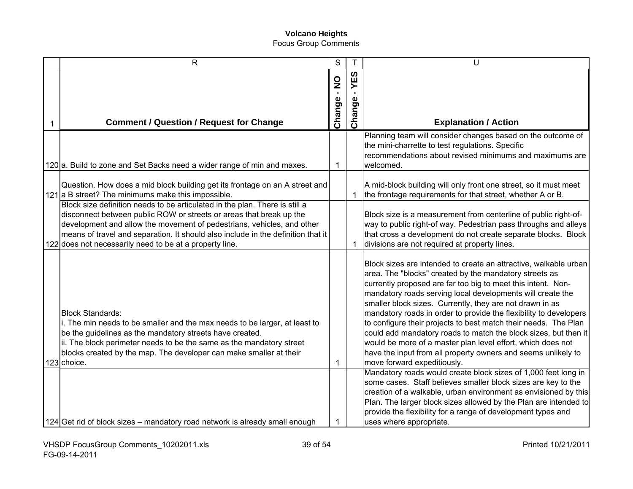| $\overline{R}$                                                                                                                                                                                                                                                                                                                                                              | S           | T             | U                                                                                                                                                                                                                                                                                                                                                                                                                                                                                                                                                                                                                                                                                                                                                                                                                                                                                                                                                                                                                                        |
|-----------------------------------------------------------------------------------------------------------------------------------------------------------------------------------------------------------------------------------------------------------------------------------------------------------------------------------------------------------------------------|-------------|---------------|------------------------------------------------------------------------------------------------------------------------------------------------------------------------------------------------------------------------------------------------------------------------------------------------------------------------------------------------------------------------------------------------------------------------------------------------------------------------------------------------------------------------------------------------------------------------------------------------------------------------------------------------------------------------------------------------------------------------------------------------------------------------------------------------------------------------------------------------------------------------------------------------------------------------------------------------------------------------------------------------------------------------------------------|
| <b>Comment / Question / Request for Change</b>                                                                                                                                                                                                                                                                                                                              | Change - NO | YES<br>Change | <b>Explanation / Action</b>                                                                                                                                                                                                                                                                                                                                                                                                                                                                                                                                                                                                                                                                                                                                                                                                                                                                                                                                                                                                              |
|                                                                                                                                                                                                                                                                                                                                                                             |             |               | Planning team will consider changes based on the outcome of                                                                                                                                                                                                                                                                                                                                                                                                                                                                                                                                                                                                                                                                                                                                                                                                                                                                                                                                                                              |
|                                                                                                                                                                                                                                                                                                                                                                             |             |               | the mini-charrette to test regulations. Specific<br>recommendations about revised minimums and maximums are                                                                                                                                                                                                                                                                                                                                                                                                                                                                                                                                                                                                                                                                                                                                                                                                                                                                                                                              |
| 120 a. Build to zone and Set Backs need a wider range of min and maxes.                                                                                                                                                                                                                                                                                                     | 1           |               | welcomed.                                                                                                                                                                                                                                                                                                                                                                                                                                                                                                                                                                                                                                                                                                                                                                                                                                                                                                                                                                                                                                |
| Question. How does a mid block building get its frontage on an A street and<br>121 a B street? The minimums make this impossible.                                                                                                                                                                                                                                           |             | -1            | A mid-block building will only front one street, so it must meet<br>the frontage requirements for that street, whether A or B.                                                                                                                                                                                                                                                                                                                                                                                                                                                                                                                                                                                                                                                                                                                                                                                                                                                                                                           |
| Block size definition needs to be articulated in the plan. There is still a<br>disconnect between public ROW or streets or areas that break up the<br>development and allow the movement of pedestrians, vehicles, and other<br>means of travel and separation. It should also include in the definition that it<br>122 does not necessarily need to be at a property line. |             | -1            | Block size is a measurement from centerline of public right-of-<br>way to public right-of way. Pedestrian pass throughs and alleys<br>that cross a development do not create separate blocks. Block<br>divisions are not required at property lines.                                                                                                                                                                                                                                                                                                                                                                                                                                                                                                                                                                                                                                                                                                                                                                                     |
| <b>Block Standards:</b><br>i. The min needs to be smaller and the max needs to be larger, at least to<br>be the guidelines as the mandatory streets have created.<br>ii. The block perimeter needs to be the same as the mandatory street<br>blocks created by the map. The developer can make smaller at their<br>123 choice.                                              | 1           |               | Block sizes are intended to create an attractive, walkable urban<br>area. The "blocks" created by the mandatory streets as<br>currently proposed are far too big to meet this intent. Non-<br>mandatory roads serving local developments will create the<br>smaller block sizes. Currently, they are not drawn in as<br>mandatory roads in order to provide the flexibility to developers<br>to configure their projects to best match their needs. The Plan<br>could add mandatory roads to match the block sizes, but then it<br>would be more of a master plan level effort, which does not<br>have the input from all property owners and seems unlikely to<br>move forward expeditiously.<br>Mandatory roads would create block sizes of 1,000 feet long in<br>some cases. Staff believes smaller block sizes are key to the<br>creation of a walkable, urban environment as envisioned by this<br>Plan. The larger block sizes allowed by the Plan are intended to<br>provide the flexibility for a range of development types and |
| 124 Get rid of block sizes - mandatory road network is already small enough                                                                                                                                                                                                                                                                                                 | 1           |               | uses where appropriate.                                                                                                                                                                                                                                                                                                                                                                                                                                                                                                                                                                                                                                                                                                                                                                                                                                                                                                                                                                                                                  |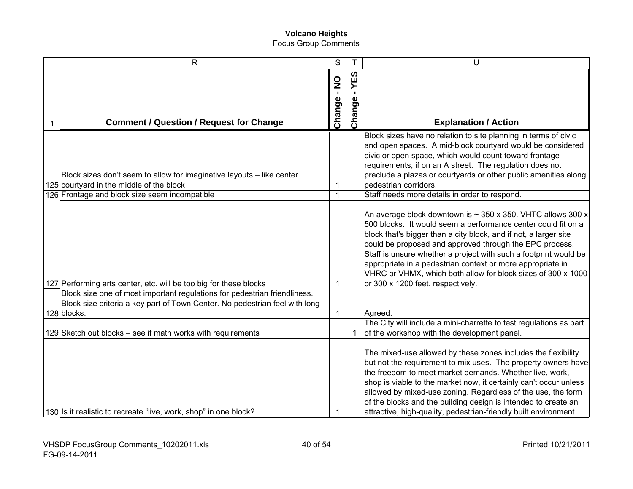| $\mathsf{R}$                                                                | S             |        | U                                                                  |
|-----------------------------------------------------------------------------|---------------|--------|--------------------------------------------------------------------|
|                                                                             |               | YES    |                                                                    |
|                                                                             | $\frac{0}{1}$ |        |                                                                    |
|                                                                             |               |        |                                                                    |
|                                                                             |               |        |                                                                    |
| <b>Comment / Question / Request for Change</b>                              | Change        | Change | <b>Explanation / Action</b>                                        |
|                                                                             |               |        | Block sizes have no relation to site planning in terms of civic    |
|                                                                             |               |        | and open spaces. A mid-block courtyard would be considered         |
|                                                                             |               |        | civic or open space, which would count toward frontage             |
|                                                                             |               |        | requirements, if on an A street. The regulation does not           |
| Block sizes don't seem to allow for imaginative layouts - like center       |               |        | preclude a plazas or courtyards or other public amenities along    |
| 125 courtyard in the middle of the block                                    | 1             |        | pedestrian corridors.                                              |
| 126 Frontage and block size seem incompatible                               | $\mathbf 1$   |        | Staff needs more details in order to respond.                      |
|                                                                             |               |        | An average block downtown is $\sim$ 350 x 350. VHTC allows 300 x   |
|                                                                             |               |        | 500 blocks. It would seem a performance center could fit on a      |
|                                                                             |               |        | block that's bigger than a city block, and if not, a larger site   |
|                                                                             |               |        | could be proposed and approved through the EPC process.            |
|                                                                             |               |        | Staff is unsure whether a project with such a footprint would be   |
|                                                                             |               |        | appropriate in a pedestrian context or more appropriate in         |
|                                                                             |               |        | VHRC or VHMX, which both allow for block sizes of 300 x 1000       |
| 127 Performing arts center, etc. will be too big for these blocks           | 1             |        | or 300 x 1200 feet, respectively.                                  |
| Block size one of most important regulations for pedestrian friendliness.   |               |        |                                                                    |
| Block size criteria a key part of Town Center. No pedestrian feel with long |               |        |                                                                    |
| 128 blocks.                                                                 | $\mathbf{1}$  |        | Agreed.                                                            |
|                                                                             |               |        | The City will include a mini-charrette to test regulations as part |
| 129 Sketch out blocks – see if math works with requirements                 |               | -1     | of the workshop with the development panel.                        |
|                                                                             |               |        |                                                                    |
|                                                                             |               |        | The mixed-use allowed by these zones includes the flexibility      |
|                                                                             |               |        | but not the requirement to mix uses. The property owners have      |
|                                                                             |               |        | the freedom to meet market demands. Whether live, work,            |
|                                                                             |               |        | shop is viable to the market now, it certainly can't occur unless  |
|                                                                             |               |        | allowed by mixed-use zoning. Regardless of the use, the form       |
|                                                                             |               |        | of the blocks and the building design is intended to create an     |
| 130 Is it realistic to recreate "live, work, shop" in one block?            | 1             |        | attractive, high-quality, pedestrian-friendly built environment.   |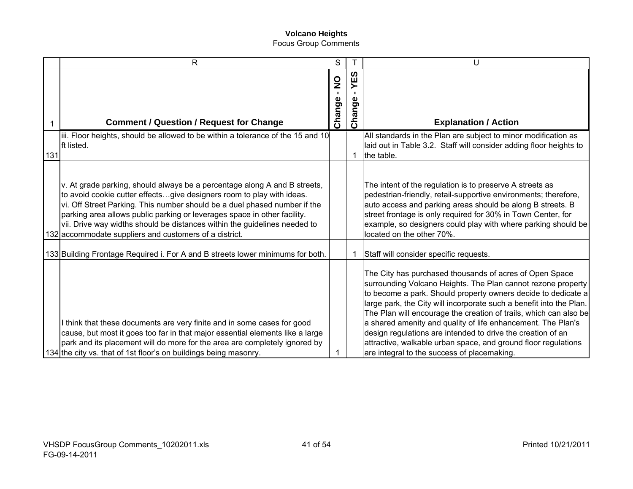|     | R                                                                                                                                                                                                                                                                                                                                                                                                                                                  | S                       |               | U                                                                                                                                                                                                                                                                                                                                                                                                                                                                                                                                                                                    |
|-----|----------------------------------------------------------------------------------------------------------------------------------------------------------------------------------------------------------------------------------------------------------------------------------------------------------------------------------------------------------------------------------------------------------------------------------------------------|-------------------------|---------------|--------------------------------------------------------------------------------------------------------------------------------------------------------------------------------------------------------------------------------------------------------------------------------------------------------------------------------------------------------------------------------------------------------------------------------------------------------------------------------------------------------------------------------------------------------------------------------------|
| 1   | <b>Comment / Question / Request for Change</b>                                                                                                                                                                                                                                                                                                                                                                                                     | $\frac{1}{2}$<br>Change | YES<br>Change | <b>Explanation / Action</b>                                                                                                                                                                                                                                                                                                                                                                                                                                                                                                                                                          |
| 131 | iii. Floor heights, should be allowed to be within a tolerance of the 15 and 10<br>Ift listed.                                                                                                                                                                                                                                                                                                                                                     |                         | 1             | All standards in the Plan are subject to minor modification as<br>laid out in Table 3.2. Staff will consider adding floor heights to<br>the table.                                                                                                                                                                                                                                                                                                                                                                                                                                   |
|     | v. At grade parking, should always be a percentage along A and B streets,<br>to avoid cookie cutter effectsgive designers room to play with ideas.<br>vi. Off Street Parking. This number should be a duel phased number if the<br>parking area allows public parking or leverages space in other facility.<br>vii. Drive way widths should be distances within the guidelines needed to<br>132 accommodate suppliers and customers of a district. |                         |               | The intent of the regulation is to preserve A streets as<br>pedestrian-friendly, retail-supportive environments; therefore,<br>auto access and parking areas should be along B streets. B<br>street frontage is only required for 30% in Town Center, for<br>example, so designers could play with where parking should be<br>located on the other 70%.                                                                                                                                                                                                                              |
|     | 133 Building Frontage Required i. For A and B streets lower minimums for both.                                                                                                                                                                                                                                                                                                                                                                     |                         |               | Staff will consider specific requests.                                                                                                                                                                                                                                                                                                                                                                                                                                                                                                                                               |
|     | I think that these documents are very finite and in some cases for good<br>cause, but most it goes too far in that major essential elements like a large<br>park and its placement will do more for the area are completely ignored by<br>134 the city vs. that of 1st floor's on buildings being masonry.                                                                                                                                         |                         |               | The City has purchased thousands of acres of Open Space<br>surrounding Volcano Heights. The Plan cannot rezone property<br>to become a park. Should property owners decide to dedicate a<br>large park, the City will incorporate such a benefit into the Plan.<br>The Plan will encourage the creation of trails, which can also be<br>a shared amenity and quality of life enhancement. The Plan's<br>design regulations are intended to drive the creation of an<br>attractive, walkable urban space, and ground floor regulations<br>are integral to the success of placemaking. |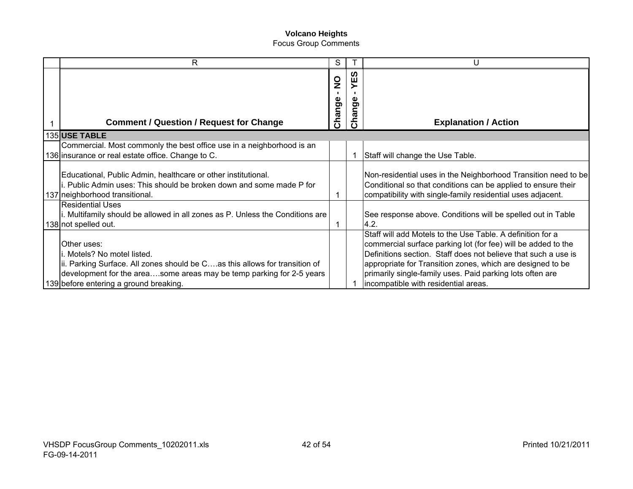| R                                                                                                                                                                                                                                          | S                                       |                                              | U                                                                                                                                                                                                                                                                                                                                                                |
|--------------------------------------------------------------------------------------------------------------------------------------------------------------------------------------------------------------------------------------------|-----------------------------------------|----------------------------------------------|------------------------------------------------------------------------------------------------------------------------------------------------------------------------------------------------------------------------------------------------------------------------------------------------------------------------------------------------------------------|
| <b>Comment / Question / Request for Change</b>                                                                                                                                                                                             | $\frac{0}{2}$<br>$\mathbf{L}$<br>Change | ທ<br>ш<br>nge<br>$\boldsymbol{\varpi}$<br>δÊ | <b>Explanation / Action</b>                                                                                                                                                                                                                                                                                                                                      |
| 135 USE TABLE                                                                                                                                                                                                                              |                                         |                                              |                                                                                                                                                                                                                                                                                                                                                                  |
| Commercial. Most commonly the best office use in a neighborhood is an<br>136 insurance or real estate office. Change to C.                                                                                                                 |                                         |                                              | Staff will change the Use Table.                                                                                                                                                                                                                                                                                                                                 |
| Educational, Public Admin, healthcare or other institutional.<br>i. Public Admin uses: This should be broken down and some made P for<br>137 neighborhood transitional.                                                                    |                                         |                                              | Non-residential uses in the Neighborhood Transition need to be<br>Conditional so that conditions can be applied to ensure their<br>compatibility with single-family residential uses adjacent.                                                                                                                                                                   |
| <b>Residential Uses</b><br>i. Multifamily should be allowed in all zones as P. Unless the Conditions are<br>138 not spelled out.                                                                                                           | 1                                       |                                              | See response above. Conditions will be spelled out in Table<br> 4.2.                                                                                                                                                                                                                                                                                             |
| Other uses:<br>i. Motels? No motel listed.<br>ii. Parking Surface. All zones should be Cas this allows for transition of<br>development for the areasome areas may be temp parking for 2-5 years<br>139 before entering a ground breaking. |                                         |                                              | Staff will add Motels to the Use Table. A definition for a<br>commercial surface parking lot (for fee) will be added to the<br>Definitions section. Staff does not believe that such a use is<br>appropriate for Transition zones, which are designed to be<br>primarily single-family uses. Paid parking lots often are<br>incompatible with residential areas. |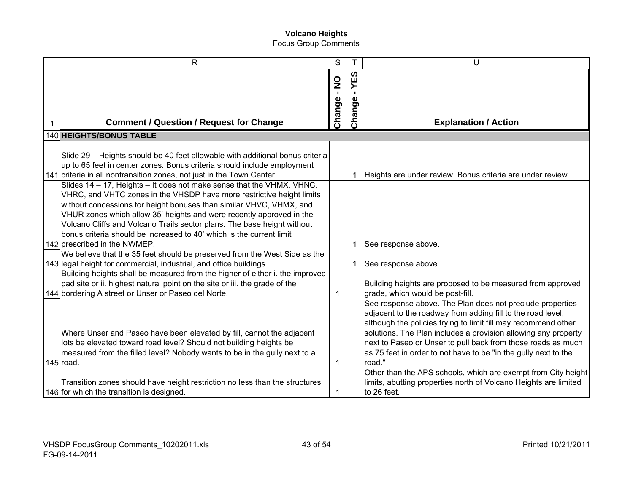| R                                                                                                                                                                                                                                 | S                             |             | U                                                                                                                                                                                                 |
|-----------------------------------------------------------------------------------------------------------------------------------------------------------------------------------------------------------------------------------|-------------------------------|-------------|---------------------------------------------------------------------------------------------------------------------------------------------------------------------------------------------------|
|                                                                                                                                                                                                                                   | $\frac{1}{2}$<br>$\mathbf{r}$ | ທ<br>Ш<br>≻ |                                                                                                                                                                                                   |
| <b>Comment / Question / Request for Change</b>                                                                                                                                                                                    | Change                        | Change      | <b>Explanation / Action</b>                                                                                                                                                                       |
| <b>140 HEIGHTS/BONUS TABLE</b>                                                                                                                                                                                                    |                               |             |                                                                                                                                                                                                   |
| Slide 29 - Heights should be 40 feet allowable with additional bonus criteria<br>up to 65 feet in center zones. Bonus criteria should include employment<br>141 criteria in all nontransition zones, not just in the Town Center. |                               | 1           | Heights are under review. Bonus criteria are under review.                                                                                                                                        |
| Slides 14 - 17, Heights - It does not make sense that the VHMX, VHNC,<br>VHRC, and VHTC zones in the VHSDP have more restrictive height limits<br>without concessions for height bonuses than similar VHVC, VHMX, and             |                               |             |                                                                                                                                                                                                   |
| VHUR zones which allow 35' heights and were recently approved in the<br>Volcano Cliffs and Volcano Trails sector plans. The base height without<br>bonus criteria should be increased to 40' which is the current limit           |                               |             |                                                                                                                                                                                                   |
| 142 prescribed in the NWMEP.                                                                                                                                                                                                      |                               | 1           | See response above.                                                                                                                                                                               |
| We believe that the 35 feet should be preserved from the West Side as the                                                                                                                                                         |                               |             |                                                                                                                                                                                                   |
| 143 legal height for commercial, industrial, and office buildings.<br>Building heights shall be measured from the higher of either i. the improved                                                                                |                               | 1           | See response above.                                                                                                                                                                               |
| pad site or ii. highest natural point on the site or iii. the grade of the<br>144 bordering A street or Unser or Paseo del Norte.                                                                                                 | 1                             |             | Building heights are proposed to be measured from approved<br>grade, which would be post-fill.                                                                                                    |
|                                                                                                                                                                                                                                   |                               |             | See response above. The Plan does not preclude properties<br>adjacent to the roadway from adding fill to the road level,<br>although the policies trying to limit fill may recommend other        |
| Where Unser and Paseo have been elevated by fill, cannot the adjacent<br>lots be elevated toward road level? Should not building heights be<br>measured from the filled level? Nobody wants to be in the gully next to a          |                               |             | solutions. The Plan includes a provision allowing any property<br>next to Paseo or Unser to pull back from those roads as much<br>as 75 feet in order to not have to be "in the gully next to the |
| $145$ road.                                                                                                                                                                                                                       | 1                             |             | road."                                                                                                                                                                                            |
| Transition zones should have height restriction no less than the structures<br>146 for which the transition is designed.                                                                                                          | 1                             |             | Other than the APS schools, which are exempt from City height<br>limits, abutting properties north of Volcano Heights are limited<br>to 26 feet.                                                  |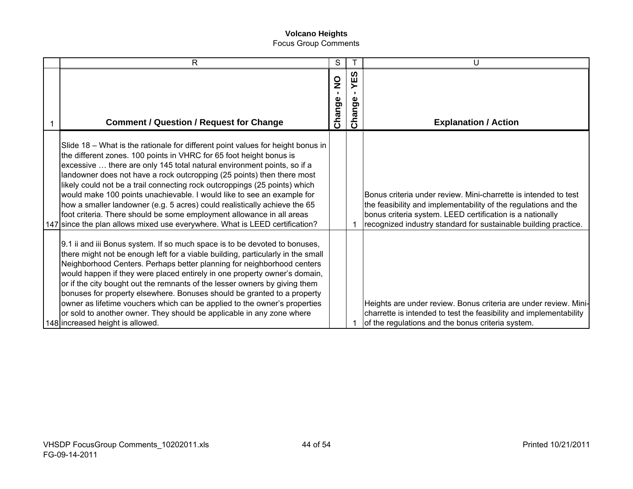| $\mathsf{R}$                                                                                                                                                                                                                                                                                                                                                                                                                                                                                                                                                                                                                                                                                             | S                                      |               | U                                                                                                                                                                                                                                                                  |
|----------------------------------------------------------------------------------------------------------------------------------------------------------------------------------------------------------------------------------------------------------------------------------------------------------------------------------------------------------------------------------------------------------------------------------------------------------------------------------------------------------------------------------------------------------------------------------------------------------------------------------------------------------------------------------------------------------|----------------------------------------|---------------|--------------------------------------------------------------------------------------------------------------------------------------------------------------------------------------------------------------------------------------------------------------------|
| <b>Comment / Question / Request for Change</b>                                                                                                                                                                                                                                                                                                                                                                                                                                                                                                                                                                                                                                                           | $\mathbf{S}$<br>$\mathbf{L}$<br>Change | YES<br>Change | <b>Explanation / Action</b>                                                                                                                                                                                                                                        |
| Slide 18 – What is the rationale for different point values for height bonus in<br>the different zones. 100 points in VHRC for 65 foot height bonus is<br>excessive  there are only 145 total natural environment points, so if a<br>landowner does not have a rock outcropping (25 points) then there most<br>likely could not be a trail connecting rock outcroppings (25 points) which<br>would make 100 points unachievable. I would like to see an example for<br>how a smaller landowner (e.g. 5 acres) could realistically achieve the 65<br>foot criteria. There should be some employment allowance in all areas<br>147 since the plan allows mixed use everywhere. What is LEED certification? |                                        |               | Bonus criteria under review. Mini-charrette is intended to test<br>the feasibility and implementability of the regulations and the<br>bonus criteria system. LEED certification is a nationally<br>recognized industry standard for sustainable building practice. |
| 9.1 ii and iii Bonus system. If so much space is to be devoted to bonuses,<br>there might not be enough left for a viable building, particularly in the small<br>Neighborhood Centers. Perhaps better planning for neighborhood centers<br>would happen if they were placed entirely in one property owner's domain,<br>or if the city bought out the remnants of the lesser owners by giving them<br>bonuses for property elsewhere. Bonuses should be granted to a property<br>owner as lifetime vouchers which can be applied to the owner's properties<br>or sold to another owner. They should be applicable in any zone where<br>148 increased height is allowed.                                  |                                        |               | Heights are under review. Bonus criteria are under review. Mini-<br>charrette is intended to test the feasibility and implementability<br>of the regulations and the bonus criteria system.                                                                        |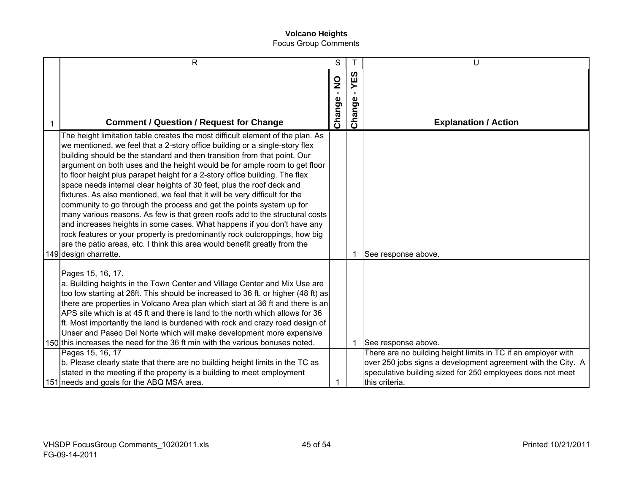| $\mathsf{R}$                                                                                                                                                                                                                                                                                                                                                                                                                                                                                                                                                                                                                                                                                                                                                                                                                                                                                                                                                                          | S                       |                          | U                                                                                                                                                                                                                                    |
|---------------------------------------------------------------------------------------------------------------------------------------------------------------------------------------------------------------------------------------------------------------------------------------------------------------------------------------------------------------------------------------------------------------------------------------------------------------------------------------------------------------------------------------------------------------------------------------------------------------------------------------------------------------------------------------------------------------------------------------------------------------------------------------------------------------------------------------------------------------------------------------------------------------------------------------------------------------------------------------|-------------------------|--------------------------|--------------------------------------------------------------------------------------------------------------------------------------------------------------------------------------------------------------------------------------|
| <b>Comment / Question / Request for Change</b>                                                                                                                                                                                                                                                                                                                                                                                                                                                                                                                                                                                                                                                                                                                                                                                                                                                                                                                                        | $\frac{1}{2}$<br>Change | <b>S3</b><br>⋝<br>Change | <b>Explanation / Action</b>                                                                                                                                                                                                          |
| The height limitation table creates the most difficult element of the plan. As<br>we mentioned, we feel that a 2-story office building or a single-story flex<br>building should be the standard and then transition from that point. Our<br>argument on both uses and the height would be for ample room to get floor<br>to floor height plus parapet height for a 2-story office building. The flex<br>space needs internal clear heights of 30 feet, plus the roof deck and<br>fixtures. As also mentioned, we feel that it will be very difficult for the<br>community to go through the process and get the points system up for<br>many various reasons. As few is that green roofs add to the structural costs<br>and increases heights in some cases. What happens if you don't have any<br>rock features or your property is predominantly rock outcroppings, how big<br>are the patio areas, etc. I think this area would benefit greatly from the<br>149 design charrette. |                         | 1                        | See response above.                                                                                                                                                                                                                  |
| Pages 15, 16, 17.<br>a. Building heights in the Town Center and Village Center and Mix Use are<br>too low starting at 26ft. This should be increased to 36 ft. or higher (48 ft) as<br>there are properties in Volcano Area plan which start at 36 ft and there is an<br>APS site which is at 45 ft and there is land to the north which allows for 36<br>ft. Most importantly the land is burdened with rock and crazy road design of<br>Unser and Paseo Del Norte which will make development more expensive<br>150 this increases the need for the 36 ft min with the various bonuses noted.<br>Pages 15, 16, 17<br>b. Please clearly state that there are no building height limits in the TC as<br>stated in the meeting if the property is a building to meet employment<br>151 needs and goals for the ABQ MSA area.                                                                                                                                                           |                         | $\mathbf{1}$             | See response above.<br>There are no building height limits in TC if an employer with<br>over 250 jobs signs a development agreement with the City. A<br>speculative building sized for 250 employees does not meet<br>this criteria. |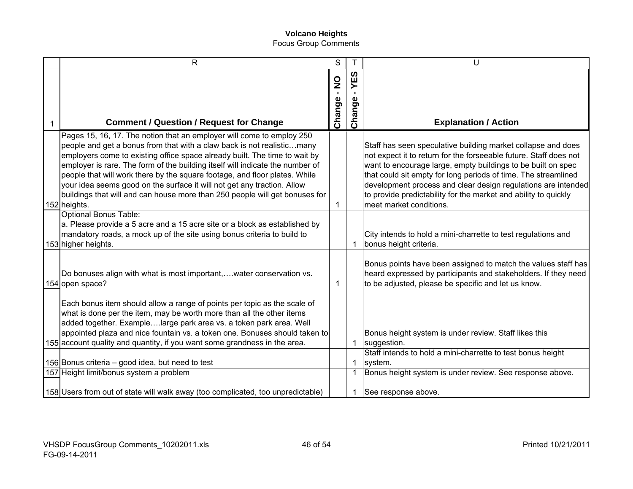| $\mathsf{R}$                                                                                                                                                                                                                                                                                                                                                                                                                                                                                                                                                           | S                                       |                          | U                                                                                                                                                                                                                                                                                                                                                                                                                                  |
|------------------------------------------------------------------------------------------------------------------------------------------------------------------------------------------------------------------------------------------------------------------------------------------------------------------------------------------------------------------------------------------------------------------------------------------------------------------------------------------------------------------------------------------------------------------------|-----------------------------------------|--------------------------|------------------------------------------------------------------------------------------------------------------------------------------------------------------------------------------------------------------------------------------------------------------------------------------------------------------------------------------------------------------------------------------------------------------------------------|
|                                                                                                                                                                                                                                                                                                                                                                                                                                                                                                                                                                        | $\frac{1}{2}$<br>$\mathbf{I}$<br>Change | <b>S3</b><br>≻<br>Change |                                                                                                                                                                                                                                                                                                                                                                                                                                    |
| <b>Comment / Question / Request for Change</b>                                                                                                                                                                                                                                                                                                                                                                                                                                                                                                                         |                                         |                          | <b>Explanation / Action</b>                                                                                                                                                                                                                                                                                                                                                                                                        |
| Pages 15, 16, 17. The notion that an employer will come to employ 250<br>people and get a bonus from that with a claw back is not realisticmany<br>employers come to existing office space already built. The time to wait by<br>employer is rare. The form of the building itself will indicate the number of<br>people that will work there by the square footage, and floor plates. While<br>your idea seems good on the surface it will not get any traction. Allow<br>buildings that will and can house more than 250 people will get bonuses for<br>152 heights. | 1                                       |                          | Staff has seen speculative building market collapse and does<br>not expect it to return for the forseeable future. Staff does not<br>want to encourage large, empty buildings to be built on spec<br>that could sit empty for long periods of time. The streamlined<br>development process and clear design regulations are intended<br>to provide predictability for the market and ability to quickly<br>meet market conditions. |
| <b>Optional Bonus Table:</b><br>a. Please provide a 5 acre and a 15 acre site or a block as established by<br>mandatory roads, a mock up of the site using bonus criteria to build to<br>153 higher heights.                                                                                                                                                                                                                                                                                                                                                           |                                         | $\mathbf 1$              | City intends to hold a mini-charrette to test regulations and<br>bonus height criteria.                                                                                                                                                                                                                                                                                                                                            |
| Do bonuses align with what is most important,water conservation vs.<br>154 open space?                                                                                                                                                                                                                                                                                                                                                                                                                                                                                 | 1                                       |                          | Bonus points have been assigned to match the values staff has<br>heard expressed by participants and stakeholders. If they need<br>to be adjusted, please be specific and let us know.                                                                                                                                                                                                                                             |
| Each bonus item should allow a range of points per topic as the scale of<br>what is done per the item, may be worth more than all the other items<br>added together. Examplelarge park area vs. a token park area. Well<br>appointed plaza and nice fountain vs. a token one. Bonuses should taken to<br>155 account quality and quantity, if you want some grandness in the area.                                                                                                                                                                                     |                                         | $\mathbf{1}$             | Bonus height system is under review. Staff likes this<br>suggestion.                                                                                                                                                                                                                                                                                                                                                               |
|                                                                                                                                                                                                                                                                                                                                                                                                                                                                                                                                                                        |                                         |                          | Staff intends to hold a mini-charrette to test bonus height                                                                                                                                                                                                                                                                                                                                                                        |
| 156 Bonus criteria – good idea, but need to test<br>157 Height limit/bonus system a problem                                                                                                                                                                                                                                                                                                                                                                                                                                                                            |                                         | -1<br>-1                 | system.<br>Bonus height system is under review. See response above.                                                                                                                                                                                                                                                                                                                                                                |
| 158 Users from out of state will walk away (too complicated, too unpredictable)                                                                                                                                                                                                                                                                                                                                                                                                                                                                                        |                                         |                          | See response above.                                                                                                                                                                                                                                                                                                                                                                                                                |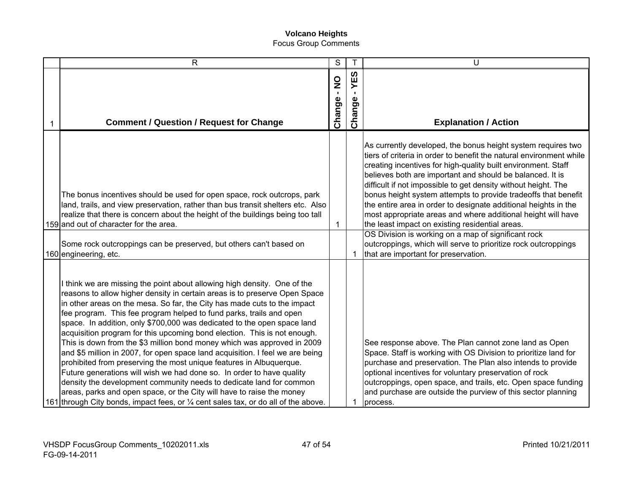| $\mathsf{R}$                                                                                                                                                                                                                                                                                                                                                                                                                                                                                                                                                                                                                                                                                                                                                                                                                                                                                                                                                                                                                               | S                          | T             | U                                                                                                                                                                                                                                                                                                                                                                                                                                                                                                                                                                                                                                                                                                                                                            |
|--------------------------------------------------------------------------------------------------------------------------------------------------------------------------------------------------------------------------------------------------------------------------------------------------------------------------------------------------------------------------------------------------------------------------------------------------------------------------------------------------------------------------------------------------------------------------------------------------------------------------------------------------------------------------------------------------------------------------------------------------------------------------------------------------------------------------------------------------------------------------------------------------------------------------------------------------------------------------------------------------------------------------------------------|----------------------------|---------------|--------------------------------------------------------------------------------------------------------------------------------------------------------------------------------------------------------------------------------------------------------------------------------------------------------------------------------------------------------------------------------------------------------------------------------------------------------------------------------------------------------------------------------------------------------------------------------------------------------------------------------------------------------------------------------------------------------------------------------------------------------------|
| <b>Comment / Question / Request for Change</b>                                                                                                                                                                                                                                                                                                                                                                                                                                                                                                                                                                                                                                                                                                                                                                                                                                                                                                                                                                                             | $\sum_{i=1}^{n}$<br>Change | YES<br>Change | <b>Explanation / Action</b>                                                                                                                                                                                                                                                                                                                                                                                                                                                                                                                                                                                                                                                                                                                                  |
| The bonus incentives should be used for open space, rock outcrops, park<br>land, trails, and view preservation, rather than bus transit shelters etc. Also<br>realize that there is concern about the height of the buildings being too tall<br>159 and out of character for the area.<br>Some rock outcroppings can be preserved, but others can't based on                                                                                                                                                                                                                                                                                                                                                                                                                                                                                                                                                                                                                                                                               | 1                          |               | As currently developed, the bonus height system requires two<br>tiers of criteria in order to benefit the natural environment while<br>creating incentives for high-quality built environment. Staff<br>believes both are important and should be balanced. It is<br>difficult if not impossible to get density without height. The<br>bonus height system attempts to provide tradeoffs that benefit<br>the entire area in order to designate additional heights in the<br>most appropriate areas and where additional height will have<br>the least impact on existing residential areas.<br>OS Division is working on a map of significant rock<br>outcroppings, which will serve to prioritize rock outcroppings<br>that are important for preservation. |
| 160 engineering, etc.<br>think we are missing the point about allowing high density. One of the<br>reasons to allow higher density in certain areas is to preserve Open Space<br>in other areas on the mesa. So far, the City has made cuts to the impact<br>fee program. This fee program helped to fund parks, trails and open<br>space. In addition, only \$700,000 was dedicated to the open space land<br>acquisition program for this upcoming bond election. This is not enough.<br>This is down from the \$3 million bond money which was approved in 2009<br>and \$5 million in 2007, for open space land acquisition. I feel we are being<br>prohibited from preserving the most unique features in Albuquerque.<br>Future generations will wish we had done so. In order to have quality<br>density the development community needs to dedicate land for common<br>areas, parks and open space, or the City will have to raise the money<br>161 through City bonds, impact fees, or 1/4 cent sales tax, or do all of the above. |                            |               | See response above. The Plan cannot zone land as Open<br>Space. Staff is working with OS Division to prioritize land for<br>purchase and preservation. The Plan also intends to provide<br>optional incentives for voluntary preservation of rock<br>outcroppings, open space, and trails, etc. Open space funding<br>and purchase are outside the purview of this sector planning<br>process.                                                                                                                                                                                                                                                                                                                                                               |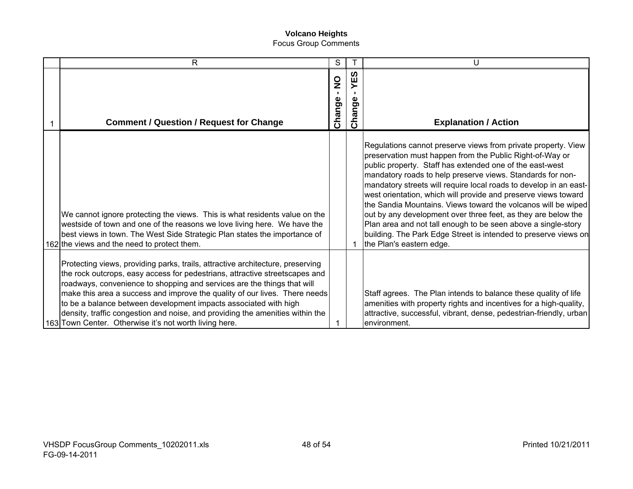| R                                                                                                                                                                                                                                                                                                                                                                                                                                                                                                                                     | S                                       |                     | U                                                                                                                                                                                                                                                                                                                                                                                                                                                                                                                                                                                                                                                                                            |
|---------------------------------------------------------------------------------------------------------------------------------------------------------------------------------------------------------------------------------------------------------------------------------------------------------------------------------------------------------------------------------------------------------------------------------------------------------------------------------------------------------------------------------------|-----------------------------------------|---------------------|----------------------------------------------------------------------------------------------------------------------------------------------------------------------------------------------------------------------------------------------------------------------------------------------------------------------------------------------------------------------------------------------------------------------------------------------------------------------------------------------------------------------------------------------------------------------------------------------------------------------------------------------------------------------------------------------|
| <b>Comment / Question / Request for Change</b>                                                                                                                                                                                                                                                                                                                                                                                                                                                                                        | $\frac{0}{2}$<br>$\mathbf{L}$<br>Change | <b>S3</b><br>Change | <b>Explanation / Action</b>                                                                                                                                                                                                                                                                                                                                                                                                                                                                                                                                                                                                                                                                  |
| We cannot ignore protecting the views. This is what residents value on the<br>westside of town and one of the reasons we love living here. We have the<br>best views in town. The West Side Strategic Plan states the importance of<br>162 the views and the need to protect them.                                                                                                                                                                                                                                                    |                                         | -1                  | Regulations cannot preserve views from private property. View<br>preservation must happen from the Public Right-of-Way or<br>public property. Staff has extended one of the east-west<br>mandatory roads to help preserve views. Standards for non-<br>mandatory streets will require local roads to develop in an east-<br>west orientation, which will provide and preserve views toward<br>the Sandia Mountains. Views toward the volcanos will be wiped<br>out by any development over three feet, as they are below the<br>Plan area and not tall enough to be seen above a single-story<br>building. The Park Edge Street is intended to preserve views on<br>the Plan's eastern edge. |
| Protecting views, providing parks, trails, attractive architecture, preserving<br>the rock outcrops, easy access for pedestrians, attractive streetscapes and<br>roadways, convenience to shopping and services are the things that will<br>make this area a success and improve the quality of our lives. There needs<br>to be a balance between development impacts associated with high<br>density, traffic congestion and noise, and providing the amenities within the<br>163 Town Center. Otherwise it's not worth living here. |                                         |                     | Staff agrees. The Plan intends to balance these quality of life<br>amenities with property rights and incentives for a high-quality,<br>attractive, successful, vibrant, dense, pedestrian-friendly, urban<br>environment.                                                                                                                                                                                                                                                                                                                                                                                                                                                                   |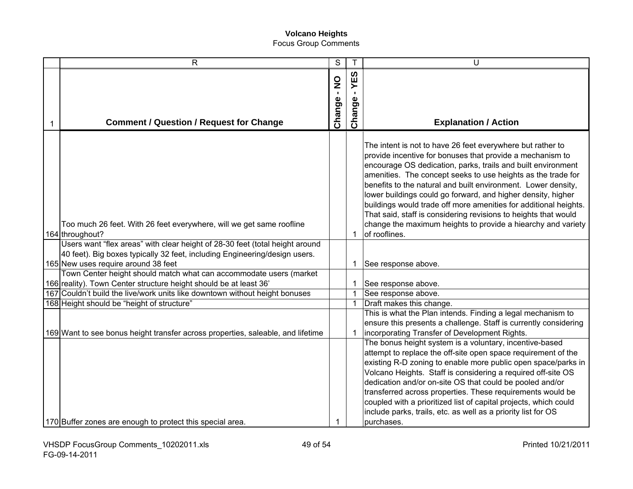| $\mathsf{R}$                                                                                                                                                                                      | S           | T                               | U                                                                                                                                                                                                                                                                                                                                                                                                                                                                                                                                                                                                                |
|---------------------------------------------------------------------------------------------------------------------------------------------------------------------------------------------------|-------------|---------------------------------|------------------------------------------------------------------------------------------------------------------------------------------------------------------------------------------------------------------------------------------------------------------------------------------------------------------------------------------------------------------------------------------------------------------------------------------------------------------------------------------------------------------------------------------------------------------------------------------------------------------|
| <b>Comment / Question / Request for Change</b>                                                                                                                                                    | Change - NO | YES<br>$\blacksquare$<br>Change | <b>Explanation / Action</b>                                                                                                                                                                                                                                                                                                                                                                                                                                                                                                                                                                                      |
| Too much 26 feet. With 26 feet everywhere, will we get same roofline<br>164 throughout?                                                                                                           |             | 1                               | The intent is not to have 26 feet everywhere but rather to<br>provide incentive for bonuses that provide a mechanism to<br>encourage OS dedication, parks, trails and built environment<br>amenities. The concept seeks to use heights as the trade for<br>benefits to the natural and built environment. Lower density,<br>lower buildings could go forward, and higher density, higher<br>buildings would trade off more amenities for additional heights.<br>That said, staff is considering revisions to heights that would<br>change the maximum heights to provide a hiearchy and variety<br>of rooflines. |
| Users want "flex areas" with clear height of 28-30 feet (total height around<br>40 feet). Big boxes typically 32 feet, including Engineering/design users.<br>165 New uses require around 38 feet |             | 1                               | See response above.                                                                                                                                                                                                                                                                                                                                                                                                                                                                                                                                                                                              |
| Town Center height should match what can accommodate users (market                                                                                                                                |             |                                 |                                                                                                                                                                                                                                                                                                                                                                                                                                                                                                                                                                                                                  |
| 166 reality). Town Center structure height should be at least 36'                                                                                                                                 |             | $\mathbf{1}$                    | See response above.                                                                                                                                                                                                                                                                                                                                                                                                                                                                                                                                                                                              |
| 167 Couldn't build the live/work units like downtown without height bonuses                                                                                                                       |             | $\mathbf{1}$                    | See response above.                                                                                                                                                                                                                                                                                                                                                                                                                                                                                                                                                                                              |
| 168 Height should be "height of structure"<br>169 Want to see bonus height transfer across properties, saleable, and lifetime                                                                     |             | $\mathbf 1$<br>$\mathbf{1}$     | Draft makes this change.<br>This is what the Plan intends. Finding a legal mechanism to<br>ensure this presents a challenge. Staff is currently considering<br>incorporating Transfer of Development Rights.                                                                                                                                                                                                                                                                                                                                                                                                     |
| 170 Buffer zones are enough to protect this special area.                                                                                                                                         | 1           |                                 | The bonus height system is a voluntary, incentive-based<br>attempt to replace the off-site open space requirement of the<br>existing R-D zoning to enable more public open space/parks in<br>Volcano Heights. Staff is considering a required off-site OS<br>dedication and/or on-site OS that could be pooled and/or<br>transferred across properties. These requirements would be<br>coupled with a prioritized list of capital projects, which could<br>include parks, trails, etc. as well as a priority list for OS<br>purchases.                                                                           |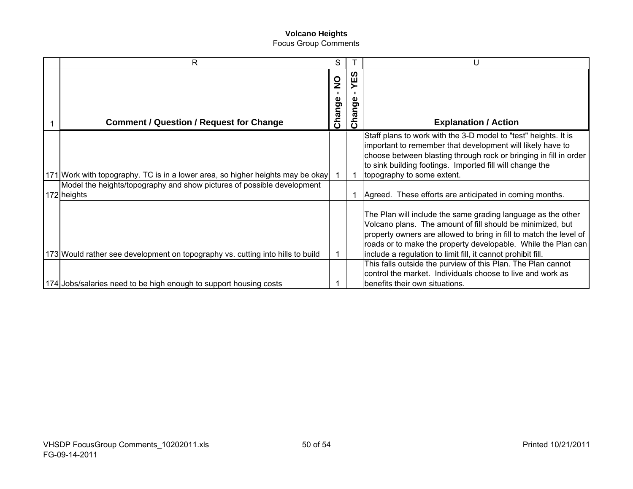| R                                                                                     | S                             |                                   | U                                                                                                                                                                                                                                                                                                                                                                                                                                                               |
|---------------------------------------------------------------------------------------|-------------------------------|-----------------------------------|-----------------------------------------------------------------------------------------------------------------------------------------------------------------------------------------------------------------------------------------------------------------------------------------------------------------------------------------------------------------------------------------------------------------------------------------------------------------|
| <b>Comment / Question / Request for Change</b>                                        | $\frac{0}{2}$<br>п.<br>Change | ທ<br>Ш<br>nge<br>ত<br>$\tilde{5}$ | <b>Explanation / Action</b>                                                                                                                                                                                                                                                                                                                                                                                                                                     |
| 171 Work with topography. TC is in a lower area, so higher heights may be okay        |                               |                                   | Staff plans to work with the 3-D model to "test" heights. It is<br>important to remember that development will likely have to<br>choose between blasting through rock or bringing in fill in order<br>to sink building footings. Imported fill will change the<br>topography to some extent.                                                                                                                                                                    |
| Model the heights/topography and show pictures of possible development<br>172 heights |                               |                                   | Agreed. These efforts are anticipated in coming months.                                                                                                                                                                                                                                                                                                                                                                                                         |
| 173 Would rather see development on topography vs. cutting into hills to build        |                               |                                   | The Plan will include the same grading language as the other<br>Volcano plans. The amount of fill should be minimized, but<br>property owners are allowed to bring in fill to match the level of<br>roads or to make the property developable. While the Plan can<br>include a regulation to limit fill, it cannot prohibit fill.<br>This falls outside the purview of this Plan. The Plan cannot<br>control the market. Individuals choose to live and work as |
| 174 Jobs/salaries need to be high enough to support housing costs                     |                               |                                   | benefits their own situations.                                                                                                                                                                                                                                                                                                                                                                                                                                  |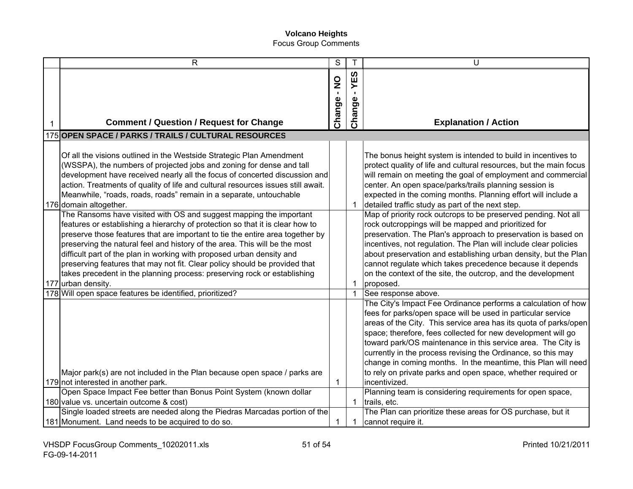| $\mathsf{R}$                                                                                                                                                                                                                                                                                                                                                                                                                                                                                                                                                                                                                                           | $\overline{s}$            |               | U                                                                                                                                                                                                                                                                                                                                                                                                                                                                                                                                                                             |
|--------------------------------------------------------------------------------------------------------------------------------------------------------------------------------------------------------------------------------------------------------------------------------------------------------------------------------------------------------------------------------------------------------------------------------------------------------------------------------------------------------------------------------------------------------------------------------------------------------------------------------------------------------|---------------------------|---------------|-------------------------------------------------------------------------------------------------------------------------------------------------------------------------------------------------------------------------------------------------------------------------------------------------------------------------------------------------------------------------------------------------------------------------------------------------------------------------------------------------------------------------------------------------------------------------------|
| <b>Comment / Question / Request for Change</b>                                                                                                                                                                                                                                                                                                                                                                                                                                                                                                                                                                                                         | $\frac{1}{2}$<br>Change - | YES<br>Change | <b>Explanation / Action</b>                                                                                                                                                                                                                                                                                                                                                                                                                                                                                                                                                   |
| 175 OPEN SPACE / PARKS / TRAILS / CULTURAL RESOURCES                                                                                                                                                                                                                                                                                                                                                                                                                                                                                                                                                                                                   |                           |               |                                                                                                                                                                                                                                                                                                                                                                                                                                                                                                                                                                               |
| Of all the visions outlined in the Westside Strategic Plan Amendment<br>(WSSPA), the numbers of projected jobs and zoning for dense and tall<br>development have received nearly all the focus of concerted discussion and<br>action. Treatments of quality of life and cultural resources issues still await.<br>Meanwhile, "roads, roads, roads" remain in a separate, untouchable<br>176 domain altogether.<br>The Ransoms have visited with OS and suggest mapping the important<br>features or establishing a hierarchy of protection so that it is clear how to<br>preserve those features that are important to tie the entire area together by |                           | -1            | The bonus height system is intended to build in incentives to<br>protect quality of life and cultural resources, but the main focus<br>will remain on meeting the goal of employment and commercial<br>center. An open space/parks/trails planning session is<br>expected in the coming months. Planning effort will include a<br>detailed traffic study as part of the next step.<br>Map of priority rock outcrops to be preserved pending. Not all<br>rock outcroppings will be mapped and prioritized for<br>preservation. The Plan's approach to preservation is based on |
| preserving the natural feel and history of the area. This will be the most<br>difficult part of the plan in working with proposed urban density and<br>preserving features that may not fit. Clear policy should be provided that<br>takes precedent in the planning process: preserving rock or establishing<br>177 urban density.                                                                                                                                                                                                                                                                                                                    |                           | 1             | incentives, not regulation. The Plan will include clear policies<br>about preservation and establishing urban density, but the Plan<br>cannot regulate which takes precedence because it depends<br>on the context of the site, the outcrop, and the development<br>proposed.                                                                                                                                                                                                                                                                                                 |
| 178 Will open space features be identified, prioritized?<br>Major park(s) are not included in the Plan because open space / parks are                                                                                                                                                                                                                                                                                                                                                                                                                                                                                                                  |                           | 1             | See response above.<br>The City's Impact Fee Ordinance performs a calculation of how<br>fees for parks/open space will be used in particular service<br>areas of the City. This service area has its quota of parks/open<br>space; therefore, fees collected for new development will go<br>toward park/OS maintenance in this service area. The City is<br>currently in the process revising the Ordinance, so this may<br>change in coming months. In the meantime, this Plan will need<br>to rely on private parks and open space, whether required or                     |
| 179 not interested in another park.                                                                                                                                                                                                                                                                                                                                                                                                                                                                                                                                                                                                                    | 1                         |               | incentivized.                                                                                                                                                                                                                                                                                                                                                                                                                                                                                                                                                                 |
| Open Space Impact Fee better than Bonus Point System (known dollar<br>180 value vs. uncertain outcome & cost)                                                                                                                                                                                                                                                                                                                                                                                                                                                                                                                                          |                           | 1             | Planning team is considering requirements for open space,<br>trails, etc.                                                                                                                                                                                                                                                                                                                                                                                                                                                                                                     |
| Single loaded streets are needed along the Piedras Marcadas portion of the                                                                                                                                                                                                                                                                                                                                                                                                                                                                                                                                                                             |                           |               | The Plan can prioritize these areas for OS purchase, but it                                                                                                                                                                                                                                                                                                                                                                                                                                                                                                                   |
| 181 Monument. Land needs to be acquired to do so.                                                                                                                                                                                                                                                                                                                                                                                                                                                                                                                                                                                                      |                           |               | cannot require it.                                                                                                                                                                                                                                                                                                                                                                                                                                                                                                                                                            |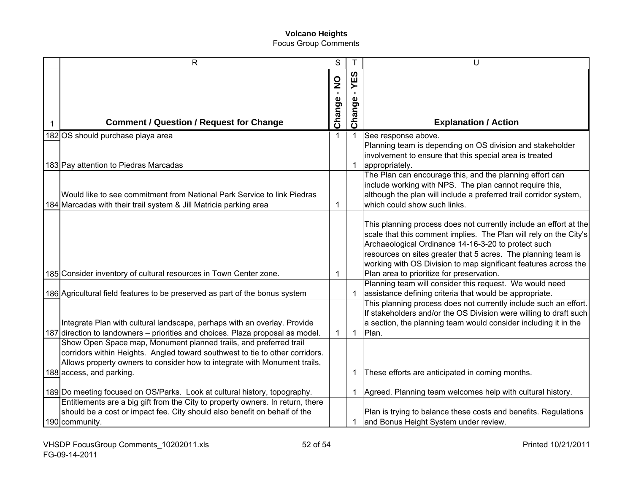|   | $\mathsf{R}$                                                                                                                                                                                                                                               | S           | T                     | U                                                                                                                                                                                                                                                                                                                                                                              |
|---|------------------------------------------------------------------------------------------------------------------------------------------------------------------------------------------------------------------------------------------------------------|-------------|-----------------------|--------------------------------------------------------------------------------------------------------------------------------------------------------------------------------------------------------------------------------------------------------------------------------------------------------------------------------------------------------------------------------|
| 1 | <b>Comment / Question / Request for Change</b>                                                                                                                                                                                                             | Change - NO | ທ<br>ш<br>≻<br>Change | <b>Explanation / Action</b>                                                                                                                                                                                                                                                                                                                                                    |
|   | 182 OS should purchase playa area                                                                                                                                                                                                                          | $\mathbf 1$ |                       | See response above.                                                                                                                                                                                                                                                                                                                                                            |
|   | 183 Pay attention to Piedras Marcadas                                                                                                                                                                                                                      |             | 1                     | Planning team is depending on OS division and stakeholder<br>involvement to ensure that this special area is treated<br>appropriately.                                                                                                                                                                                                                                         |
|   | Would like to see commitment from National Park Service to link Piedras<br>184 Marcadas with their trail system & Jill Matricia parking area                                                                                                               | 1           |                       | The Plan can encourage this, and the planning effort can<br>include working with NPS. The plan cannot require this,<br>although the plan will include a preferred trail corridor system,<br>which could show such links.                                                                                                                                                       |
|   | 185 Consider inventory of cultural resources in Town Center zone.                                                                                                                                                                                          | 1           |                       | This planning process does not currently include an effort at the<br>scale that this comment implies. The Plan will rely on the City's<br>Archaeological Ordinance 14-16-3-20 to protect such<br>resources on sites greater that 5 acres. The planning team is<br>working with OS Division to map significant features across the<br>Plan area to prioritize for preservation. |
|   | 186 Agricultural field features to be preserved as part of the bonus system                                                                                                                                                                                |             |                       | Planning team will consider this request. We would need<br>assistance defining criteria that would be appropriate.                                                                                                                                                                                                                                                             |
|   | Integrate Plan with cultural landscape, perhaps with an overlay. Provide<br>187 direction to landowners – priorities and choices. Plaza proposal as model.                                                                                                 | 1           | $\mathbf{1}$          | This planning process does not currently include such an effort.<br>If stakeholders and/or the OS Division were willing to draft such<br>a section, the planning team would consider including it in the<br>Plan.                                                                                                                                                              |
|   | Show Open Space map, Monument planned trails, and preferred trail<br>corridors within Heights. Angled toward southwest to tie to other corridors.<br>Allows property owners to consider how to integrate with Monument trails,<br>188 access, and parking. |             | $\mathbf 1$           | These efforts are anticipated in coming months.                                                                                                                                                                                                                                                                                                                                |
|   | 189 Do meeting focused on OS/Parks. Look at cultural history, topography.<br>Entitlements are a big gift from the City to property owners. In return, there                                                                                                |             | 1                     | Agreed. Planning team welcomes help with cultural history.                                                                                                                                                                                                                                                                                                                     |
|   | should be a cost or impact fee. City should also benefit on behalf of the<br>190 community.                                                                                                                                                                |             | -1                    | Plan is trying to balance these costs and benefits. Regulations<br>and Bonus Height System under review.                                                                                                                                                                                                                                                                       |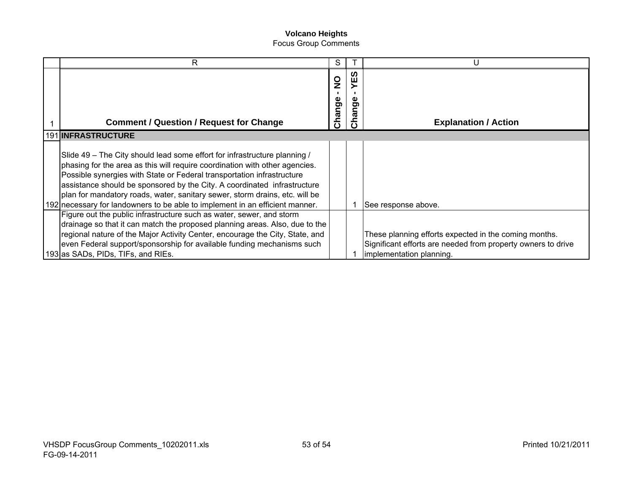| R                                                                                                                                                                                                                                                                                                                                                                                                                                                                             | S                       |         | U                                                                                                                                                 |
|-------------------------------------------------------------------------------------------------------------------------------------------------------------------------------------------------------------------------------------------------------------------------------------------------------------------------------------------------------------------------------------------------------------------------------------------------------------------------------|-------------------------|---------|---------------------------------------------------------------------------------------------------------------------------------------------------|
| <b>Comment / Question / Request for Change</b>                                                                                                                                                                                                                                                                                                                                                                                                                                | $\frac{0}{2}$<br>Change | ທ<br>္တ | <b>Explanation / Action</b>                                                                                                                       |
| 191 INFRASTRUCTURE                                                                                                                                                                                                                                                                                                                                                                                                                                                            |                         |         |                                                                                                                                                   |
| Slide 49 – The City should lead some effort for infrastructure planning /<br>phasing for the area as this will require coordination with other agencies.<br>Possible synergies with State or Federal transportation infrastructure<br>assistance should be sponsored by the City. A coordinated infrastructure<br>plan for mandatory roads, water, sanitary sewer, storm drains, etc. will be<br>192 necessary for landowners to be able to implement in an efficient manner. |                         |         | See response above.                                                                                                                               |
| Figure out the public infrastructure such as water, sewer, and storm<br>drainage so that it can match the proposed planning areas. Also, due to the<br>regional nature of the Major Activity Center, encourage the City, State, and<br>even Federal support/sponsorship for available funding mechanisms such<br>193 as SADs, PIDs, TIFs, and RIEs.                                                                                                                           |                         |         | These planning efforts expected in the coming months.<br>Significant efforts are needed from property owners to drive<br>implementation planning. |